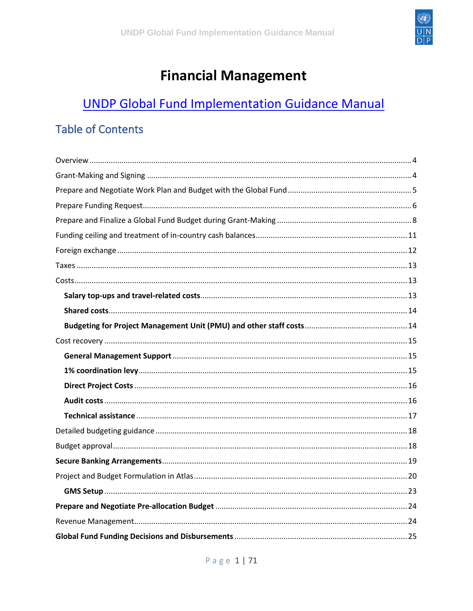

# **Financial Management**

## **UNDP Global Fund Implementation Guidance Manual**

### **Table of Contents**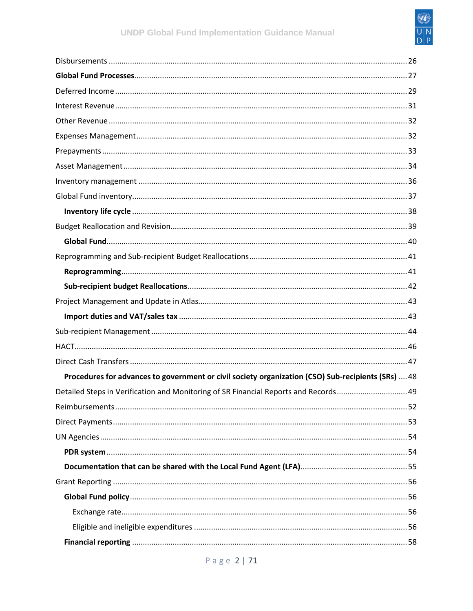

| Procedures for advances to government or civil society organization (CSO) Sub-recipients (SRs)  48 |
|----------------------------------------------------------------------------------------------------|
| Detailed Steps in Verification and Monitoring of SR Financial Reports and Records 49               |
|                                                                                                    |
|                                                                                                    |
|                                                                                                    |
|                                                                                                    |
|                                                                                                    |
|                                                                                                    |
|                                                                                                    |
|                                                                                                    |
|                                                                                                    |
|                                                                                                    |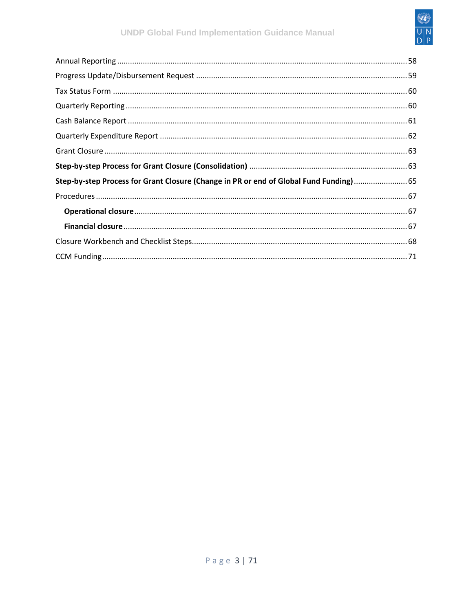

| Step-by-step Process for Grant Closure (Change in PR or end of Global Fund Funding) 65 |  |
|----------------------------------------------------------------------------------------|--|
|                                                                                        |  |
|                                                                                        |  |
|                                                                                        |  |
|                                                                                        |  |
|                                                                                        |  |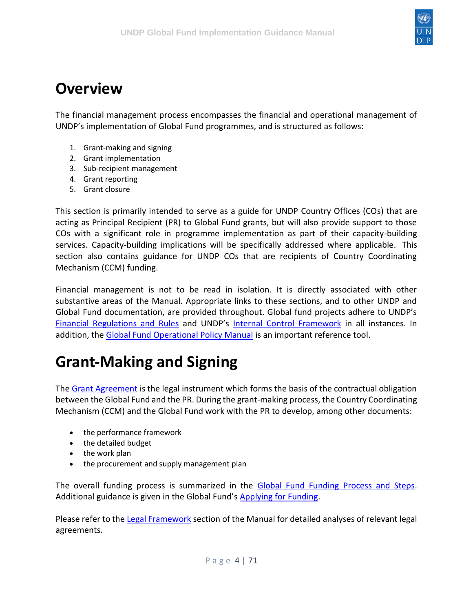

### <span id="page-3-0"></span>**Overview**

The financial management process encompasses the financial and operational management of UNDP's implementation of Global Fund programmes, and is structured as follows:

- 1. Grant-making and signing
- 2. Grant implementation
- 3. Sub-recipient management
- 4. Grant reporting
- 5. Grant closure

This section is primarily intended to serve as a guide for UNDP Country Offices (COs) that are acting as Principal Recipient (PR) to Global Fund grants, but will also provide support to those COs with a significant role in programme implementation as part of their capacity-building services. Capacity-building implications will be specifically addressed where applicable. This section also contains guidance for UNDP COs that are recipients of Country Coordinating Mechanism (CCM) funding.

Financial management is not to be read in isolation. It is directly associated with other substantive areas of the Manual. Appropriate links to these sections, and to other UNDP and Global Fund documentation, are provided throughout. Global fund projects adhere to UNDP's [Financial Regulations and Rules](https://intranet.undp.org/unit/ofrm/Financial%20Regulations%20and%20Rules%20%20POPP/Forms/By%20category.aspx) and UNDP's [Internal Control Framework](https://popp.undp.org/SitePages/POPPSubject.aspx?SBJID=7) in all instances. In addition, the [Global Fund Operational Policy Manual](https://www.theglobalfund.org/media/3266/core_operationalpolicy_manual_en.pdf) is an important reference tool.

## <span id="page-3-1"></span>**Grant-Making and Signing**

The [Grant Agreement](https://undphealthimplementation.org/functional-areas/legal-framework/the-grant-agreement/) is the legal instrument which forms the basis of the contractual obligation between the Global Fund and the PR. During the grant-making process, the Country Coordinating Mechanism (CCM) and the Global Fund work with the PR to develop, among other documents:

- the performance framework
- the detailed budget
- the work plan
- the procurement and supply management plan

The overall funding process is summarized in the [Global Fund Funding Process and Steps.](http://www.theglobalfund.org/en/fundingmodel/process/) Additional guidance is given in the Global Fund's [Applying for Funding.](http://www.theglobalfund.org/en/applying/)

Please refer to the [Legal Framework](https://undphealthimplementation.org/functional-areas/legal-framework/overview/) section of the Manual for detailed analyses of relevant legal agreements.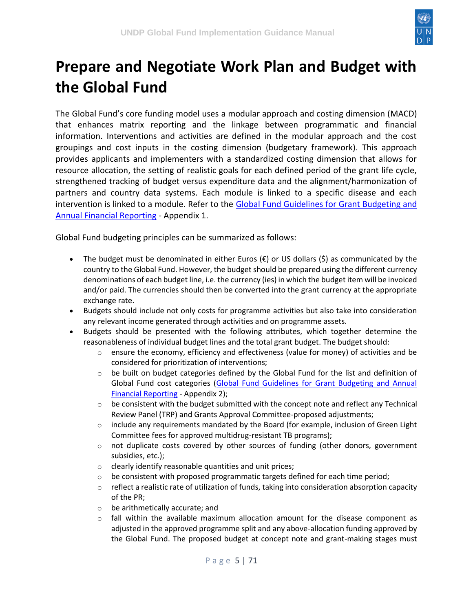

# <span id="page-4-0"></span>**Prepare and Negotiate Work Plan and Budget with the Global Fund**

The Global Fund's core funding model uses a modular approach and costing dimension (MACD) that enhances matrix reporting and the linkage between programmatic and financial information. Interventions and activities are defined in the modular approach and the cost groupings and cost inputs in the costing dimension (budgetary framework). This approach provides applicants and implementers with a standardized costing dimension that allows for resource allocation, the setting of realistic goals for each defined period of the grant life cycle, strengthened tracking of budget versus expenditure data and the alignment/harmonization of partners and country data systems. Each module is linked to a specific disease and each intervention is linked to a module. Refer to the [Global Fund Guidelines for Grant Budgeting and](https://www.theglobalfund.org/media/3261/core_budgetinginglobalfundgrants_guideline_en.pdf)  [Annual Financial Reporting](https://www.theglobalfund.org/media/3261/core_budgetinginglobalfundgrants_guideline_en.pdf) - Appendix 1.

Global Fund budgeting principles can be summarized as follows:

- The budget must be denominated in either Euros ( $\epsilon$ ) or US dollars (\$) as communicated by the country to the Global Fund. However, the budget should be prepared using the different currency denominations of each budget line, i.e. the currency (ies) in which the budget item will be invoiced and/or paid. The currencies should then be converted into the grant currency at the appropriate exchange rate.
- Budgets should include not only costs for programme activities but also take into consideration any relevant income generated through activities and on programme assets.
- Budgets should be presented with the following attributes, which together determine the reasonableness of individual budget lines and the total grant budget. The budget should:
	- $\circ$  ensure the economy, efficiency and effectiveness (value for money) of activities and be considered for prioritization of interventions;
	- $\circ$  be built on budget categories defined by the Global Fund for the list and definition of Global Fund cost categories [\(Global Fund Guidelines for Grant Budgeting and Annual](https://www.theglobalfund.org/media/3261/core_budgetinginglobalfundgrants_guideline_en.pdf)  [Financial Reporting](https://www.theglobalfund.org/media/3261/core_budgetinginglobalfundgrants_guideline_en.pdf) - Appendix 2);
	- $\circ$  be consistent with the budget submitted with the concept note and reflect any Technical Review Panel (TRP) and Grants Approval Committee-proposed adjustments;
	- $\circ$  include any requirements mandated by the Board (for example, inclusion of Green Light Committee fees for approved multidrug-resistant TB programs);
	- $\circ$  not duplicate costs covered by other sources of funding (other donors, government subsidies, etc.);
	- o clearly identify reasonable quantities and unit prices;
	- $\circ$  be consistent with proposed programmatic targets defined for each time period;
	- $\circ$  reflect a realistic rate of utilization of funds, taking into consideration absorption capacity of the PR;
	- o be arithmetically accurate; and
	- $\circ$  fall within the available maximum allocation amount for the disease component as adjusted in the approved programme split and any above-allocation funding approved by the Global Fund. The proposed budget at concept note and grant-making stages must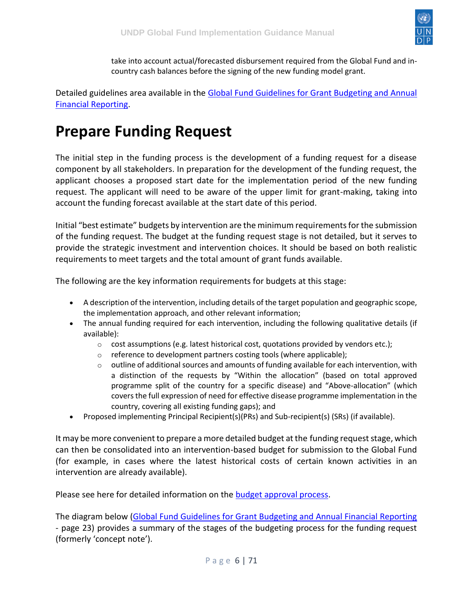

take into account actual/forecasted disbursement required from the Global Fund and incountry cash balances before the signing of the new funding model grant.

Detailed guidelines area available in the Global Fund Guidelines for Grant Budgeting and Annual [Financial Reporting.](https://www.theglobalfund.org/media/3261/core_budgetinginglobalfundgrants_guideline_en.pdf)

### <span id="page-5-0"></span>**Prepare Funding Request**

The initial step in the funding process is the development of a funding request for a disease component by all stakeholders. In preparation for the development of the funding request, the applicant chooses a proposed start date for the implementation period of the new funding request. The applicant will need to be aware of the upper limit for grant-making, taking into account the funding forecast available at the start date of this period.

Initial "best estimate" budgets by intervention are the minimum requirements for the submission of the funding request. The budget at the funding request stage is not detailed, but it serves to provide the strategic investment and intervention choices. It should be based on both realistic requirements to meet targets and the total amount of grant funds available.

The following are the key information requirements for budgets at this stage:

- A description of the intervention, including details of the target population and geographic scope, the implementation approach, and other relevant information;
- The annual funding required for each intervention, including the following qualitative details (if available):
	- $\circ$  cost assumptions (e.g. latest historical cost, quotations provided by vendors etc.);
	- $\circ$  reference to development partners costing tools (where applicable);
	- $\circ$  outline of additional sources and amounts of funding available for each intervention, with a distinction of the requests by "Within the allocation" (based on total approved programme split of the country for a specific disease) and "Above-allocation" (which covers the full expression of need for effective disease programme implementation in the country, covering all existing funding gaps); and
- Proposed implementing Principal Recipient(s)(PRs) and Sub-recipient(s) (SRs) (if available).

It may be more convenient to prepare a more detailed budget at the funding request stage, which can then be consolidated into an intervention-based budget for submission to the Global Fund (for example, in cases where the latest historical costs of certain known activities in an intervention are already available).

Please see here for detailed information on the [budget approval process.](https://undphealthimplementation.org/functional-areas/financial-management/grant-making-and-signing/prepare-and-finalize-a-global-fund-budget-during-grant-making/budget-approval/)

The diagram below [\(Global Fund Guidelines for Grant Budgeting and Annual Financial Reporting](https://www.theglobalfund.org/media/3261/core_budgetinginglobalfundgrants_guideline_en.pdf) - page 23) provides a summary of the stages of the budgeting process for the funding request (formerly 'concept note').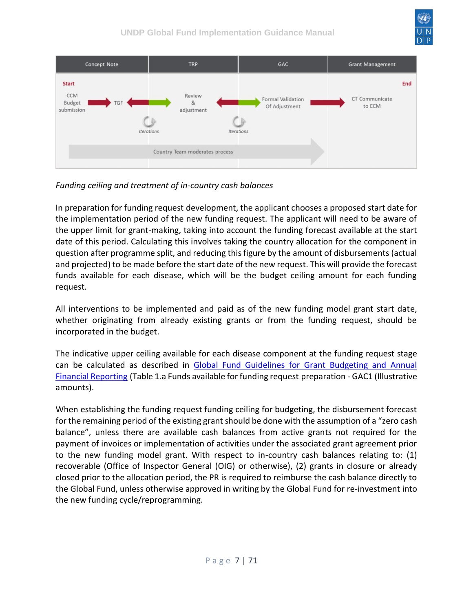



*Funding ceiling and treatment of in-country cash balances*

In preparation for funding request development, the applicant chooses a proposed start date for the implementation period of the new funding request. The applicant will need to be aware of the upper limit for grant-making, taking into account the funding forecast available at the start date of this period. Calculating this involves taking the country allocation for the component in question after programme split, and reducing this figure by the amount of disbursements (actual and projected) to be made before the start date of the new request. This will provide the forecast funds available for each disease, which will be the budget ceiling amount for each funding request.

All interventions to be implemented and paid as of the new funding model grant start date, whether originating from already existing grants or from the funding request, should be incorporated in the budget.

The indicative upper ceiling available for each disease component at the funding request stage can be calculated as described in [Global Fund Guidelines for Grant Budgeting and Annual](https://www.theglobalfund.org/media/3261/core_budgetinginglobalfundgrants_guideline_en.pdf)  [Financial Reporting](https://www.theglobalfund.org/media/3261/core_budgetinginglobalfundgrants_guideline_en.pdf) (Table 1.a Funds available for funding request preparation - GAC1 (Illustrative amounts).

When establishing the funding request funding ceiling for budgeting, the disbursement forecast for the remaining period of the existing grant should be done with the assumption of a "zero cash balance", unless there are available cash balances from active grants not required for the payment of invoices or implementation of activities under the associated grant agreement prior to the new funding model grant. With respect to in-country cash balances relating to: (1) recoverable (Office of Inspector General (OIG) or otherwise), (2) grants in closure or already closed prior to the allocation period, the PR is required to reimburse the cash balance directly to the Global Fund, unless otherwise approved in writing by the Global Fund for re-investment into the new funding cycle/reprogramming.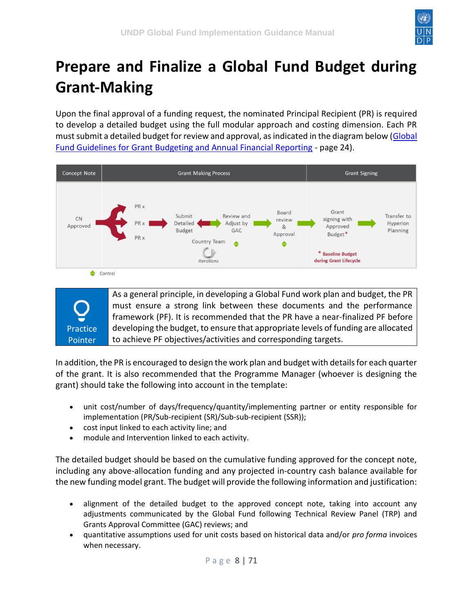

# <span id="page-7-0"></span>**Prepare and Finalize a Global Fund Budget during Grant-Making**

Upon the final approval of a funding request, the nominated Principal Recipient (PR) is required to develop a detailed budget using the full modular approach and costing dimension. Each PR must submit a detailed budget for review and approval, as indicated in the diagram below [\(Global](https://www.theglobalfund.org/media/3261/core_budgetinginglobalfundgrants_guideline_en.pdf)  [Fund Guidelines for Grant Budgeting and Annual Financial Reporting](https://www.theglobalfund.org/media/3261/core_budgetinginglobalfundgrants_guideline_en.pdf) - page 24).



Practice Pointer

As a general principle, in developing a Global Fund work plan and budget, the PR must ensure a strong link between these documents and the performance framework (PF). It is recommended that the PR have a near-finalized PF before developing the budget, to ensure that appropriate levels of funding are allocated to achieve PF objectives/activities and corresponding targets.

In addition, the PR is encouraged to design the work plan and budget with details for each quarter of the grant. It is also recommended that the Programme Manager (whoever is designing the grant) should take the following into account in the template:

- unit cost/number of days/frequency/quantity/implementing partner or entity responsible for implementation (PR/Sub-recipient (SR)/Sub-sub-recipient (SSR));
- cost input linked to each activity line; and
- module and Intervention linked to each activity.

The detailed budget should be based on the cumulative funding approved for the concept note, including any above-allocation funding and any projected in-country cash balance available for the new funding model grant. The budget will provide the following information and justification:

- alignment of the detailed budget to the approved concept note, taking into account any adjustments communicated by the Global Fund following Technical Review Panel (TRP) and Grants Approval Committee (GAC) reviews; and
- quantitative assumptions used for unit costs based on historical data and/or *pro forma* invoices when necessary.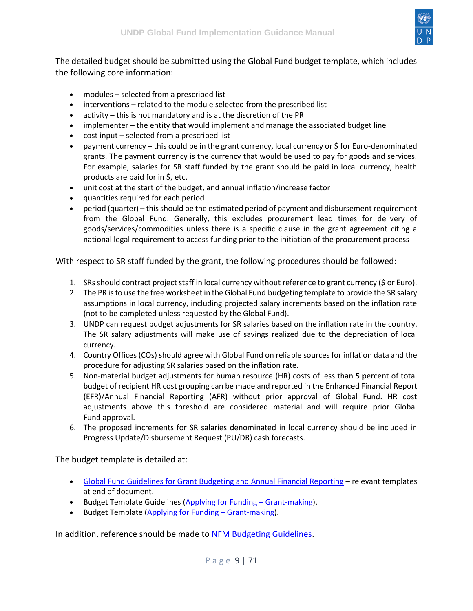

The detailed budget should be submitted using the Global Fund budget template, which includes the following core information:

- modules selected from a prescribed list
- interventions related to the module selected from the prescribed list
- activity this is not mandatory and is at the discretion of the PR
- implementer the entity that would implement and manage the associated budget line
- cost input selected from a prescribed list
- payment currency this could be in the grant currency, local currency or \$ for Euro-denominated grants. The payment currency is the currency that would be used to pay for goods and services. For example, salaries for SR staff funded by the grant should be paid in local currency, health products are paid for in \$, etc.
- unit cost at the start of the budget, and annual inflation/increase factor
- quantities required for each period
- period (quarter) this should be the estimated period of payment and disbursement requirement from the Global Fund. Generally, this excludes procurement lead times for delivery of goods/services/commodities unless there is a specific clause in the grant agreement citing a national legal requirement to access funding prior to the initiation of the procurement process

With respect to SR staff funded by the grant, the following procedures should be followed:

- 1. SRs should contract project staff in local currency without reference to grant currency (\$ or Euro).
- 2. The PR is to use the free worksheet in the Global Fund budgeting template to provide the SR salary assumptions in local currency, including projected salary increments based on the inflation rate (not to be completed unless requested by the Global Fund).
- 3. UNDP can request budget adjustments for SR salaries based on the inflation rate in the country. The SR salary adjustments will make use of savings realized due to the depreciation of local currency.
- 4. Country Offices (COs) should agree with Global Fund on reliable sources for inflation data and the procedure for adjusting SR salaries based on the inflation rate.
- 5. Non-material budget adjustments for human resource (HR) costs of less than 5 percent of total budget of recipient HR cost grouping can be made and reported in the Enhanced Financial Report (EFR)/Annual Financial Reporting (AFR) without prior approval of Global Fund. HR cost adjustments above this threshold are considered material and will require prior Global Fund approval.
- 6. The proposed increments for SR salaries denominated in local currency should be included in Progress Update/Disbursement Request (PU/DR) cash forecasts.

The budget template is detailed at:

- [Global Fund Guidelines for Grant Budgeting and Annual Financial Reporting](https://www.theglobalfund.org/media/3261/core_budgetinginglobalfundgrants_guideline_en.pdf) relevant templates at end of document.
- Budget Template Guidelines [\(Applying for Funding](https://www.theglobalfund.org/en/applying/funding/)  Grant-making).
- Budget Template [\(Applying for Funding](https://www.theglobalfund.org/en/applying/funding/)  Grant-making).

In addition, reference should be made to [NFM Budgeting Guidelines.](https://intranet.undp.org/unit/bpps/hhd/GFpartnership/UNDPasPR/Finance/NFM%20Budgeting%20Guidelines.pdf)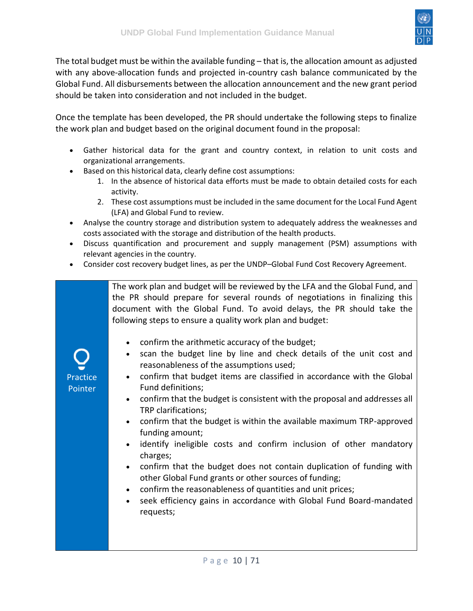

The total budget must be within the available funding – that is, the allocation amount as adjusted with any above-allocation funds and projected in-country cash balance communicated by the Global Fund. All disbursements between the allocation announcement and the new grant period should be taken into consideration and not included in the budget.

Once the template has been developed, the PR should undertake the following steps to finalize the work plan and budget based on the original document found in the proposal:

- Gather historical data for the grant and country context, in relation to unit costs and organizational arrangements.
- Based on this historical data, clearly define cost assumptions:
	- 1. In the absence of historical data efforts must be made to obtain detailed costs for each activity.
	- 2. These cost assumptions must be included in the same document for the Local Fund Agent (LFA) and Global Fund to review.
- Analyse the country storage and distribution system to adequately address the weaknesses and costs associated with the storage and distribution of the health products.
- Discuss quantification and procurement and supply management (PSM) assumptions with relevant agencies in the country.
- Consider cost recovery budget lines, as per the UNDP–Global Fund Cost Recovery Agreement.

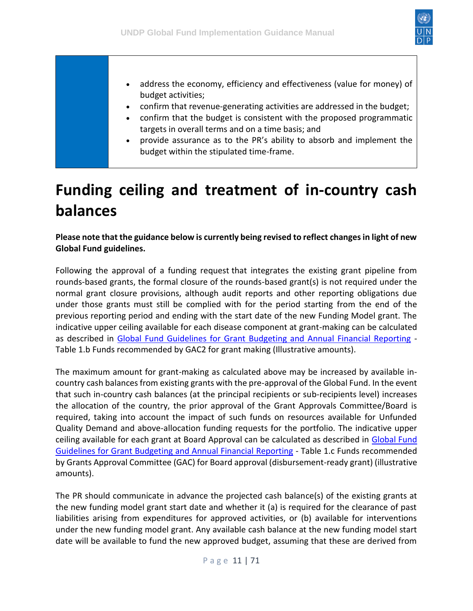

- address the economy, efficiency and effectiveness (value for money) of budget activities;
- confirm that revenue-generating activities are addressed in the budget;
- confirm that the budget is consistent with the proposed programmatic targets in overall terms and on a time basis; and
- provide assurance as to the PR's ability to absorb and implement the budget within the stipulated time-frame.

## <span id="page-10-0"></span>**Funding ceiling and treatment of in-country cash balances**

**Please note that the guidance below is currently being revised to reflect changes in light of new Global Fund guidelines.**

Following the approval of a funding request that integrates the existing grant pipeline from rounds-based grants, the formal closure of the rounds-based grant(s) is not required under the normal grant closure provisions, although audit reports and other reporting obligations due under those grants must still be complied with for the period starting from the end of the previous reporting period and ending with the start date of the new Funding Model grant. The indicative upper ceiling available for each disease component at grant-making can be calculated as described in [Global Fund Guidelines for Grant Budgeting and Annual Financial Reporting](https://www.theglobalfund.org/media/3261/core_budgetinginglobalfundgrants_guideline_en.pdf) - Table 1.b Funds recommended by GAC2 for grant making (Illustrative amounts).

The maximum amount for grant-making as calculated above may be increased by available incountry cash balances from existing grants with the pre-approval of the Global Fund. In the event that such in-country cash balances (at the principal recipients or sub-recipients level) increases the allocation of the country, the prior approval of the Grant Approvals Committee/Board is required, taking into account the impact of such funds on resources available for Unfunded Quality Demand and above-allocation funding requests for the portfolio. The indicative upper ceiling available for each grant at Board Approval can be calculated as described in [Global Fund](https://www.theglobalfund.org/media/3261/core_budgetinginglobalfundgrants_guideline_en.pdf)  [Guidelines for Grant Budgeting and Annual Financial Reporting](https://www.theglobalfund.org/media/3261/core_budgetinginglobalfundgrants_guideline_en.pdf) - Table 1.c Funds recommended by Grants Approval Committee (GAC) for Board approval (disbursement-ready grant) (illustrative amounts).

The PR should communicate in advance the projected cash balance(s) of the existing grants at the new funding model grant start date and whether it (a) is required for the clearance of past liabilities arising from expenditures for approved activities, or (b) available for interventions under the new funding model grant. Any available cash balance at the new funding model start date will be available to fund the new approved budget, assuming that these are derived from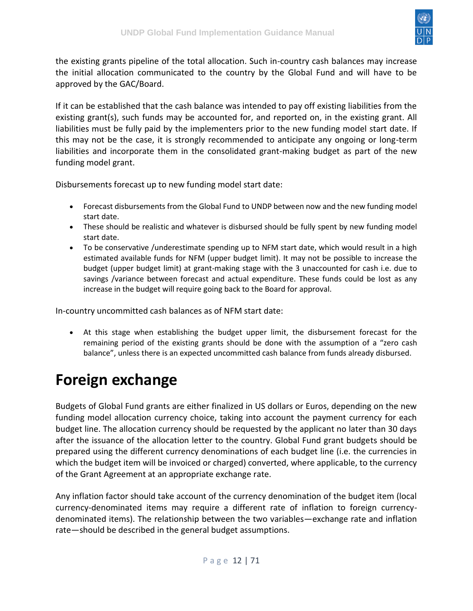

the existing grants pipeline of the total allocation. Such in-country cash balances may increase the initial allocation communicated to the country by the Global Fund and will have to be approved by the GAC/Board.

If it can be established that the cash balance was intended to pay off existing liabilities from the existing grant(s), such funds may be accounted for, and reported on, in the existing grant. All liabilities must be fully paid by the implementers prior to the new funding model start date. If this may not be the case, it is strongly recommended to anticipate any ongoing or long-term liabilities and incorporate them in the consolidated grant-making budget as part of the new funding model grant.

Disbursements forecast up to new funding model start date:

- Forecast disbursements from the Global Fund to UNDP between now and the new funding model start date.
- These should be realistic and whatever is disbursed should be fully spent by new funding model start date.
- To be conservative /underestimate spending up to NFM start date, which would result in a high estimated available funds for NFM (upper budget limit). It may not be possible to increase the budget (upper budget limit) at grant-making stage with the 3 unaccounted for cash i.e. due to savings /variance between forecast and actual expenditure. These funds could be lost as any increase in the budget will require going back to the Board for approval.

In-country uncommitted cash balances as of NFM start date:

• At this stage when establishing the budget upper limit, the disbursement forecast for the remaining period of the existing grants should be done with the assumption of a "zero cash balance", unless there is an expected uncommitted cash balance from funds already disbursed.

# <span id="page-11-0"></span>**Foreign exchange**

Budgets of Global Fund grants are either finalized in US dollars or Euros, depending on the new funding model allocation currency choice, taking into account the payment currency for each budget line. The allocation currency should be requested by the applicant no later than 30 days after the issuance of the allocation letter to the country. Global Fund grant budgets should be prepared using the different currency denominations of each budget line (i.e. the currencies in which the budget item will be invoiced or charged) converted, where applicable, to the currency of the Grant Agreement at an appropriate exchange rate.

Any inflation factor should take account of the currency denomination of the budget item (local currency-denominated items may require a different rate of inflation to foreign currencydenominated items). The relationship between the two variables—exchange rate and inflation rate—should be described in the general budget assumptions.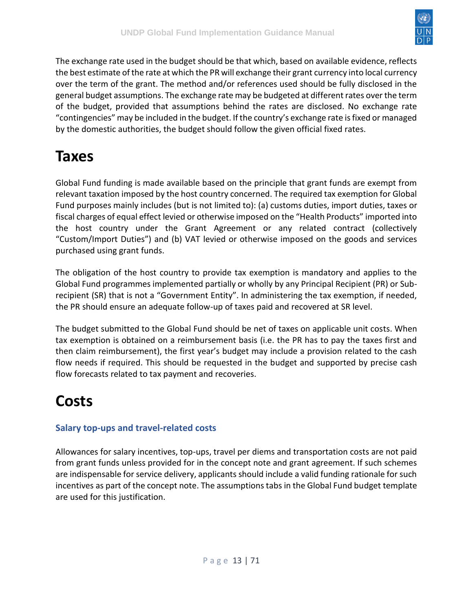

The exchange rate used in the budget should be that which, based on available evidence, reflects the best estimate of the rate at which the PR will exchange their grant currency into local currency over the term of the grant. The method and/or references used should be fully disclosed in the general budget assumptions. The exchange rate may be budgeted at different rates over the term of the budget, provided that assumptions behind the rates are disclosed. No exchange rate "contingencies" may be included in the budget. If the country's exchange rate is fixed or managed by the domestic authorities, the budget should follow the given official fixed rates.

## <span id="page-12-0"></span>**Taxes**

Global Fund funding is made available based on the principle that grant funds are exempt from relevant taxation imposed by the host country concerned. The required tax exemption for Global Fund purposes mainly includes (but is not limited to): (a) customs duties, import duties, taxes or fiscal charges of equal effect levied or otherwise imposed on the "Health Products" imported into the host country under the Grant Agreement or any related contract (collectively "Custom/Import Duties") and (b) VAT levied or otherwise imposed on the goods and services purchased using grant funds.

The obligation of the host country to provide tax exemption is mandatory and applies to the Global Fund programmes implemented partially or wholly by any Principal Recipient (PR) or Subrecipient (SR) that is not a "Government Entity". In administering the tax exemption, if needed, the PR should ensure an adequate follow-up of taxes paid and recovered at SR level.

The budget submitted to the Global Fund should be net of taxes on applicable unit costs. When tax exemption is obtained on a reimbursement basis (i.e. the PR has to pay the taxes first and then claim reimbursement), the first year's budget may include a provision related to the cash flow needs if required. This should be requested in the budget and supported by precise cash flow forecasts related to tax payment and recoveries.

## <span id="page-12-1"></span>**Costs**

#### <span id="page-12-2"></span>**Salary top-ups and travel-related costs**

Allowances for salary incentives, top-ups, travel per diems and transportation costs are not paid from grant funds unless provided for in the concept note and grant agreement. If such schemes are indispensable for service delivery, applicants should include a valid funding rationale for such incentives as part of the concept note. The assumptions tabs in the Global Fund budget template are used for this justification.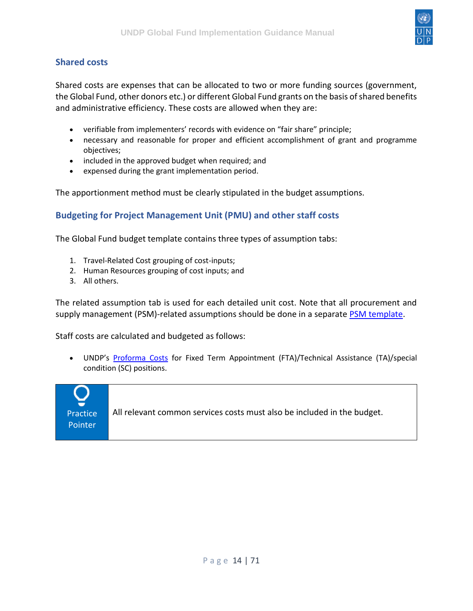

#### <span id="page-13-0"></span>**Shared costs**

Shared costs are expenses that can be allocated to two or more funding sources (government, the Global Fund, other donors etc.) or different Global Fund grants on the basis of shared benefits and administrative efficiency. These costs are allowed when they are:

- verifiable from implementers' records with evidence on "fair share" principle;
- necessary and reasonable for proper and efficient accomplishment of grant and programme objectives;
- included in the approved budget when required; and
- expensed during the grant implementation period.

The apportionment method must be clearly stipulated in the budget assumptions.

#### <span id="page-13-1"></span>**Budgeting for Project Management Unit (PMU) and other staff costs**

The Global Fund budget template contains three types of assumption tabs:

- 1. Travel-Related Cost grouping of cost-inputs;
- 2. Human Resources grouping of cost inputs; and
- 3. All others.

The related assumption tab is used for each detailed unit cost. Note that all procurement and supply management (PSM)-related assumptions should be done in a separate [PSM template.](https://www.theglobalfund.org/media/5692/fundingmodel_listofhealthproducts_template_aa.xlsx)

Staff costs are calculated and budgeted as follows:

• UNDP's [Proforma Costs](https://intranet.undp.org/unit/ofrm/Financial%20Resource%20Management%20Policies/Forms/By%20FBP%20Document%20Category.aspx) for Fixed Term Appointment (FTA)/Technical Assistance (TA)/special condition (SC) positions.

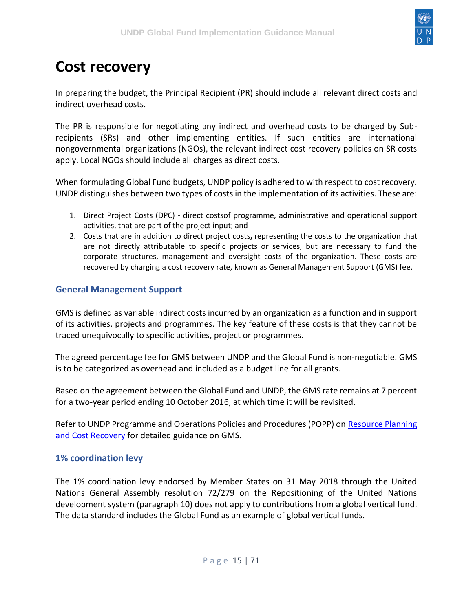

## <span id="page-14-0"></span>**Cost recovery**

In preparing the budget, the Principal Recipient (PR) should include all relevant direct costs and indirect overhead costs.

The PR is responsible for negotiating any indirect and overhead costs to be charged by Subrecipients (SRs) and other implementing entities. If such entities are international nongovernmental organizations (NGOs), the relevant indirect cost recovery policies on SR costs apply. Local NGOs should include all charges as direct costs.

When formulating Global Fund budgets, UNDP policy is adhered to with respect to cost recovery. UNDP distinguishes between two types of costs in the implementation of its activities. These are:

- 1. Direct Project Costs (DPC) direct costsof programme, administrative and operational support activities, that are part of the project input; and
- 2. Costs that are in addition to direct project costs**,** representing the costs to the organization that are not directly attributable to specific projects or services, but are necessary to fund the corporate structures, management and oversight costs of the organization. These costs are recovered by charging a cost recovery rate, known as General Management Support (GMS) fee.

#### <span id="page-14-1"></span>**General Management Support**

GMS is defined as variable indirect costs incurred by an organization as a function and in support of its activities, projects and programmes. The key feature of these costs is that they cannot be traced unequivocally to specific activities, project or programmes.

The agreed percentage fee for GMS between UNDP and the Global Fund is non-negotiable. GMS is to be categorized as overhead and included as a budget line for all grants.

Based on the agreement between the Global Fund and UNDP, the GMS rate remains at 7 percent for a two-year period ending 10 October 2016, at which time it will be revisited.

Refer to UNDP Programme and Operations Policies and Procedures (POPP) on [Resource Planning](https://popp.undp.org/SitePages/POPPChapter.aspx?TermID=fc71c140-471f-4e84-905d-462d1e25d324)  [and Cost Recovery](https://popp.undp.org/SitePages/POPPChapter.aspx?TermID=fc71c140-471f-4e84-905d-462d1e25d324) for detailed guidance on GMS.

#### <span id="page-14-2"></span>**1% coordination levy**

The 1% coordination levy endorsed by Member States on 31 May 2018 through the United Nations General Assembly resolution 72/279 on the Repositioning of the United Nations development system (paragraph 10) does not apply to contributions from a global vertical fund. The data standard includes the Global Fund as an example of global vertical funds.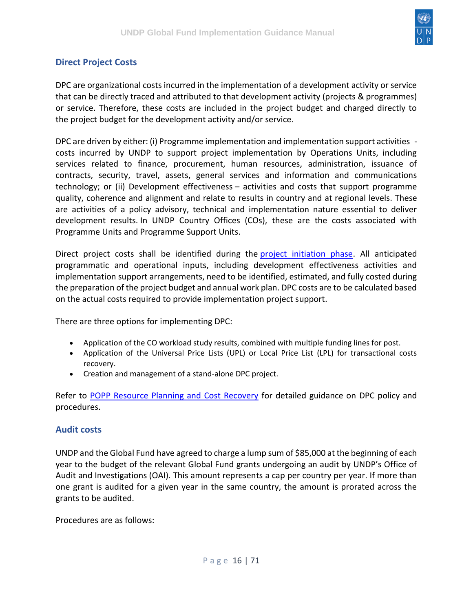

#### <span id="page-15-0"></span>**Direct Project Costs**

DPC are organizational costs incurred in the implementation of a development activity or service that can be directly traced and attributed to that development activity (projects & programmes) or service. Therefore, these costs are included in the project budget and charged directly to the project budget for the development activity and/or service.

DPC are driven by either: (i) Programme implementation and implementation support activities costs incurred by UNDP to support project implementation by Operations Units, including services related to finance, procurement, human resources, administration, issuance of contracts, security, travel, assets, general services and information and communications technology; or (ii) Development effectiveness – activities and costs that support programme quality, coherence and alignment and relate to results in country and at regional levels. These are activities of a policy advisory, technical and implementation nature essential to deliver development results. In UNDP Country Offices (COs), these are the costs associated with Programme Units and Programme Support Units.

Direct project costs shall be identified during the [project initiation phase.](https://popp.undp.org/SitePages/POPPSubject.aspx?SBJID=246) All anticipated programmatic and operational inputs, including development effectiveness activities and implementation support arrangements, need to be identified, estimated, and fully costed during the preparation of the project budget and annual work plan. DPC costs are to be calculated based on the actual costs required to provide implementation project support.

There are three options for implementing DPC:

- Application of the CO workload study results, combined with multiple funding lines for post.
- Application of the Universal Price Lists (UPL) or Local Price List (LPL) for transactional costs recovery.
- Creation and management of a stand-alone DPC project.

Refer to [POPP Resource Planning and Cost Recovery](https://popp.undp.org/SitePages/POPPChapter.aspx?TermID=fc71c140-471f-4e84-905d-462d1e25d324) for detailed guidance on DPC policy and procedures.

#### <span id="page-15-1"></span>**Audit costs**

UNDP and the Global Fund have agreed to charge a lump sum of \$85,000 at the beginning of each year to the budget of the relevant Global Fund grants undergoing an audit by UNDP's Office of Audit and Investigations (OAI). This amount represents a cap per country per year. If more than one grant is audited for a given year in the same country, the amount is prorated across the grants to be audited.

Procedures are as follows: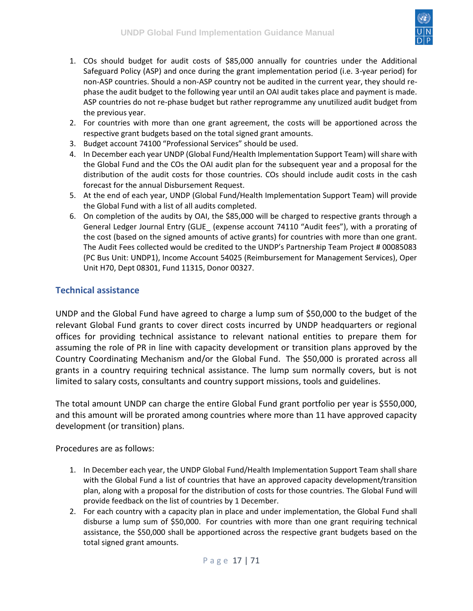

- 1. COs should budget for audit costs of \$85,000 annually for countries under the Additional Safeguard Policy (ASP) and once during the grant implementation period (i.e. 3-year period) for non-ASP countries. Should a non-ASP country not be audited in the current year, they should rephase the audit budget to the following year until an OAI audit takes place and payment is made. ASP countries do not re-phase budget but rather reprogramme any unutilized audit budget from the previous year.
- 2. For countries with more than one grant agreement, the costs will be apportioned across the respective grant budgets based on the total signed grant amounts.
- 3. Budget account 74100 "Professional Services" should be used.
- 4. In December each year UNDP (Global Fund/Health Implementation Support Team) will share with the Global Fund and the COs the OAI audit plan for the subsequent year and a proposal for the distribution of the audit costs for those countries. COs should include audit costs in the cash forecast for the annual Disbursement Request.
- 5. At the end of each year, UNDP (Global Fund/Health Implementation Support Team) will provide the Global Fund with a list of all audits completed.
- 6. On completion of the audits by OAI, the \$85,000 will be charged to respective grants through a General Ledger Journal Entry (GLJE (expense account 74110 "Audit fees"), with a prorating of the cost (based on the signed amounts of active grants) for countries with more than one grant. The Audit Fees collected would be credited to the UNDP's Partnership Team Project # 00085083 (PC Bus Unit: UNDP1), Income Account 54025 (Reimbursement for Management Services), Oper Unit H70, Dept 08301, Fund 11315, Donor 00327.

#### <span id="page-16-0"></span>**Technical assistance**

UNDP and the Global Fund have agreed to charge a lump sum of \$50,000 to the budget of the relevant Global Fund grants to cover direct costs incurred by UNDP headquarters or regional offices for providing technical assistance to relevant national entities to prepare them for assuming the role of PR in line with capacity development or transition plans approved by the Country Coordinating Mechanism and/or the Global Fund. The \$50,000 is prorated across all grants in a country requiring technical assistance. The lump sum normally covers, but is not limited to salary costs, consultants and country support missions, tools and guidelines.

The total amount UNDP can charge the entire Global Fund grant portfolio per year is \$550,000, and this amount will be prorated among countries where more than 11 have approved capacity development (or transition) plans.

Procedures are as follows:

- 1. In December each year, the UNDP Global Fund/Health Implementation Support Team shall share with the Global Fund a list of countries that have an approved capacity development/transition plan, along with a proposal for the distribution of costs for those countries. The Global Fund will provide feedback on the list of countries by 1 December.
- 2. For each country with a capacity plan in place and under implementation, the Global Fund shall disburse a lump sum of \$50,000. For countries with more than one grant requiring technical assistance, the \$50,000 shall be apportioned across the respective grant budgets based on the total signed grant amounts.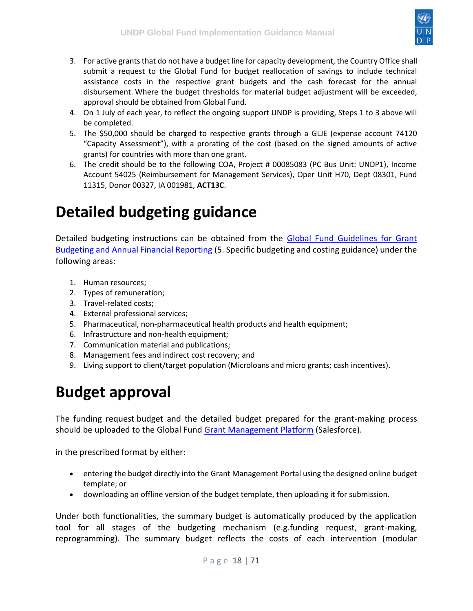

- 3. For active grants that do not have a budget line for capacity development, the Country Office shall submit a request to the Global Fund for budget reallocation of savings to include technical assistance costs in the respective grant budgets and the cash forecast for the annual disbursement. Where the budget thresholds for material budget adjustment will be exceeded, approval should be obtained from Global Fund.
- 4. On 1 July of each year, to reflect the ongoing support UNDP is providing, Steps 1 to 3 above will be completed.
- 5. The \$50,000 should be charged to respective grants through a GLJE (expense account 74120 "Capacity Assessment"), with a prorating of the cost (based on the signed amounts of active grants) for countries with more than one grant.
- 6. The credit should be to the following COA, Project # 00085083 (PC Bus Unit: UNDP1), Income Account 54025 (Reimbursement for Management Services), Oper Unit H70, Dept 08301, Fund 11315, Donor 00327, IA 001981, **ACT13C**.

## <span id="page-17-0"></span>**Detailed budgeting guidance**

Detailed budgeting instructions can be obtained from the [Global Fund Guidelines for Grant](https://www.theglobalfund.org/media/3261/core_budgetinginglobalfundgrants_guideline_en.pdf)  [Budgeting and Annual Financial Reporting](https://www.theglobalfund.org/media/3261/core_budgetinginglobalfundgrants_guideline_en.pdf) (5. Specific budgeting and costing guidance) under the following areas:

- 1. Human resources;
- 2. Types of remuneration;
- 3. Travel-related costs;
- 4. External professional services;
- 5. Pharmaceutical, non-pharmaceutical health products and health equipment;
- 6. Infrastructure and non-health equipment;
- 7. Communication material and publications;
- 8. Management fees and indirect cost recovery; and
- 9. Living support to client/target population (Microloans and micro grants; cash incentives).

## <span id="page-17-1"></span>**Budget approval**

The funding request budget and the detailed budget prepared for the grant-making process should be uploaded to the Global Fund [Grant Management Platform](https://www.theglobalfund.org/en/partner-portal/) (Salesforce).

in the prescribed format by either:

- entering the budget directly into the Grant Management Portal using the designed online budget template; or
- downloading an offline version of the budget template, then uploading it for submission.

Under both functionalities, the summary budget is automatically produced by the application tool for all stages of the budgeting mechanism (e.g.funding request, grant-making, reprogramming). The summary budget reflects the costs of each intervention (modular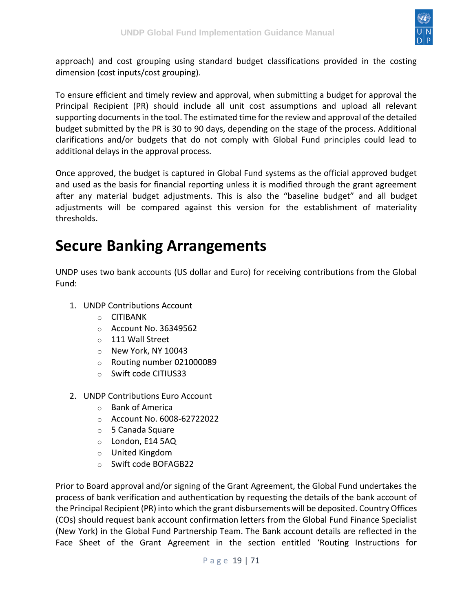

approach) and cost grouping using standard budget classifications provided in the costing dimension (cost inputs/cost grouping).

To ensure efficient and timely review and approval, when submitting a budget for approval the Principal Recipient (PR) should include all unit cost assumptions and upload all relevant supporting documents in the tool. The estimated time for the review and approval of the detailed budget submitted by the PR is 30 to 90 days, depending on the stage of the process. Additional clarifications and/or budgets that do not comply with Global Fund principles could lead to additional delays in the approval process.

Once approved, the budget is captured in Global Fund systems as the official approved budget and used as the basis for financial reporting unless it is modified through the grant agreement after any material budget adjustments. This is also the "baseline budget" and all budget adjustments will be compared against this version for the establishment of materiality thresholds.

### <span id="page-18-0"></span>**Secure Banking Arrangements**

UNDP uses two bank accounts (US dollar and Euro) for receiving contributions from the Global Fund:

- 1. UNDP Contributions Account
	- o CITIBANK
	- $\circ$  Account No. 36349562
	- o 111 Wall Street
	- o New York, NY 10043
	- o Routing number 021000089
	- o Swift code CITIUS33
- 2. UNDP Contributions Euro Account
	- o Bank of America
	- o Account No. 6008-62722022
	- o 5 Canada Square
	- o London, E14 5AQ
	- o United Kingdom
	- o Swift code BOFAGB22

Prior to Board approval and/or signing of the Grant Agreement, the Global Fund undertakes the process of bank verification and authentication by requesting the details of the bank account of the Principal Recipient (PR) into which the grant disbursements will be deposited. Country Offices (COs) should request bank account confirmation letters from the Global Fund Finance Specialist (New York) in the Global Fund Partnership Team. The Bank account details are reflected in the Face Sheet of the Grant Agreement in the section entitled 'Routing Instructions for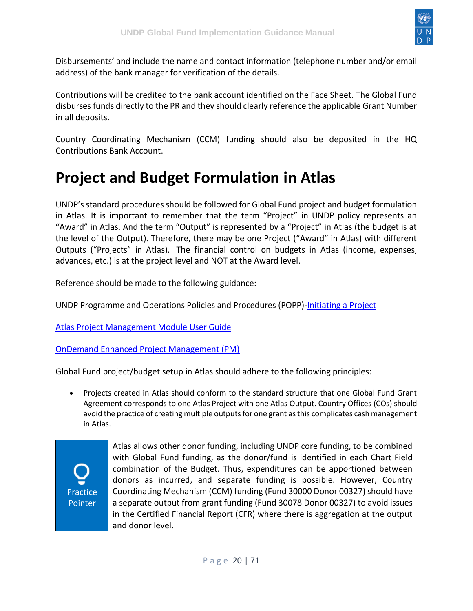

Disbursements' and include the name and contact information (telephone number and/or email address) of the bank manager for verification of the details.

Contributions will be credited to the bank account identified on the Face Sheet. The Global Fund disburses funds directly to the PR and they should clearly reference the applicable Grant Number in all deposits.

Country Coordinating Mechanism (CCM) funding should also be deposited in the HQ Contributions Bank Account.

## <span id="page-19-0"></span>**Project and Budget Formulation in Atlas**

UNDP's standard procedures should be followed for Global Fund project and budget formulation in Atlas. It is important to remember that the term "Project" in UNDP policy represents an "Award" in Atlas. And the term "Output" is represented by a "Project" in Atlas (the budget is at the level of the Output). Therefore, there may be one Project ("Award" in Atlas) with different Outputs ("Projects" in Atlas). The financial control on budgets in Atlas (income, expenses, advances, etc.) is at the project level and NOT at the Award level.

Reference should be made to the following guidance:

UNDP Programme and Operations Policies and Procedures (POPP)[-Initiating a Project](https://popp.undp.org/UNDP_POPP_DOCUMENT_LIBRARY/Public/PPM_Project%20Management_Initiating.docx)

[Atlas Project Management Module User Guide](https://intranet.undp.org/unit/bom/User%20Guides/Atlas%20Project%20Management%20Module%20User%20Guide%20-%20Version%201.1%20Final.docx)

[OnDemand Enhanced Project Management \(PM\)](https://intranet.undp.org/unit/ohr/ondemand/SitePages/Business%20Processes.aspx)

Global Fund project/budget setup in Atlas should adhere to the following principles:

• Projects created in Atlas should conform to the standard structure that one Global Fund Grant Agreement corresponds to one Atlas Project with one Atlas Output. Country Offices (COs) should avoid the practice of creating multiple outputs for one grant as this complicates cash management in Atlas.

Practice Pointer Atlas allows other donor funding, including UNDP core funding, to be combined with Global Fund funding, as the donor/fund is identified in each Chart Field combination of the Budget. Thus, expenditures can be apportioned between donors as incurred, and separate funding is possible. However, Country Coordinating Mechanism (CCM) funding (Fund 30000 Donor 00327) should have a separate output from grant funding (Fund 30078 Donor 00327) to avoid issues in the Certified Financial Report (CFR) where there is aggregation at the output and donor level.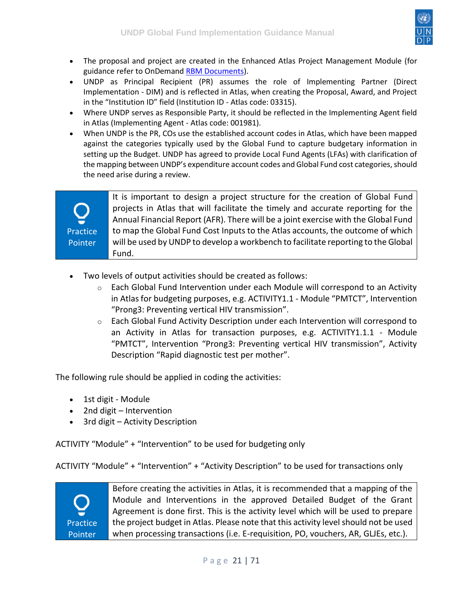

- The proposal and project are created in the Enhanced Atlas Project Management Module (for guidance refer to OnDemand [RBM Documents\)](https://intranet.undp.org/unit/ohr/ondemand/RBM%20Documents/Forms/HomeView.aspx).
- UNDP as Principal Recipient (PR) assumes the role of Implementing Partner (Direct Implementation - DIM) and is reflected in Atlas, when creating the Proposal, Award, and Project in the "Institution ID" field (Institution ID - Atlas code: 03315).
- Where UNDP serves as Responsible Party, it should be reflected in the Implementing Agent field in Atlas (Implementing Agent - Atlas code: 001981).
- When UNDP is the PR, COs use the established account codes in Atlas, which have been mapped against the categories typically used by the Global Fund to capture budgetary information in setting up the Budget. UNDP has agreed to provide Local Fund Agents (LFAs) with clarification of the mapping between UNDP's expenditure account codes and Global Fund cost categories, should the need arise during a review.



It is important to design a project structure for the creation of Global Fund projects in Atlas that will facilitate the timely and accurate reporting for the Annual Financial Report (AFR). There will be a joint exercise with the Global Fund to map the Global Fund Cost Inputs to the Atlas accounts, the outcome of which will be used by UNDP to develop a workbench to facilitate reporting to the Global Fund.

- Two levels of output activities should be created as follows:
	- $\circ$  Each Global Fund Intervention under each Module will correspond to an Activity in Atlas for budgeting purposes, e.g. ACTIVITY1.1 - Module "PMTCT", Intervention "Prong3: Preventing vertical HIV transmission".
	- $\circ$  Each Global Fund Activity Description under each Intervention will correspond to an Activity in Atlas for transaction purposes, e.g. ACTIVITY1.1.1 - Module "PMTCT", Intervention "Prong3: Preventing vertical HIV transmission", Activity Description "Rapid diagnostic test per mother".

The following rule should be applied in coding the activities:

- 1st digit Module
- 2nd digit Intervention
- 3rd digit Activity Description

ACTIVITY "Module" + "Intervention" to be used for budgeting only

ACTIVITY "Module" + "Intervention" + "Activity Description" to be used for transactions only



Before creating the activities in Atlas, it is recommended that a mapping of the Module and Interventions in the approved Detailed Budget of the Grant Agreement is done first. This is the activity level which will be used to prepare the project budget in Atlas. Please note that this activity level should not be used when processing transactions (i.e. E-requisition, PO, vouchers, AR, GLJEs, etc.).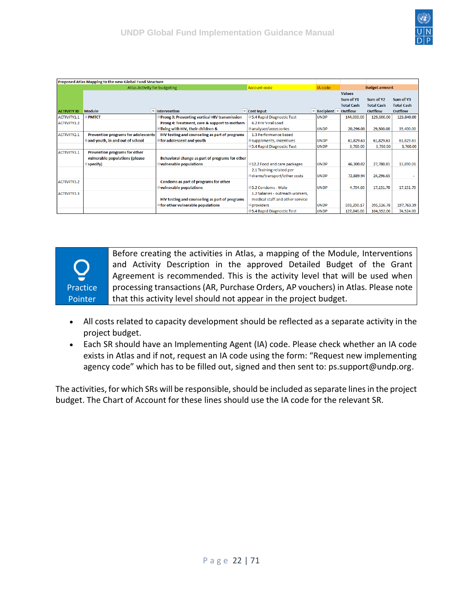|                    | Proposed Atlas Mapping to the new Global Fund Structure |                                                 |                                     |                                                             |                   |                      |                   |
|--------------------|---------------------------------------------------------|-------------------------------------------------|-------------------------------------|-------------------------------------------------------------|-------------------|----------------------|-------------------|
|                    | <b>Atlas Activity for budgeting</b>                     |                                                 | Account code                        | IA code                                                     |                   | <b>Budget amount</b> |                   |
|                    |                                                         |                                                 |                                     |                                                             | <b>Values</b>     |                      |                   |
|                    |                                                         |                                                 |                                     |                                                             | Sum of Y1         | Sum of Y2            | Sum of Y3         |
|                    |                                                         |                                                 |                                     |                                                             | <b>Total Cash</b> | <b>Total Cash</b>    | <b>Total Cash</b> |
| <b>ACTIVITY ID</b> | <b>Module</b>                                           | $\overline{\phantom{a}}$ Intervention           | $\overline{\phantom{a}}$ Cost Input | $\overline{\phantom{a}}$ Recipient $\overline{\phantom{a}}$ | <b>Outflow</b>    | Outflow              | Outflow           |
| ACTIVITY1.1        | $\blacksquare$ PMTCT                                    | Prong 3: Preventing vertical HIV transmission   | 5.4 Rapid Diagnostic Test           | <b>UNDP</b>                                                 | 144,000.00        | 129,600.00           | 123,840.00        |
| ACTIVITY1.2        |                                                         | Prong 4: Treatment, care & support to mothers   | 6.2 HIV Viral Load                  |                                                             |                   |                      |                   |
|                    |                                                         | living with HIV, their children &               | analyser/accessories=               | <b>UNDP</b>                                                 | 20,296.00         | 29,500.00            | 35,400.00         |
| ACTIVITY2.1        | <b>Prevention programs for adolescents</b>              | HIV testing and counseling as part of programs  | 1.3 Performance based               |                                                             |                   |                      |                   |
|                    | and youth, in and out of school                         | <b>E</b> for adolescent and youth               | suppliments, incentives             | <b>UNDP</b>                                                 | 61,829.63         | 61,829.63            | 61,829.63         |
|                    |                                                         |                                                 | 5.4 Rapid Diagnostic Test           | <b>UNDP</b>                                                 | 3,760.00          | 3,760.00             | 3,760.00          |
| ACTIVITY3.1        | Prevention programs for other                           |                                                 |                                     |                                                             |                   |                      |                   |
|                    | vulnerable populations (please                          | Behavioral change as part of programs for other |                                     |                                                             |                   |                      |                   |
|                    | $\blacksquare$ specify)                                 | <b>■vulnerable populations</b>                  | ■12.2 Food and care packages        | <b>UNDP</b>                                                 | 46,300.02         | 27,780.01            | 13,890.01         |
|                    |                                                         |                                                 | 2.1 Training related per            |                                                             |                   |                      |                   |
|                    |                                                         |                                                 | diems/transport/other costs         | <b>UNDP</b>                                                 | 72.889.94         | 24,296.65            |                   |
| <b>ACTIVITY3.2</b> |                                                         | Condoms as part of programs for other           |                                     |                                                             |                   |                      |                   |
|                    |                                                         | <b>■vulnerable populations</b>                  | □5.2 Condoms - Male                 | <b>UNDP</b>                                                 | 4,704.60          | 17,151.70            | 17,151.70         |
| ACTIVITY3.3        |                                                         |                                                 | 1.2 Salaries - outreach workers.    |                                                             |                   |                      |                   |
|                    |                                                         | HIV testing and counseling as part of programs  | medical staff and other service     |                                                             |                   |                      |                   |
|                    |                                                         | <b>Set for other vulnerable populations</b>     | $\blacksquare$ providers            | <b>UNDP</b>                                                 | 593,290.17        | 395,526.78           | 197,763.39        |
|                    |                                                         |                                                 | 5.4 Rapid Diagnostic Test           | <b>UNDP</b>                                                 | 127,840.00        | 104,952.00           | 74,524.00         |

Practice Pointer Before creating the activities in Atlas, a mapping of the Module, Interventions and Activity Description in the approved Detailed Budget of the Grant Agreement is recommended. This is the activity level that will be used when processing transactions (AR, Purchase Orders, AP vouchers) in Atlas. Please note that this activity level should not appear in the project budget.

- All costs related to capacity development should be reflected as a separate activity in the project budget.
- Each SR should have an Implementing Agent (IA) code. Please check whether an IA code exists in Atlas and if not, request an IA code using the form: "Request new implementing agency code" which has to be filled out, signed and then sent to: ps.support@undp.org.

The activities, for which SRs will be responsible, should be included as separate lines in the project budget. The Chart of Account for these lines should use the IA code for the relevant SR.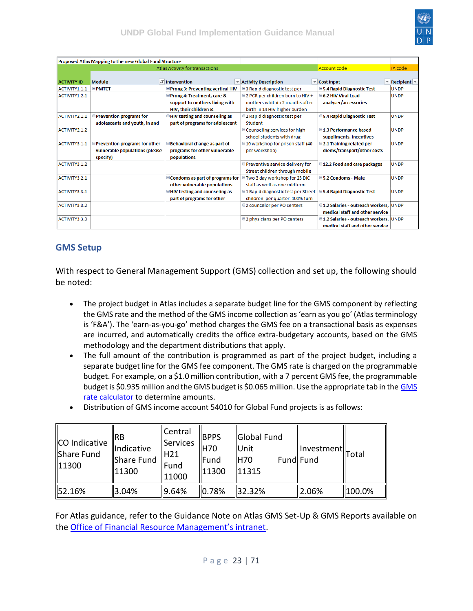

|                    | Proposed Atlas Mapping to the new Global Fund Structure |                                              |                                         |                                               |                                                             |
|--------------------|---------------------------------------------------------|----------------------------------------------|-----------------------------------------|-----------------------------------------------|-------------------------------------------------------------|
|                    |                                                         | Atlas Activity for transactions              |                                         | Account code                                  | IA code                                                     |
|                    |                                                         |                                              |                                         |                                               |                                                             |
| <b>ACTIVITY ID</b> | <b>Module</b>                                           | <b>T</b> Intervention                        | * Activity Description                  | $\mathbf{C}$ Cost Input                       | $\overline{\phantom{a}}$ Recipient $\overline{\phantom{a}}$ |
| ACTIVITY1.1.1      | <b>EPMTCT</b>                                           | Prong 3: Preventing vertical HIV             | □3 Rapid diagnostic test per            | <b>■5.4 Rapid Diagnostic Test</b>             | <b>UNDP</b>                                                 |
| ACTIVITY1.2.1      |                                                         | Prong 4: Treatment, care &                   | □ 2 PCR per children born to HIV +      | □ 6.2 HIV Viral Load                          | <b>UNDP</b>                                                 |
|                    |                                                         | support to mothers living with               | mothers whithin 2 months after          | analyser/accessories                          |                                                             |
|                    |                                                         | HIV, their children &                        | birth in 14 HIV higher burden           |                                               |                                                             |
| ACTIVITY2.1.1      | Prevention programs for                                 | <b>■HIV testing and counseling as</b>        | □2 Rapid diagnostic test per            | <b>■5.4 Rapid Diagnostic Test</b>             | <b>UNDP</b>                                                 |
|                    | adolescents and youth, in and                           | part of programs for adolescent              | Student                                 |                                               |                                                             |
| ACTIVITY2.1.2      |                                                         |                                              | □ Counseling services for high          | □1.3 Performance based                        | <b>UNDP</b>                                                 |
|                    |                                                         |                                              | school students with drug               | suppliments, incentives                       |                                                             |
| ACTIVITY3.1.1      | Prevention programs for other                           | Behavioral change as part of                 | □ 10 workshop for prison staff (40      | ■2.1 Training related per                     | <b>UNDP</b>                                                 |
|                    | vulnerable populations (please                          | programs for other vulnerable                | per workshop)                           | diems/transport/other costs                   |                                                             |
|                    | specify)                                                | populations                                  |                                         |                                               |                                                             |
| ACTIVITY3.1.2      |                                                         |                                              | <b>EPreventive service delivery for</b> | ■12.2 Food and care packages                  | <b>UNDP</b>                                                 |
|                    |                                                         |                                              | Street children through mobile          |                                               |                                                             |
| ACTIVITY3.2.1      |                                                         | Condoms as part of programs for              | □ Two 3 day workshop for 25 DIC         | □5.2 Condoms - Male                           | <b>UNDP</b>                                                 |
|                    |                                                         | other vulnerable populations                 | staff as well as one midterm            |                                               |                                                             |
| ACTIVITY3.3.1      |                                                         | $\blacksquare$ HIV testing and counseling as | □1 Rapid diagnostic test per Street     | ■5.4 Rapid Diagnostic Test                    | <b>UNDP</b>                                                 |
|                    |                                                         | part of programs for other                   | children per quarter, 100% turn         |                                               |                                                             |
| ACTIVITY3.3.2      |                                                         |                                              | □2 councelor per PO centers             | □1.2 Salaries - outreach workers, UNDP        |                                                             |
|                    |                                                         |                                              |                                         | medical staff and other service               |                                                             |
| ACTIVITY3.3.3      |                                                         |                                              | □2 physicians per PO centers            | <b>■1.2 Salaries - outreach workers, UNDP</b> |                                                             |
|                    |                                                         |                                              |                                         | medical staff and other service               |                                                             |

#### <span id="page-22-0"></span>**GMS Setup**

With respect to General Management Support (GMS) collection and set up, the following should be noted:

- The project budget in Atlas includes a separate budget line for the GMS component by reflecting the GMS rate and the method of the GMS income collection as 'earn as you go' (Atlas terminology is 'F&A'). The 'earn-as-you-go' method charges the GMS fee on a transactional basis as expenses are incurred, and automatically credits the office extra-budgetary accounts, based on the GMS methodology and the department distributions that apply.
- The full amount of the contribution is programmed as part of the project budget, including a separate budget line for the GMS fee component. The GMS rate is charged on the programmable budget. For example, on a \$1.0 million contribution, with a 7 percent GMS fee, the programmable budget is \$0.935 million and the GMS budget is \$0.065 million. Use the appropriate tab in the [GMS](https://popp.undp.org/_Layouts/15/POPPOpenDoc.aspx?ID=POPP-11-2411)  [rate calculator](https://popp.undp.org/_Layouts/15/POPPOpenDoc.aspx?ID=POPP-11-2411) to determine amounts.
- Distribution of GMS income account 54010 for Global Fund projects is as follows:

| CO Indicative<br>Share Fund<br>11300 | IRB<br>Indicative<br>Share Fund<br>11300 | Central<br>Services<br>IH21<br>Fund<br>11000 | <b>BPPS</b><br>IH70<br>Fund<br>11300 | Global Fund<br><b>I</b> Unit<br><b>H70</b><br>11315 | Investment  <br> Total<br>Fund Fund |        |
|--------------------------------------|------------------------------------------|----------------------------------------------|--------------------------------------|-----------------------------------------------------|-------------------------------------|--------|
| 52.16%                               | 3.04%                                    | 9.64%                                        | 0.78%                                | 32.32%                                              | 2.06%                               | 100.0% |

For Atlas guidance, refer to the Guidance Note on Atlas GMS Set-Up & GMS Reports available on the [Office of Financial Resource Management's intranet](https://intranet.undp.org/unit/ofrm/Financial%20Resource%20Management%20Policies/Forms/By%20FBP%20Document%20Category.aspx?RootFolder=%2Funit%2Fofrm%2FFinancial%20Resource%20Management%20Policies%2FCommunication&FolderCTID=0x0120009837A6491BE4B440B59E74738CBA3637&View=%7B2F3E81BD%2D1DB2%2D4733%2D9928%2DAA3C0CC89F21%7D).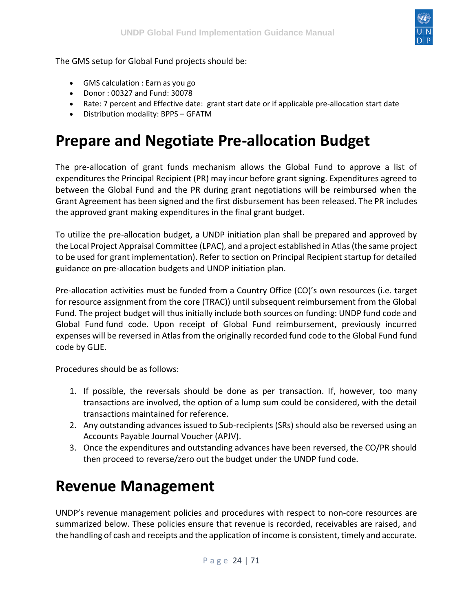

The GMS setup for Global Fund projects should be:

- GMS calculation : Earn as you go
- Donor : 00327 and Fund: 30078
- Rate: 7 percent and Effective date: grant start date or if applicable pre-allocation start date
- Distribution modality: BPPS GFATM

## <span id="page-23-0"></span>**Prepare and Negotiate Pre-allocation Budget**

The pre-allocation of grant funds mechanism allows the Global Fund to approve a list of expenditures the Principal Recipient (PR) may incur before grant signing. Expenditures agreed to between the Global Fund and the PR during grant negotiations will be reimbursed when the Grant Agreement has been signed and the first disbursement has been released. The PR includes the approved grant making expenditures in the final grant budget.

To utilize the pre-allocation budget, a UNDP initiation plan shall be prepared and approved by the Local Project Appraisal Committee (LPAC), and a project established in Atlas (the same project to be used for grant implementation). Refer to section on Principal Recipient startup for detailed guidance on pre-allocation budgets and UNDP initiation plan.

Pre-allocation activities must be funded from a Country Office (CO)'s own resources (i.e. target for resource assignment from the core (TRAC)) until subsequent reimbursement from the Global Fund. The project budget will thus initially include both sources on funding: UNDP fund code and Global Fund fund code. Upon receipt of Global Fund reimbursement, previously incurred expenses will be reversed in Atlas from the originally recorded fund code to the Global Fund fund code by GLJE.

Procedures should be as follows:

- 1. If possible, the reversals should be done as per transaction. If, however, too many transactions are involved, the option of a lump sum could be considered, with the detail transactions maintained for reference.
- 2. Any outstanding advances issued to Sub-recipients (SRs) should also be reversed using an Accounts Payable Journal Voucher (APJV).
- 3. Once the expenditures and outstanding advances have been reversed, the CO/PR should then proceed to reverse/zero out the budget under the UNDP fund code.

## <span id="page-23-1"></span>**Revenue Management**

UNDP's revenue management policies and procedures with respect to non-core resources are summarized below. These policies ensure that revenue is recorded, receivables are raised, and the handling of cash and receipts and the application of income is consistent, timely and accurate.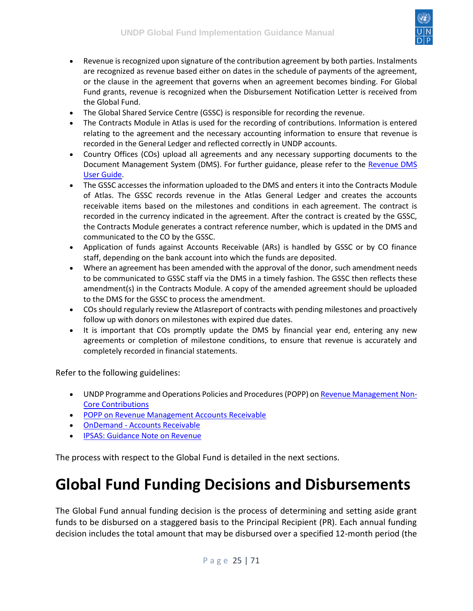

- Revenue is recognized upon signature of the contribution agreement by both parties. Instalments are recognized as revenue based either on dates in the schedule of payments of the agreement, or the clause in the agreement that governs when an agreement becomes binding. For Global Fund grants, revenue is recognized when the Disbursement Notification Letter is received from the Global Fund.
- The Global Shared Service Centre (GSSC) is responsible for recording the revenue.
- The Contracts Module in Atlas is used for the recording of contributions. Information is entered relating to the agreement and the necessary accounting information to ensure that revenue is recorded in the General Ledger and reflected correctly in UNDP accounts.
- Country Offices (COs) upload all agreements and any necessary supporting documents to the Document Management System (DMS). For further guidance, please refer to the Revenue DMS [User Guide.](https://intranet.undp.org/unit/oolts/oso/psu/_layouts/15/WopiFrame.aspx?sourcedoc=%2funit%2foolts%2foso%2fpsu%2fFile+Sharing+Library%2fAdmin+PSO%2fFerouze+-+PSO+Files%2fBudget+-+Finance%2fIPSAS+certifications%2fUserguides%2fRevenue+DMS+User+Guide_Issued+Jan+8+2012.docx)
- The GSSC accesses the information uploaded to the DMS and enters it into the Contracts Module of Atlas. The GSSC records revenue in the Atlas General Ledger and creates the accounts receivable items based on the milestones and conditions in each agreement. The contract is recorded in the currency indicated in the agreement. After the contract is created by the GSSC, the Contracts Module generates a contract reference number, which is updated in the DMS and communicated to the CO by the GSSC.
- Application of funds against Accounts Receivable (ARs) is handled by GSSC or by CO finance staff, depending on the bank account into which the funds are deposited.
- Where an agreement has been amended with the approval of the donor, such amendment needs to be communicated to GSSC staff via the DMS in a timely fashion. The GSSC then reflects these amendment(s) in the Contracts Module. A copy of the amended agreement should be uploaded to the DMS for the GSSC to process the amendment.
- COs should regularly review the Atlasreport of contracts with pending milestones and proactively follow up with donors on milestones with expired due dates.
- It is important that COs promptly update the DMS by financial year end, entering any new agreements or completion of milestone conditions, to ensure that revenue is accurately and completely recorded in financial statements.

Refer to the following guidelines:

- UNDP Programme and Operations Policies and Procedures (POPP) o[n Revenue Management Non-](https://popp.undp.org/SitePages/POPPSubject.aspx?SBJID=171)[Core Contributions](https://popp.undp.org/SitePages/POPPSubject.aspx?SBJID=171)
- [POPP on Revenue Management Accounts Receivable](https://popp.undp.org/SitePages/POPPSubject.aspx?SBJID=173)
- OnDemand [Accounts Receivable](https://intranet.undp.org/unit/ohr/ondemand/SitePages/Finance%20Profile.aspx)
- [IPSAS: Guidance Note on Revenue](https://intranet.undp.org/unit/bpps/hhd/GFpartnership/UNDPasPR/_layouts/WopiFrame.aspx?sourcedoc=/unit/bpps/hhd/GFpartnership/UNDPasPR/Finance/IPSAS%20-%20Guidance%20Note%20on%20Revenue.docx&action=default&Source=https%3A%2F%2Fintranet%2Eundp%2Eorg%2Funit%2Fbpps%2Fhhd%2FGFpartnership%2FUNDPasPR%2FFinance%2FForms%2FAllItems%2Easpx%3FInitialTabId%3DRibbon%252ELibrary%26VisibilityContext%3DWSSTabPersistence%26GroupString%3D%253B%2523Grant%2520Implementation%253B%2523%26IsGroupRender%3DTRUE&DefaultItemOpen=1)

The process with respect to the Global Fund is detailed in the next sections.

### <span id="page-24-0"></span>**Global Fund Funding Decisions and Disbursements**

The Global Fund annual funding decision is the process of determining and setting aside grant funds to be disbursed on a staggered basis to the Principal Recipient (PR). Each annual funding decision includes the total amount that may be disbursed over a specified 12-month period (the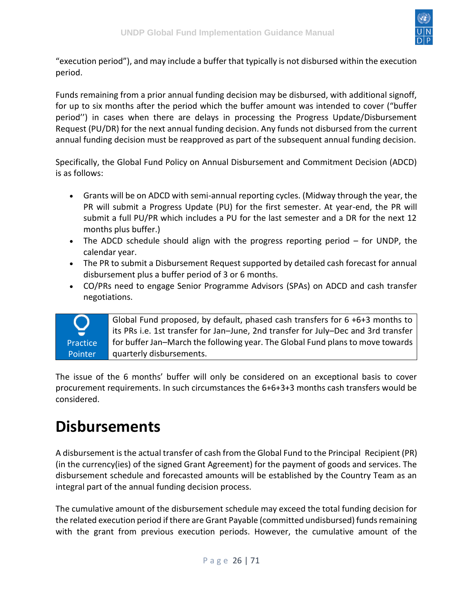

"execution period"), and may include a buffer that typically is not disbursed within the execution period.

Funds remaining from a prior annual funding decision may be disbursed, with additional signoff, for up to six months after the period which the buffer amount was intended to cover ("buffer period'') in cases when there are delays in processing the Progress Update/Disbursement Request (PU/DR) for the next annual funding decision. Any funds not disbursed from the current annual funding decision must be reapproved as part of the subsequent annual funding decision.

Specifically, the Global Fund Policy on Annual Disbursement and Commitment Decision (ADCD) is as follows:

- Grants will be on ADCD with semi-annual reporting cycles. (Midway through the year, the PR will submit a Progress Update (PU) for the first semester. At year-end, the PR will submit a full PU/PR which includes a PU for the last semester and a DR for the next 12 months plus buffer.)
- The ADCD schedule should align with the progress reporting period for UNDP, the calendar year.
- The PR to submit a Disbursement Request supported by detailed cash forecast for annual disbursement plus a buffer period of 3 or 6 months.
- CO/PRs need to engage Senior Programme Advisors (SPAs) on ADCD and cash transfer negotiations.



The issue of the 6 months' buffer will only be considered on an exceptional basis to cover procurement requirements. In such circumstances the 6+6+3+3 months cash transfers would be considered.

### <span id="page-25-0"></span>**Disbursements**

A disbursement is the actual transfer of cash from the Global Fund to the Principal Recipient (PR) (in the currency(ies) of the signed Grant Agreement) for the payment of goods and services. The disbursement schedule and forecasted amounts will be established by the Country Team as an integral part of the annual funding decision process.

The cumulative amount of the disbursement schedule may exceed the total funding decision for the related execution period if there are Grant Payable (committed undisbursed) funds remaining with the grant from previous execution periods. However, the cumulative amount of the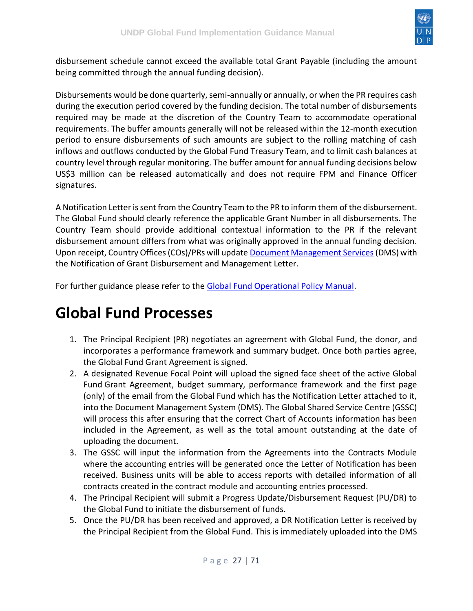

disbursement schedule cannot exceed the available total Grant Payable (including the amount being committed through the annual funding decision).

Disbursements would be done quarterly, semi-annually or annually, or when the PR requires cash during the execution period covered by the funding decision. The total number of disbursements required may be made at the discretion of the Country Team to accommodate operational requirements. The buffer amounts generally will not be released within the 12-month execution period to ensure disbursements of such amounts are subject to the rolling matching of cash inflows and outflows conducted by the Global Fund Treasury Team, and to limit cash balances at country level through regular monitoring. The buffer amount for annual funding decisions below US\$3 million can be released automatically and does not require FPM and Finance Officer signatures.

A Notification Letter is sent from the Country Team to the PR to inform them of the disbursement. The Global Fund should clearly reference the applicable Grant Number in all disbursements. The Country Team should provide additional contextual information to the PR if the relevant disbursement amount differs from what was originally approved in the annual funding decision. Upon receipt, Country Offices (COs)/PRs will updat[e Document Management Services](https://intranet.undp.org/unit/oolts/oso/psu/_layouts/15/WopiFrame.aspx?sourcedoc=/unit/oolts/oso/psu/File%20Sharing%20Library/Admin%20PSO/Ferouze%20-%20PSO%20Files/Budget%20-%20Finance/IPSAS%20certifications/Userguides/Revenue%20DMS%20User%20Guide_Issued%20Jan%208%202012.docx)(DMS) with the Notification of Grant Disbursement and Management Letter.

For further guidance please refer to the [Global Fund Operational Policy Manual.](https://www.theglobalfund.org/media/3266/core_operationalpolicy_manual_en.pdf)

## <span id="page-26-0"></span>**Global Fund Processes**

- 1. The Principal Recipient (PR) negotiates an agreement with Global Fund, the donor, and incorporates a performance framework and summary budget. Once both parties agree, the Global Fund Grant Agreement is signed.
- 2. A designated Revenue Focal Point will upload the signed face sheet of the active Global Fund Grant Agreement, budget summary, performance framework and the first page (only) of the email from the Global Fund which has the Notification Letter attached to it, into the Document Management System (DMS). The Global Shared Service Centre (GSSC) will process this after ensuring that the correct Chart of Accounts information has been included in the Agreement, as well as the total amount outstanding at the date of uploading the document.
- 3. The GSSC will input the information from the Agreements into the Contracts Module where the accounting entries will be generated once the Letter of Notification has been received. Business units will be able to access reports with detailed information of all contracts created in the contract module and accounting entries processed.
- 4. The Principal Recipient will submit a Progress Update/Disbursement Request (PU/DR) to the Global Fund to initiate the disbursement of funds.
- 5. Once the PU/DR has been received and approved, a DR Notification Letter is received by the Principal Recipient from the Global Fund. This is immediately uploaded into the DMS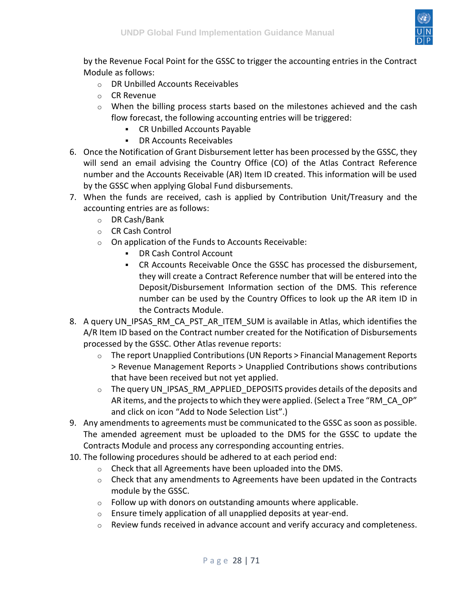

by the Revenue Focal Point for the GSSC to trigger the accounting entries in the Contract Module as follows:

- o DR Unbilled Accounts Receivables
- o CR Revenue
- $\circ$  When the billing process starts based on the milestones achieved and the cash flow forecast, the following accounting entries will be triggered:
	- CR Unbilled Accounts Payable
	- DR Accounts Receivables
- 6. Once the Notification of Grant Disbursement letter has been processed by the GSSC, they will send an email advising the Country Office (CO) of the Atlas Contract Reference number and the Accounts Receivable (AR) Item ID created. This information will be used by the GSSC when applying Global Fund disbursements.
- 7. When the funds are received, cash is applied by Contribution Unit/Treasury and the accounting entries are as follows:
	- o DR Cash/Bank
	- o CR Cash Control
	- o On application of the Funds to Accounts Receivable:
		- DR Cash Control Account
		- CR Accounts Receivable Once the GSSC has processed the disbursement, they will create a Contract Reference number that will be entered into the Deposit/Disbursement Information section of the DMS. This reference number can be used by the Country Offices to look up the AR item ID in the Contracts Module.
- 8. A query UN\_IPSAS\_RM\_CA\_PST\_AR\_ITEM\_SUM is available in Atlas, which identifies the A/R Item ID based on the Contract number created for the Notification of Disbursements processed by the GSSC. Other Atlas revenue reports:
	- o The report Unapplied Contributions (UN Reports > Financial Management Reports > Revenue Management Reports > Unapplied Contributions shows contributions that have been received but not yet applied.
	- o The query UN\_IPSAS\_RM\_APPLIED\_DEPOSITS provides details of the deposits and AR items, and the projects to which they were applied. (Select a Tree "RM\_CA\_OP" and click on icon "Add to Node Selection List".)
- 9. Any amendments to agreements must be communicated to the GSSC as soon as possible. The amended agreement must be uploaded to the DMS for the GSSC to update the Contracts Module and process any corresponding accounting entries.
- 10. The following procedures should be adhered to at each period end:
	- o Check that all Agreements have been uploaded into the DMS.
	- $\circ$  Check that any amendments to Agreements have been updated in the Contracts module by the GSSC.
	- $\circ$  Follow up with donors on outstanding amounts where applicable.
	- o Ensure timely application of all unapplied deposits at year-end.
	- $\circ$  Review funds received in advance account and verify accuracy and completeness.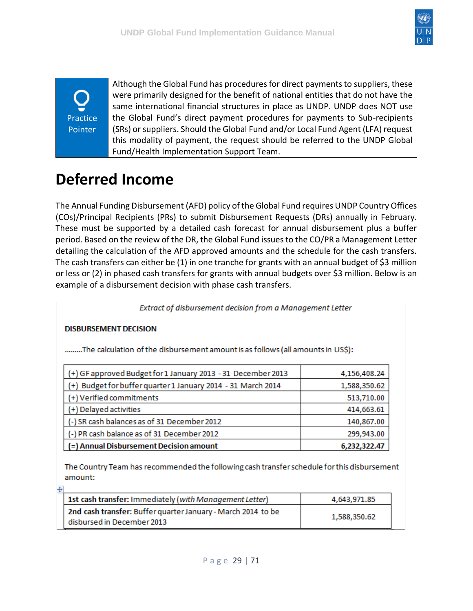

Practice Pointer

Although the Global Fund has procedures for direct payments to suppliers, these were primarily designed for the benefit of national entities that do not have the same international financial structures in place as UNDP. UNDP does NOT use the Global Fund's direct payment procedures for payments to Sub-recipients (SRs) or suppliers. Should the Global Fund and/or Local Fund Agent (LFA) request this modality of payment, the request should be referred to the UNDP Global Fund/Health Implementation Support Team.

# <span id="page-28-0"></span>**Deferred Income**

The Annual Funding Disbursement (AFD) policy of the Global Fund requires UNDP Country Offices (COs)/Principal Recipients (PRs) to submit Disbursement Requests (DRs) annually in February. These must be supported by a detailed cash forecast for annual disbursement plus a buffer period. Based on the review of the DR, the Global Fund issues to the CO/PR a Management Letter detailing the calculation of the AFD approved amounts and the schedule for the cash transfers. The cash transfers can either be (1) in one tranche for grants with an annual budget of \$3 million or less or (2) in phased cash transfers for grants with annual budgets over \$3 million. Below is an example of a disbursement decision with phase cash transfers.

Extract of disbursement decision from a Management Letter

#### **DISBURSEMENT DECISION**

玉

.........The calculation of the disbursement amount is as follows (all amounts in US\$):

| (+) GF approved Budget for 1 January 2013 - 31 December 2013 | 4,156,408.24 |
|--------------------------------------------------------------|--------------|
| (+) Budget for buffer quarter 1 January 2014 - 31 March 2014 | 1,588,350.62 |
| $(+)$ Verified commitments                                   | 513,710.00   |
| (+) Delayed activities                                       | 414,663.61   |
| (-) SR cash balances as of 31 December 2012                  | 140,867.00   |
| (-) PR cash balance as of 31 December 2012                   | 299,943.00   |
| (=) Annual Disbursement Decision amount                      | 6,232,322.47 |

The Country Team has recommended the following cash transfer schedule for this disbursement amount:

| 1st cash transfer: Immediately (with Management Letter)                                    | 4,643,971,85 |
|--------------------------------------------------------------------------------------------|--------------|
| 2nd cash transfer: Buffer quarter January - March 2014 to be<br>disbursed in December 2013 | 1,588,350.62 |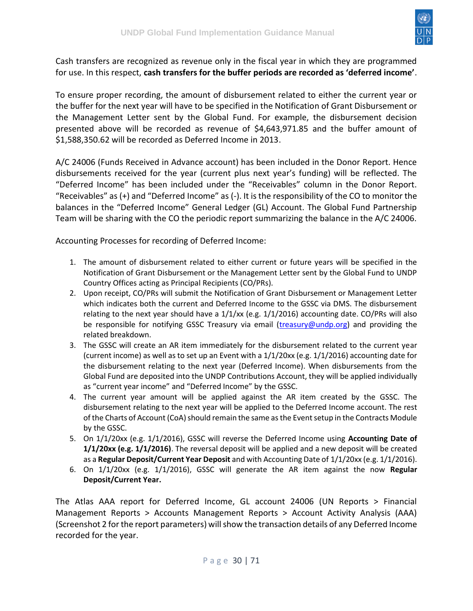

Cash transfers are recognized as revenue only in the fiscal year in which they are programmed for use. In this respect, **cash transfers for the buffer periods are recorded as 'deferred income'**.

To ensure proper recording, the amount of disbursement related to either the current year or the buffer for the next year will have to be specified in the Notification of Grant Disbursement or the Management Letter sent by the Global Fund. For example, the disbursement decision presented above will be recorded as revenue of \$4,643,971.85 and the buffer amount of \$1,588,350.62 will be recorded as Deferred Income in 2013.

A/C 24006 (Funds Received in Advance account) has been included in the Donor Report. Hence disbursements received for the year (current plus next year's funding) will be reflected. The "Deferred Income" has been included under the "Receivables" column in the Donor Report. "Receivables" as (+) and "Deferred Income" as (-). It is the responsibility of the CO to monitor the balances in the "Deferred Income" General Ledger (GL) Account. The Global Fund Partnership Team will be sharing with the CO the periodic report summarizing the balance in the A/C 24006.

Accounting Processes for recording of Deferred Income:

- 1. The amount of disbursement related to either current or future years will be specified in the Notification of Grant Disbursement or the Management Letter sent by the Global Fund to UNDP Country Offices acting as Principal Recipients (CO/PRs).
- 2. Upon receipt, CO/PRs will submit the Notification of Grant Disbursement or Management Letter which indicates both the current and Deferred Income to the GSSC via DMS. The disbursement relating to the next year should have a  $1/1/xx$  (e.g.  $1/1/2016$ ) accounting date. CO/PRs will also be responsible for notifying GSSC Treasury via email [\(treasury@undp.org\)](mailto:gssc.treasury@undp.org) and providing the related breakdown.
- 3. The GSSC will create an AR item immediately for the disbursement related to the current year (current income) as well as to set up an Event with a 1/1/20xx (e.g. 1/1/2016) accounting date for the disbursement relating to the next year (Deferred Income). When disbursements from the Global Fund are deposited into the UNDP Contributions Account, they will be applied individually as "current year income" and "Deferred Income" by the GSSC.
- 4. The current year amount will be applied against the AR item created by the GSSC. The disbursement relating to the next year will be applied to the Deferred Income account. The rest of the Charts of Account (CoA) should remain the same as the Event setup in the Contracts Module by the GSSC.
- 5. On 1/1/20xx (e.g. 1/1/2016), GSSC will reverse the Deferred Income using **Accounting Date of 1/1/20xx (e.g. 1/1/2016)**. The reversal deposit will be applied and a new deposit will be created as a **Regular Deposit/Current Year Deposit** and with Accounting Date of 1/1/20xx (e.g. 1/1/2016).
- 6. On 1/1/20xx (e.g. 1/1/2016), GSSC will generate the AR item against the now **Regular Deposit/Current Year.**

The Atlas AAA report for Deferred Income, GL account 24006 (UN Reports > Financial Management Reports > Accounts Management Reports > Account Activity Analysis (AAA) (Screenshot 2 for the report parameters) will show the transaction details of any Deferred Income recorded for the year.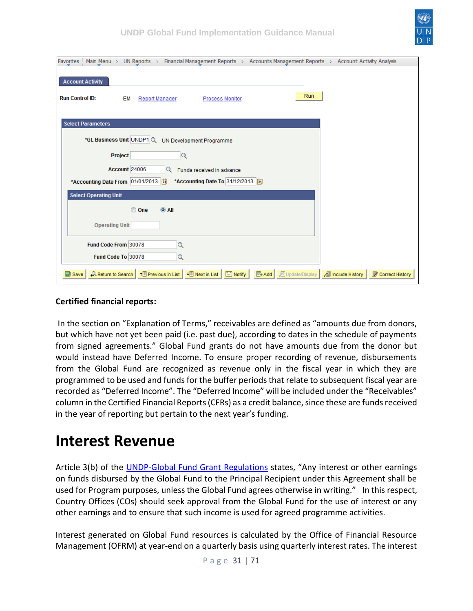

| Favorites<br>Main Menu > UN Reports > Financial Management Reports > Accounts Management Reports > Account Activity Analysis                  |                 |
|-----------------------------------------------------------------------------------------------------------------------------------------------|-----------------|
|                                                                                                                                               |                 |
| <b>Account Activity</b>                                                                                                                       |                 |
|                                                                                                                                               |                 |
| Run<br><b>Run Control ID:</b><br>EM<br><b>Report Manager</b><br><b>Process Monitor</b>                                                        |                 |
|                                                                                                                                               |                 |
| <b>Select Parameters</b>                                                                                                                      |                 |
|                                                                                                                                               |                 |
| *GL Business Unit UNDP1 Q UN Development Programme                                                                                            |                 |
| Project<br>$\alpha$                                                                                                                           |                 |
|                                                                                                                                               |                 |
| Account 24006<br>Funds received in advance<br>Q                                                                                               |                 |
| *Accounting Date From 01/01/2013<br>*Accounting Date To 31/12/2013                                                                            |                 |
| <b>Select Operating Unit</b>                                                                                                                  |                 |
|                                                                                                                                               |                 |
| © One<br>$\odot$ All                                                                                                                          |                 |
| <b>Operating Unit</b>                                                                                                                         |                 |
|                                                                                                                                               |                 |
| Fund Code From 30078<br>$\alpha$                                                                                                              |                 |
| Fund Code To 30078<br>Q                                                                                                                       |                 |
|                                                                                                                                               |                 |
| A Return to Search   1   Previous in List   1   Next in List         Notify  <br>图 Add<br>圆 Update/Display   a Include History<br>$\Box$ Save | Correct History |

#### **Certified financial reports:**

In the section on "Explanation of Terms," receivables are defined as "amounts due from donors, but which have not yet been paid (i.e. past due), according to dates in the schedule of payments from signed agreements." Global Fund grants do not have amounts due from the donor but would instead have Deferred Income. To ensure proper recording of revenue, disbursements from the Global Fund are recognized as revenue only in the fiscal year in which they are programmed to be used and funds for the buffer periods that relate to subsequent fiscal year are recorded as "Deferred Income". The "Deferred Income" will be included under the "Receivables" column in the Certified Financial Reports (CFRs) as a credit balance, since these are funds received in the year of reporting but pertain to the next year's funding.

### <span id="page-30-0"></span>**Interest Revenue**

Article 3(b) of the [UNDP-Global Fund Grant Regulations](https://intranet.undp.org/unit/bpps/hhd/GFpartnership/UNDPasPR/Legal%20Framework%20for%20Global%20Fund%20Grant%20Implementati/UNDP%20Global%20Fund%20Framework%20Agreement%20(%20Searchable%20PDF).pdf) states, "Any interest or other earnings on funds disbursed by the Global Fund to the Principal Recipient under this Agreement shall be used for Program purposes, unless the Global Fund agrees otherwise in writing." In this respect, Country Offices (COs) should seek approval from the Global Fund for the use of interest or any other earnings and to ensure that such income is used for agreed programme activities.

Interest generated on Global Fund resources is calculated by the Office of Financial Resource Management (OFRM) at year-end on a quarterly basis using quarterly interest rates. The interest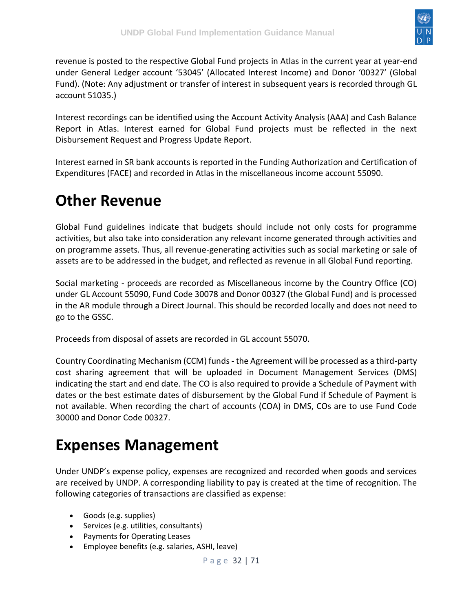

revenue is posted to the respective Global Fund projects in Atlas in the current year at year-end under General Ledger account '53045' (Allocated Interest Income) and Donor '00327' (Global Fund). (Note: Any adjustment or transfer of interest in subsequent years is recorded through GL account 51035.)

Interest recordings can be identified using the Account Activity Analysis (AAA) and Cash Balance Report in Atlas. Interest earned for Global Fund projects must be reflected in the next Disbursement Request and Progress Update Report.

Interest earned in SR bank accounts is reported in the Funding Authorization and Certification of Expenditures (FACE) and recorded in Atlas in the miscellaneous income account 55090.

## <span id="page-31-0"></span>**Other Revenue**

Global Fund guidelines indicate that budgets should include not only costs for programme activities, but also take into consideration any relevant income generated through activities and on programme assets. Thus, all revenue-generating activities such as social marketing or sale of assets are to be addressed in the budget, and reflected as revenue in all Global Fund reporting.

Social marketing - proceeds are recorded as Miscellaneous income by the Country Office (CO) under GL Account 55090, Fund Code 30078 and Donor 00327 (the Global Fund) and is processed in the AR module through a Direct Journal. This should be recorded locally and does not need to go to the GSSC.

Proceeds from disposal of assets are recorded in GL account 55070.

Country Coordinating Mechanism (CCM) funds - the Agreement will be processed as a third-party cost sharing agreement that will be uploaded in Document Management Services (DMS) indicating the start and end date. The CO is also required to provide a Schedule of Payment with dates or the best estimate dates of disbursement by the Global Fund if Schedule of Payment is not available. When recording the chart of accounts (COA) in DMS, COs are to use Fund Code 30000 and Donor Code 00327.

### <span id="page-31-1"></span>**Expenses Management**

Under UNDP's expense policy, expenses are recognized and recorded when goods and services are received by UNDP. A corresponding liability to pay is created at the time of recognition. The following categories of transactions are classified as expense:

- Goods (e.g. supplies)
- Services (e.g. utilities, consultants)
- Payments for Operating Leases
- Employee benefits (e.g. salaries, ASHI, leave)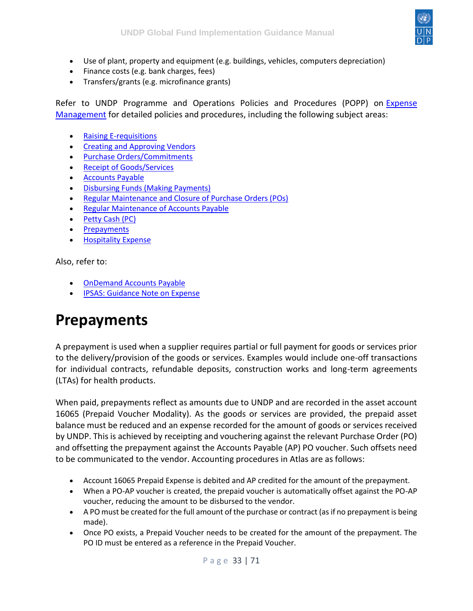

- Use of plant, property and equipment (e.g. buildings, vehicles, computers depreciation)
- Finance costs (e.g. bank charges, fees)
- Transfers/grants (e.g. microfinance grants)

Refer to UNDP Programme and Operations Policies and Procedures (POPP) on [Expense](https://popp.undp.org/SitePages/POPPChapter.aspx?CHPID=76)  [Management](https://popp.undp.org/SitePages/POPPChapter.aspx?CHPID=76) for detailed policies and procedures, including the following subject areas:

- [Raising E-requisitions](https://popp.undp.org/UNDP_POPP_DOCUMENT_LIBRARY/Public/FRM_Expense%20Management%20_Raising%20E-requisitions.docx)
- [Creating and Approving Vendors](https://popp.undp.org/UNDP_POPP_DOCUMENT_LIBRARY/Public/FRM_Expense%20Management%20_Creating%20and%20Approving%20Vendors1.docx)
- [Purchase Orders/Commitments](https://popp.undp.org/UNDP_POPP_DOCUMENT_LIBRARY/Public/FRM_Expense%20Management%20_Purchase%20Orders%20and%20Commitments1.docx)
- [Receipt of Goods/Services](https://popp.undp.org/SitePages/POPPSubject.aspx?SBJID=38)
- [Accounts Payable](https://popp.undp.org/SitePages/POPPSubject.aspx?SBJID=39)
- [Disbursing Funds \(Making Payments\)](https://popp.undp.org/SitePages/POPPSubject.aspx?SBJID=40)
- [Regular Maintenance and Closure of Purchase Orders \(POs\)](https://popp.undp.org/UNDP_POPP_DOCUMENT_LIBRARY/Public/FRM_Expense%20Management%20_Regular%20Maintenance%20and%20Closure%20of%20Purchase%20Orders%20(POs).docx)
- [Regular Maintenance of Accounts Payable](https://popp.undp.org/UNDP_POPP_DOCUMENT_LIBRARY/Public/FRM_Expense%20Management%20_Regular%20Maintenance%20Accounts%20Payable.docx)
- [Petty Cash \(PC\)](https://popp.undp.org/SitePages/POPPChapter.aspx?TermID=c2b23c35-f69a-400b-9ac4-584cd2342d9e)
- **[Prepayments](https://popp.undp.org/SitePages/POPPSubject.aspx?SBJID=37)**
- [Hospitality Expense](https://popp.undp.org/UNDP_POPP_DOCUMENT_LIBRARY/Public/FRM_Expense%20Management%20_Hospitality%20Expense.docx)

Also, refer to:

- [OnDemand Accounts Payable](https://intranet.undp.org/unit/ohr/ondemand/SitePages/Finance%20Profile.aspx)
- [IPSAS: Guidance Note on Expense](https://intranet.undp.org/unit/bpps/hhd/GFpartnership/UNDPasPR/_layouts/WopiFrame.aspx?sourcedoc=/unit/bpps/hhd/GFpartnership/UNDPasPR/Finance/IPSAS%20-%20Guidance%20Note%20on%20Expense%20(2012).docx&action=default&Source=https%3A%2F%2Fintranet%2Eundp%2Eorg%2Funit%2Fbpps%2Fhhd%2FGFpartnership%2FUNDPasPR%2FFinance%2FForms%2FAllItems%2Easpx%3FInitialTabId%3DRibbon%252ELibrary%26VisibilityContext%3DWSSTabPersistence%26GroupString%3D%253B%2523Grant%2520Reporting%253B%2523%26IsGroupRender%3DTRUE&DefaultItemOpen=1)

### <span id="page-32-0"></span>**Prepayments**

A prepayment is used when a supplier requires partial or full payment for goods or services prior to the delivery/provision of the goods or services. Examples would include one-off transactions for individual contracts, refundable deposits, construction works and long-term agreements (LTAs) for health products.

When paid, prepayments reflect as amounts due to UNDP and are recorded in the asset account 16065 (Prepaid Voucher Modality). As the goods or services are provided, the prepaid asset balance must be reduced and an expense recorded for the amount of goods or services received by UNDP. This is achieved by receipting and vouchering against the relevant Purchase Order (PO) and offsetting the prepayment against the Accounts Payable (AP) PO voucher. Such offsets need to be communicated to the vendor. Accounting procedures in Atlas are as follows:

- Account 16065 Prepaid Expense is debited and AP credited for the amount of the prepayment.
- When a PO-AP voucher is created, the prepaid voucher is automatically offset against the PO-AP voucher, reducing the amount to be disbursed to the vendor.
- A PO must be created for the full amount of the purchase or contract (as if no prepayment is being made).
- Once PO exists, a Prepaid Voucher needs to be created for the amount of the prepayment. The PO ID must be entered as a reference in the Prepaid Voucher.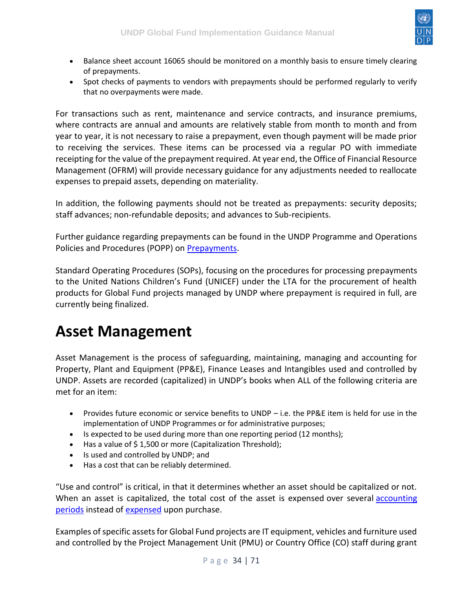

- Balance sheet account 16065 should be monitored on a monthly basis to ensure timely clearing of prepayments.
- Spot checks of payments to vendors with prepayments should be performed regularly to verify that no overpayments were made.

For transactions such as rent, maintenance and service contracts, and insurance premiums, where contracts are annual and amounts are relatively stable from month to month and from year to year, it is not necessary to raise a prepayment, even though payment will be made prior to receiving the services. These items can be processed via a regular PO with immediate receipting for the value of the prepayment required. At year end, the Office of Financial Resource Management (OFRM) will provide necessary guidance for any adjustments needed to reallocate expenses to prepaid assets, depending on materiality.

In addition, the following payments should not be treated as prepayments: security deposits; staff advances; non-refundable deposits; and advances to Sub-recipients.

Further guidance regarding prepayments can be found in the UNDP Programme and Operations Policies and Procedures (POPP) on [Prepayments.](https://popp.undp.org/SitePages/POPPSubject.aspx?SBJID=37)

Standard Operating Procedures (SOPs), focusing on the procedures for processing prepayments to the United Nations Children's Fund (UNICEF) under the LTA for the procurement of health products for Global Fund projects managed by UNDP where prepayment is required in full, are currently being finalized.

### <span id="page-33-0"></span>**Asset Management**

Asset Management is the process of safeguarding, maintaining, managing and accounting for Property, Plant and Equipment (PP&E), Finance Leases and Intangibles used and controlled by UNDP. Assets are recorded (capitalized) in UNDP's books when ALL of the following criteria are met for an item:

- Provides future economic or service benefits to UNDP i.e. the PP&E item is held for use in the implementation of UNDP Programmes or for administrative purposes;
- Is expected to be used during more than one reporting period (12 months);
- Has a value of \$1,500 or more (Capitalization Threshold);
- Is used and controlled by UNDP; and
- Has a cost that can be reliably determined.

"Use and control" is critical, in that it determines whether an asset should be capitalized or not. When an asset is capitalized, the total cost of the asset is expensed over several accounting [periods](http://www.businessdictionary.com/definition/accounting-period.html) instead of [expensed](http://www.businessdictionary.com/definition/expense.html) upon purchase.

Examples of specific assets for Global Fund projects are IT equipment, vehicles and furniture used and controlled by the Project Management Unit (PMU) or Country Office (CO) staff during grant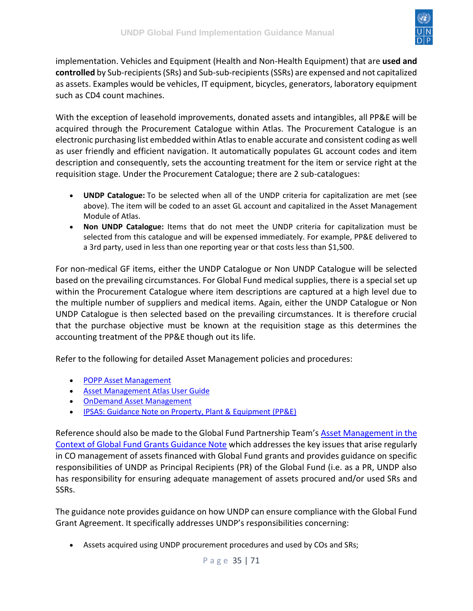

implementation. Vehicles and Equipment (Health and Non-Health Equipment) that are **used and controlled** by Sub-recipients (SRs) and Sub-sub-recipients (SSRs) are expensed and not capitalized as assets. Examples would be vehicles, IT equipment, bicycles, generators, laboratory equipment such as CD4 count machines.

With the exception of leasehold improvements, donated assets and intangibles, all PP&E will be acquired through the Procurement Catalogue within Atlas. The Procurement Catalogue is an electronic purchasing list embedded within Atlas to enable accurate and consistent coding as well as user friendly and efficient navigation. It automatically populates GL account codes and item description and consequently, sets the accounting treatment for the item or service right at the requisition stage. Under the Procurement Catalogue; there are 2 sub-catalogues:

- **UNDP Catalogue:** To be selected when all of the UNDP criteria for capitalization are met (see above). The item will be coded to an asset GL account and capitalized in the Asset Management Module of Atlas.
- **Non UNDP Catalogue:** Items that do not meet the UNDP criteria for capitalization must be selected from this catalogue and will be expensed immediately. For example, PP&E delivered to a 3rd party, used in less than one reporting year or that costs less than \$1,500.

For non-medical GF items, either the UNDP Catalogue or Non UNDP Catalogue will be selected based on the prevailing circumstances. For Global Fund medical supplies, there is a special set up within the Procurement Catalogue where item descriptions are captured at a high level due to the multiple number of suppliers and medical items. Again, either the UNDP Catalogue or Non UNDP Catalogue is then selected based on the prevailing circumstances. It is therefore crucial that the purchase objective must be known at the requisition stage as this determines the accounting treatment of the PP&E though out its life.

Refer to the following for detailed Asset Management policies and procedures:

- [POPP Asset Management](https://popp.undp.org/SitePages/POPPSubject.aspx?SBJID=254)
- [Asset Management Atlas User Guide](https://intranet.undp.org/global/documents/asm/ATLAS-Asset-Management-User-Guide.docx)
- [OnDemand Asset Management](https://intranet.undp.org/unit/ohr/ondemand/SitePages/Procurement%20Profile.aspx)
- [IPSAS: Guidance Note on Property, Plant & Equipment \(PP&E\)](https://intranet.undp.org/unit/bpps/hhd/GFpartnership/UNDPasPR/_layouts/WopiFrame.aspx?sourcedoc=/unit/bpps/hhd/GFpartnership/UNDPasPR/Finance/IPSAS%20Property,%20Plant%20and%20Equipment%20(PPE)%20Guidance%20Notes.pdf&action=default&Source=https%3A%2F%2Fintranet%2Eundp%2Eorg%2Funit%2Fbpps%2Fhhd%2FGFpartnership%2FUNDPasPR%2FFinance%2FForms%2FAllItems%2Easpx%3FInitialTabId%3DRibbon%252ELibrary%26VisibilityContext%3DWSSTabPersistence%26GroupString%3D%253B%2523Grant%2520Reporting%253B%2523%26IsGroupRender%3DTRUE&DefaultItemOpen=1)

Reference should also be made to the Global Fund Partnership Team's [Asset Management in the](https://intranet.undp.org/unit/bpps/hhd/GFpartnership/UNDPasPR/_layouts/WopiFrame.aspx?sourcedoc=/unit/bpps/hhd/GFpartnership/UNDPasPR/Finance/Asset%20Management%20in%20the%20Context%20of%20Global%20Fund%20Grants_Guidance%20(UNDP,%202013).pdf&action=default&Source=https%3A%2F%2Fintranet%2Eundp%2Eorg%2Funit%2Fbpps%2Fhhd%2FGFpartnership%2FUNDPasPR%2FFinance%2FForms%2FAllItems%2Easpx%3FInitialTabId%3DRibbon%252ELibrary%26VisibilityContext%3DWSSTabPersistence%26GroupString%3D%253B%2523Grant%2520Reporting%253B%2523%26IsGroupRender%3DTRUE&DefaultItemOpen=1)  [Context of Global Fund Grants Guidance Note](https://intranet.undp.org/unit/bpps/hhd/GFpartnership/UNDPasPR/_layouts/WopiFrame.aspx?sourcedoc=/unit/bpps/hhd/GFpartnership/UNDPasPR/Finance/Asset%20Management%20in%20the%20Context%20of%20Global%20Fund%20Grants_Guidance%20(UNDP,%202013).pdf&action=default&Source=https%3A%2F%2Fintranet%2Eundp%2Eorg%2Funit%2Fbpps%2Fhhd%2FGFpartnership%2FUNDPasPR%2FFinance%2FForms%2FAllItems%2Easpx%3FInitialTabId%3DRibbon%252ELibrary%26VisibilityContext%3DWSSTabPersistence%26GroupString%3D%253B%2523Grant%2520Reporting%253B%2523%26IsGroupRender%3DTRUE&DefaultItemOpen=1) which addresses the key issues that arise regularly in CO management of assets financed with Global Fund grants and provides guidance on specific responsibilities of UNDP as Principal Recipients (PR) of the Global Fund (i.e. as a PR, UNDP also has responsibility for ensuring adequate management of assets procured and/or used SRs and SSRs.

The guidance note provides guidance on how UNDP can ensure compliance with the Global Fund Grant Agreement. It specifically addresses UNDP's responsibilities concerning:

• Assets acquired using UNDP procurement procedures and used by COs and SRs;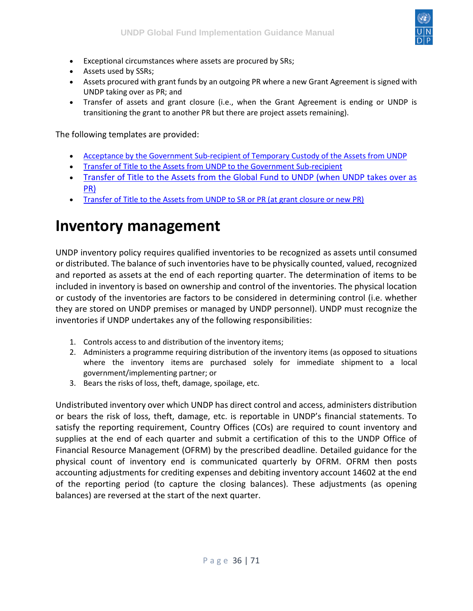

- Exceptional circumstances where assets are procured by SRs;
- Assets used by SSRs;
- Assets procured with grant funds by an outgoing PR where a new Grant Agreement is signed with UNDP taking over as PR; and
- Transfer of assets and grant closure (i.e., when the Grant Agreement is ending or UNDP is transitioning the grant to another PR but there are project assets remaining).

The following templates are provided:

- [Acceptance by the Government Sub-recipient of Temporary Custody of the Assets from UNDP](https://intranet.undp.org/unit/bpps/hhd/GFpartnership/UNDPasPR/Legal%20Framework%20for%20Global%20Fund%20Grant%20Implementati/Memorandum%20of%20Acceptance%20of%20Custody%20from%20UNDP%20to%20Govt%20SR.docx)
- Transfer of Title to the Assets from [UNDP to the Government Sub-recipient](https://intranet.undp.org/unit/bpps/hhd/GFpartnership/UNDPasPR/Legal%20Framework%20for%20Global%20Fund%20Grant%20Implementati/Transfer%20of%20Title%20from%20UNDP%20to%20Government%20SR.docx)
- [Transfer of Title to the Assets from the Global Fund to UNDP \(when UNDP takes over as](https://intranet.undp.org/unit/bpps/hhd/GFpartnership/UNDPasPR/Legal%20Framework%20for%20Global%20Fund%20Grant%20Implementati/Transfer%20of%20Title%20from%20GF%20to%20UNDP%20(When%20UNDP%20Takes%20Over%20as%20PR)%20(2012).doc)  [PR\)](https://intranet.undp.org/unit/bpps/hhd/GFpartnership/UNDPasPR/Legal%20Framework%20for%20Global%20Fund%20Grant%20Implementati/Transfer%20of%20Title%20from%20GF%20to%20UNDP%20(When%20UNDP%20Takes%20Over%20as%20PR)%20(2012).doc)
- [Transfer of Title to the Assets from UNDP to SR or PR \(at grant closure or new PR\)](https://intranet.undp.org/unit/bpps/hhd/GFpartnership/UNDPasPR/Legal%20Framework%20for%20Global%20Fund%20Grant%20Implementati/Transfer%20of%20Title%20from%20from%20UNDP%20to%20SR%20or%20PR%20(At%20Grant%20Closure)%20(2012).docx)

### <span id="page-35-0"></span>**Inventory management**

UNDP inventory policy requires qualified inventories to be recognized as assets until consumed or distributed. The balance of such inventories have to be physically counted, valued, recognized and reported as assets at the end of each reporting quarter. The determination of items to be included in inventory is based on ownership and control of the inventories. The physical location or custody of the inventories are factors to be considered in determining control (i.e. whether they are stored on UNDP premises or managed by UNDP personnel). UNDP must recognize the inventories if UNDP undertakes any of the following responsibilities:

- 1. Controls access to and distribution of the inventory items;
- 2. Administers a programme requiring distribution of the inventory items (as opposed to situations where the inventory items are purchased solely for immediate shipment to a local government/implementing partner; or
- 3. Bears the risks of loss, theft, damage, spoilage, etc.

Undistributed inventory over which UNDP has direct control and access, administers distribution or bears the risk of loss, theft, damage, etc. is reportable in UNDP's financial statements. To satisfy the reporting requirement, Country Offices (COs) are required to count inventory and supplies at the end of each quarter and submit a certification of this to the UNDP Office of Financial Resource Management (OFRM) by the prescribed deadline. Detailed guidance for the physical count of inventory end is communicated quarterly by OFRM. OFRM then posts accounting adjustments for crediting expenses and debiting inventory account 14602 at the end of the reporting period (to capture the closing balances). These adjustments (as opening balances) are reversed at the start of the next quarter.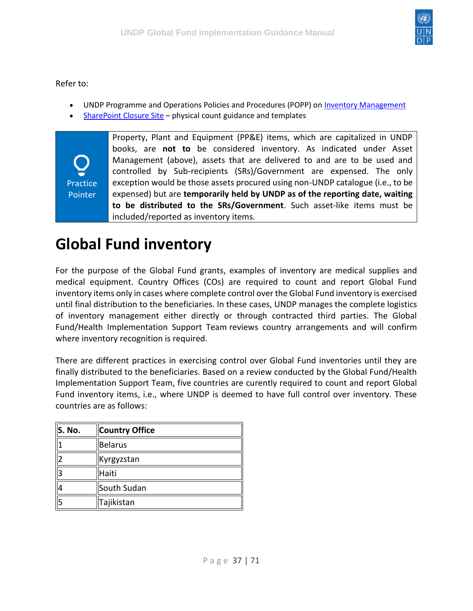

Refer to:

- UNDP Programme and Operations Policies and Procedures (POPP) on [Inventory Management](https://popp.undp.org/SitePages/POPPSubject.aspx?SBJID=254)
- [SharePoint Closure Site](https://intranet.undp.org/unit/bom/ofrm/accounts/CST/FinancialClosure/financialclosure.aspx) physical count guidance and templates

Practice Pointer Property, Plant and Equipment (PP&E) items, which are capitalized in UNDP books, are **not to** be considered inventory. As indicated under Asset Management (above), assets that are delivered to and are to be used and controlled by Sub-recipients (SRs)/Government are expensed. The only exception would be those assets procured using non-UNDP catalogue (i.e., to be expensed) but are **temporarily held by UNDP as of the reporting date, waiting to be distributed to the SRs/Government**. Such asset-like items must be included/reported as inventory items.

# <span id="page-36-0"></span>**Global Fund inventory**

For the purpose of the Global Fund grants, examples of inventory are medical supplies and medical equipment. Country Offices (COs) are required to count and report Global Fund inventory items only in cases where complete control over the Global Fund inventory is exercised until final distribution to the beneficiaries. In these cases, UNDP manages the complete logistics of inventory management either directly or through contracted third parties. The Global Fund/Health Implementation Support Team reviews country arrangements and will confirm where inventory recognition is required.

There are different practices in exercising control over Global Fund inventories until they are finally distributed to the beneficiaries. Based on a review conducted by the Global Fund/Health Implementation Support Team, five countries are curently required to count and report Global Fund inventory items, i.e., where UNDP is deemed to have full control over inventory. These countries are as follows:

| $\ $ S. No. | <b>Country Office</b> |
|-------------|-----------------------|
|             | <b>Belarus</b>        |
|             | Kyrgyzstan            |
| l3          | Haiti                 |
|             | South Sudan           |
| l5          | Tajikistan            |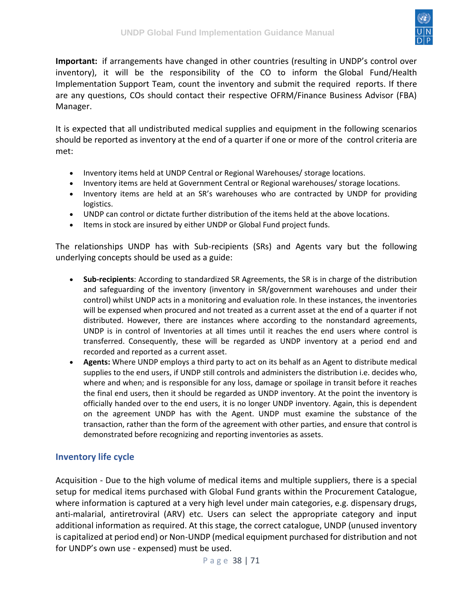

**Important:** if arrangements have changed in other countries (resulting in UNDP's control over inventory), it will be the responsibility of the CO to inform the Global Fund/Health Implementation Support Team, count the inventory and submit the required reports. If there are any questions, COs should contact their respective OFRM/Finance Business Advisor (FBA) Manager.

It is expected that all undistributed medical supplies and equipment in the following scenarios should be reported as inventory at the end of a quarter if one or more of the control criteria are met:

- Inventory items held at UNDP Central or Regional Warehouses/ storage locations.
- Inventory items are held at Government Central or Regional warehouses/ storage locations.
- Inventory items are held at an SR's warehouses who are contracted by UNDP for providing logistics.
- UNDP can control or dictate further distribution of the items held at the above locations.
- Items in stock are insured by either UNDP or Global Fund project funds.

The relationships UNDP has with Sub-recipients (SRs) and Agents vary but the following underlying concepts should be used as a guide:

- **Sub-recipients**: According to standardized SR Agreements, the SR is in charge of the distribution and safeguarding of the inventory (inventory in SR/government warehouses and under their control) whilst UNDP acts in a monitoring and evaluation role. In these instances, the inventories will be expensed when procured and not treated as a current asset at the end of a quarter if not distributed. However, there are instances where according to the nonstandard agreements, UNDP is in control of Inventories at all times until it reaches the end users where control is transferred. Consequently, these will be regarded as UNDP inventory at a period end and recorded and reported as a current asset.
- **Agents:** Where UNDP employs a third party to act on its behalf as an Agent to distribute medical supplies to the end users, if UNDP still controls and administers the distribution i.e. decides who, where and when; and is responsible for any loss, damage or spoilage in transit before it reaches the final end users, then it should be regarded as UNDP inventory. At the point the inventory is officially handed over to the end users, it is no longer UNDP inventory. Again, this is dependent on the agreement UNDP has with the Agent. UNDP must examine the substance of the transaction, rather than the form of the agreement with other parties, and ensure that control is demonstrated before recognizing and reporting inventories as assets.

#### <span id="page-37-0"></span>**Inventory life cycle**

Acquisition - Due to the high volume of medical items and multiple suppliers, there is a special setup for medical items purchased with Global Fund grants within the Procurement Catalogue, where information is captured at a very high level under main categories, e.g. dispensary drugs, anti-malarial, antiretroviral (ARV) etc. Users can select the appropriate category and input additional information as required. At this stage, the correct catalogue, UNDP (unused inventory is capitalized at period end) or Non-UNDP (medical equipment purchased for distribution and not for UNDP's own use - expensed) must be used.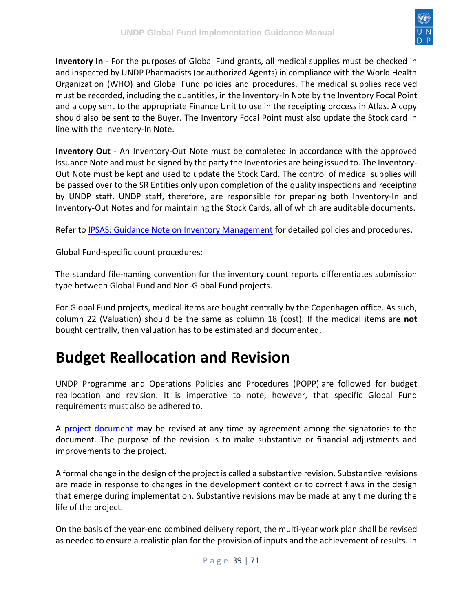

**Inventory In** - For the purposes of Global Fund grants, all medical supplies must be checked in and inspected by UNDP Pharmacists (or authorized Agents) in compliance with the World Health Organization (WHO) and Global Fund policies and procedures. The medical supplies received must be recorded, including the quantities, in the Inventory-In Note by the Inventory Focal Point and a copy sent to the appropriate Finance Unit to use in the receipting process in Atlas. A copy should also be sent to the Buyer. The Inventory Focal Point must also update the Stock card in line with the Inventory-In Note.

**Inventory Out** - An Inventory-Out Note must be completed in accordance with the approved Issuance Note and must be signed by the party the Inventories are being issued to. The Inventory-Out Note must be kept and used to update the Stock Card. The control of medical supplies will be passed over to the SR Entities only upon completion of the quality inspections and receipting by UNDP staff. UNDP staff, therefore, are responsible for preparing both Inventory-In and Inventory-Out Notes and for maintaining the Stock Cards, all of which are auditable documents.

Refer to [IPSAS: Guidance Note on Inventory Management](https://intranet.undp.org/unit/bpps/hhd/GFpartnership/UNDPasPR/Finance/IPSAS%20Guidance%20Note%20on%20Inventory%20for%20Country%20Offices%20managing%20Global%20Fund%20grants_FINAL%20(UNDP,%202012).pdf) for detailed policies and procedures.

Global Fund-specific count procedures:

The standard file-naming convention for the inventory count reports differentiates submission type between Global Fund and Non-Global Fund projects.

For Global Fund projects, medical items are bought centrally by the Copenhagen office. As such, column 22 (Valuation) should be the same as column 18 (cost). If the medical items are **not** bought centrally, then valuation has to be estimated and documented.

## <span id="page-38-0"></span>**Budget Reallocation and Revision**

UNDP Programme and Operations Policies and Procedures (POPP) are followed for budget reallocation and revision. It is imperative to note, however, that specific Global Fund requirements must also be adhered to.

A [project document](https://undphealthimplementation.org/functional-areas/legal-framework/project-document/) may be revised at any time by agreement among the signatories to the document. The purpose of the revision is to make substantive or financial adjustments and improvements to the project.

A formal change in the design of the project is called a substantive revision. Substantive revisions are made in response to changes in the development context or to correct flaws in the design that emerge during implementation. Substantive revisions may be made at any time during the life of the project.

On the basis of the year-end combined delivery report, the multi-year work plan shall be revised as needed to ensure a realistic plan for the provision of inputs and the achievement of results. In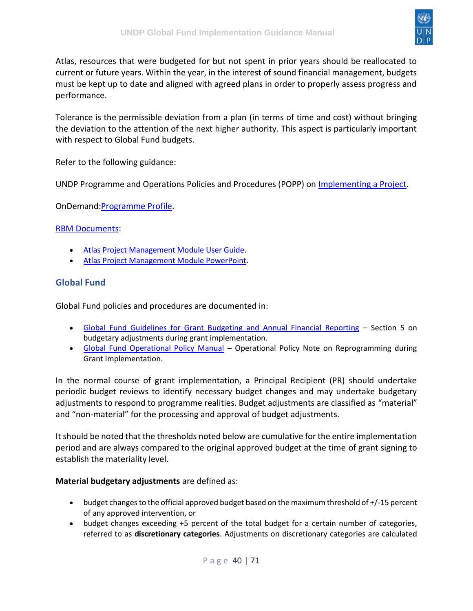

Atlas, resources that were budgeted for but not spent in prior years should be reallocated to current or future years. Within the year, in the interest of sound financial management, budgets must be kept up to date and aligned with agreed plans in order to properly assess progress and performance.

Tolerance is the permissible deviation from a plan (in terms of time and cost) without bringing the deviation to the attention of the next higher authority. This aspect is particularly important with respect to Global Fund budgets.

Refer to the following guidance:

UNDP Programme and Operations Policies and Procedures (POPP) on [Implementing a Project.](https://popp.undp.org/SitePages/POPPSubject.aspx?SBJID=241)

OnDemand[:Programme Profile.](https://intranet.undp.org/unit/ohr/ondemand/SitePages/Programme%20Profile.aspx)

#### [RBM Documents:](https://intranet.undp.org/unit/ohr/ondemand/RBM%20Documents/Forms/HomeView.aspx)

- [Atlas Project Management Module User Guide.](https://intranet.undp.org/unit/bom/User%20Guides/Atlas%20Project%20Management%20Module%20User%20Guide%20-%20Version%201.1%20Final.docx)
- [Atlas Project Management Module PowerPoint.](https://intranet.undp.org/unit/ohr/ondemand/RBM%20Documents/Atlas%20Project%20Management%20module.pptx)

#### <span id="page-39-0"></span>**Global Fund**

Global Fund policies and procedures are documented in:

- [Global Fund Guidelines for Grant Budgeting and Annual Financial Reporting](https://www.theglobalfund.org/media/3261/core_budgetinginglobalfundgrants_guideline_en.pdf) Section 5 on budgetary adjustments during grant implementation.
- [Global Fund Operational Policy Manual](https://www.theglobalfund.org/media/3266/core_operationalpolicy_manual_en.pdf) Operational Policy Note on Reprogramming during Grant Implementation.

In the normal course of grant implementation, a Principal Recipient (PR) should undertake periodic budget reviews to identify necessary budget changes and may undertake budgetary adjustments to respond to programme realities. Budget adjustments are classified as "material" and "non-material" for the processing and approval of budget adjustments.

It should be noted that the thresholds noted below are cumulative for the entire implementation period and are always compared to the original approved budget at the time of grant signing to establish the materiality level.

#### **Material budgetary adjustments** are defined as:

- budget changes to the official approved budget based on the maximum threshold of +/-15 percent of any approved intervention, or
- budget changes exceeding +5 percent of the total budget for a certain number of categories, referred to as **discretionary categories**. Adjustments on discretionary categories are calculated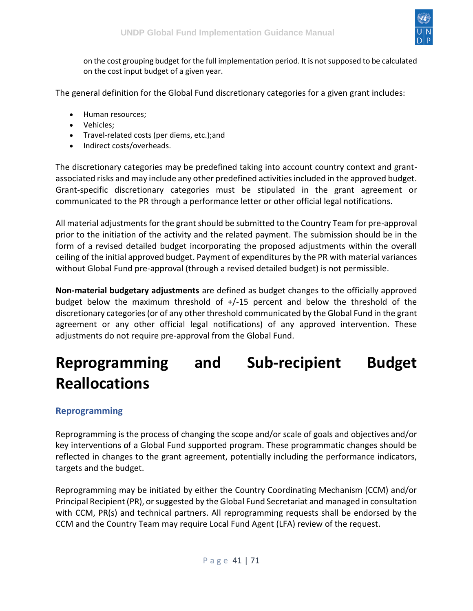

on the cost grouping budget for the full implementation period. It is not supposed to be calculated on the cost input budget of a given year.

The general definition for the Global Fund discretionary categories for a given grant includes:

- Human resources;
- Vehicles;
- Travel-related costs (per diems, etc.);and
- Indirect costs/overheads.

The discretionary categories may be predefined taking into account country context and grantassociated risks and may include any other predefined activities included in the approved budget. Grant-specific discretionary categories must be stipulated in the grant agreement or communicated to the PR through a performance letter or other official legal notifications.

All material adjustments for the grant should be submitted to the Country Team for pre-approval prior to the initiation of the activity and the related payment. The submission should be in the form of a revised detailed budget incorporating the proposed adjustments within the overall ceiling of the initial approved budget. Payment of expenditures by the PR with material variances without Global Fund pre-approval (through a revised detailed budget) is not permissible.

**Non-material budgetary adjustments** are defined as budget changes to the officially approved budget below the maximum threshold of +/-15 percent and below the threshold of the discretionary categories (or of any other threshold communicated by the Global Fund in the grant agreement or any other official legal notifications) of any approved intervention. These adjustments do not require pre-approval from the Global Fund.

# <span id="page-40-0"></span>**Reprogramming and Sub-recipient Budget Reallocations**

#### <span id="page-40-1"></span>**Reprogramming**

Reprogramming is the process of changing the scope and/or scale of goals and objectives and/or key interventions of a Global Fund supported program. These programmatic changes should be reflected in changes to the grant agreement, potentially including the performance indicators, targets and the budget.

Reprogramming may be initiated by either the Country Coordinating Mechanism (CCM) and/or Principal Recipient (PR), or suggested by the Global Fund Secretariat and managed in consultation with CCM, PR(s) and technical partners. All reprogramming requests shall be endorsed by the CCM and the Country Team may require Local Fund Agent (LFA) review of the request.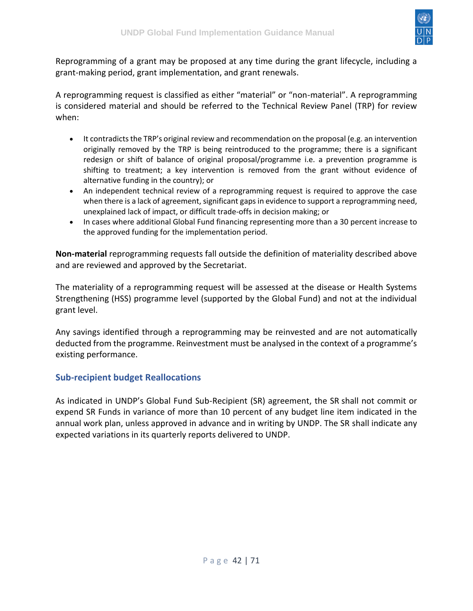

Reprogramming of a grant may be proposed at any time during the grant lifecycle, including a grant-making period, grant implementation, and grant renewals.

A reprogramming request is classified as either "material" or "non-material". A reprogramming is considered material and should be referred to the Technical Review Panel (TRP) for review when:

- It contradicts the TRP's original review and recommendation on the proposal (e.g. an intervention originally removed by the TRP is being reintroduced to the programme; there is a significant redesign or shift of balance of original proposal/programme i.e. a prevention programme is shifting to treatment; a key intervention is removed from the grant without evidence of alternative funding in the country); or
- An independent technical review of a reprogramming request is required to approve the case when there is a lack of agreement, significant gaps in evidence to support a reprogramming need, unexplained lack of impact, or difficult trade-offs in decision making; or
- In cases where additional Global Fund financing representing more than a 30 percent increase to the approved funding for the implementation period.

**Non-material** reprogramming requests fall outside the definition of materiality described above and are reviewed and approved by the Secretariat.

The materiality of a reprogramming request will be assessed at the disease or Health Systems Strengthening (HSS) programme level (supported by the Global Fund) and not at the individual grant level.

Any savings identified through a reprogramming may be reinvested and are not automatically deducted from the programme. Reinvestment must be analysed in the context of a programme's existing performance.

#### <span id="page-41-0"></span>**Sub-recipient budget Reallocations**

As indicated in UNDP's Global Fund Sub-Recipient (SR) agreement, the SR shall not commit or expend SR Funds in variance of more than 10 percent of any budget line item indicated in the annual work plan, unless approved in advance and in writing by UNDP. The SR shall indicate any expected variations in its quarterly reports delivered to UNDP.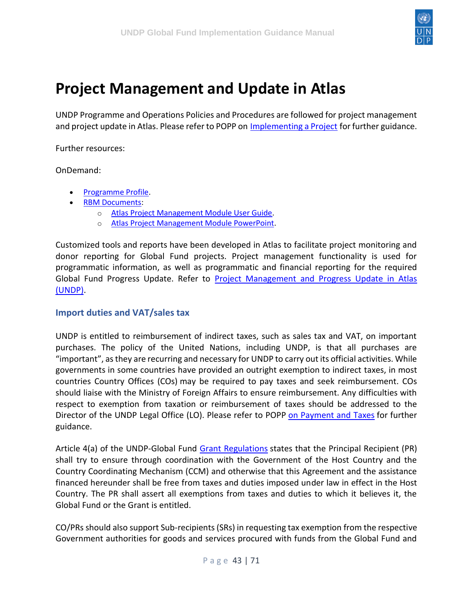

### <span id="page-42-0"></span>**Project Management and Update in Atlas**

UNDP Programme and Operations Policies and Procedures are followed for project management and project update in Atlas. Please refer to POPP on [Implementing a Project](https://popp.undp.org/SitePages/POPPSubject.aspx?SBJID=241) for further guidance.

Further resources:

OnDemand:

- [Programme Profile.](https://intranet.undp.org/unit/ohr/ondemand/SitePages/Programme%20Profile.aspx)
- [RBM Documents:](https://intranet.undp.org/unit/ohr/ondemand/RBM%20Documents/Forms/HomeView.aspx)
	- o [Atlas Project Management Module User Guide.](https://intranet.undp.org/unit/bom/User%20Guides/Atlas%20Project%20Management%20Module%20User%20Guide%20-%20Version%201.1%20Final.docx)
	- o [Atlas Project Management Module PowerPoint.](https://intranet.undp.org/unit/ohr/ondemand/RBM%20Documents/Atlas%20Project%20Management%20module.pptx)

Customized tools and reports have been developed in Atlas to facilitate project monitoring and donor reporting for Global Fund projects. Project management functionality is used for programmatic information, as well as programmatic and financial reporting for the required Global Fund Progress Update. Refer to [Project Management and Progress Update in Atlas](https://intranet.undp.org/unit/bpps/hhd/GFpartnership/UNDPasPR/Finance/Project%20Management%20and%20Progress%20Update%20in%20Atlas.pdf)  [\(UNDP\).](https://intranet.undp.org/unit/bpps/hhd/GFpartnership/UNDPasPR/Finance/Project%20Management%20and%20Progress%20Update%20in%20Atlas.pdf)

#### <span id="page-42-1"></span>**Import duties and VAT/sales tax**

UNDP is entitled to reimbursement of indirect taxes, such as sales tax and VAT, on important purchases. The policy of the United Nations, including UNDP, is that all purchases are "important", as they are recurring and necessary for UNDP to carry out its official activities. While governments in some countries have provided an outright exemption to indirect taxes, in most countries Country Offices (COs) may be required to pay taxes and seek reimbursement. COs should liaise with the Ministry of Foreign Affairs to ensure reimbursement. Any difficulties with respect to exemption from taxation or reimbursement of taxes should be addressed to the Director of the UNDP Legal Office (LO). Please refer to POPP [on Payment and Taxes](https://popp.undp.org/SitePages/POPPSubject.aspx?SBJID=236) for further guidance.

Article 4(a) of the UNDP-Global Fund [Grant Regulations](https://intranet.undp.org/unit/bpps/hhd/GFpartnership/UNDPasPR/Legal%20Framework%20for%20Global%20Fund%20Grant%20Implementati/UNDP%20Global%20Fund%20Framework%20Agreement%20(%20Searchable%20PDF).pdf) states that the Principal Recipient (PR) shall try to ensure through coordination with the Government of the Host Country and the Country Coordinating Mechanism (CCM) and otherwise that this Agreement and the assistance financed hereunder shall be free from taxes and duties imposed under law in effect in the Host Country. The PR shall assert all exemptions from taxes and duties to which it believes it, the Global Fund or the Grant is entitled.

CO/PRs should also support Sub-recipients (SRs) in requesting tax exemption from the respective Government authorities for goods and services procured with funds from the Global Fund and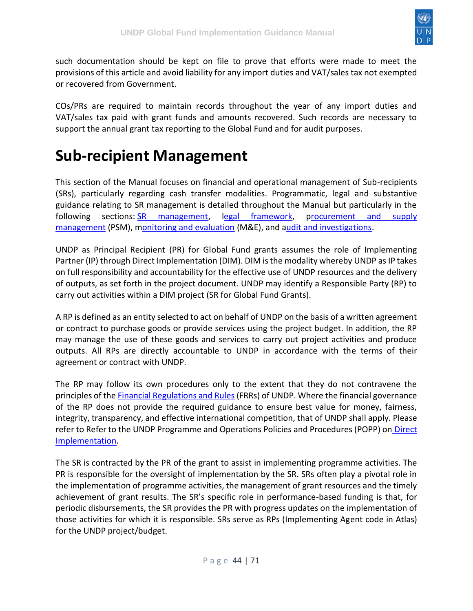

such documentation should be kept on file to prove that efforts were made to meet the provisions of this article and avoid liability for any import duties and VAT/sales tax not exempted or recovered from Government.

COs/PRs are required to maintain records throughout the year of any import duties and VAT/sales tax paid with grant funds and amounts recovered. Such records are necessary to support the annual grant tax reporting to the Global Fund and for audit purposes.

### <span id="page-43-0"></span>**Sub-recipient Management**

This section of the Manual focuses on financial and operational management of Sub-recipients (SRs), particularly regarding cash transfer modalities. Programmatic, legal and substantive guidance relating to SR management is detailed throughout the Manual but particularly in the following sections: **SR** management, [legal framework,](https://undphealthimplementation.org/functional-areas/legal-framework/overview/) procurement and supply [management](https://undphealthimplementation.org/functional-areas/procurement-and-supply-management/overview/) (PSM), [monitoring and evaluation](https://undphealthimplementation.org/functional-areas/monitoring-and-evaluation/overview/) (M&E), and [audit and investigations.](https://undphealthimplementation.org/functional-areas/audit-and-investigations/sub-recipient-audit/sub-recipient-audit-approach/)

UNDP as Principal Recipient (PR) for Global Fund grants assumes the role of Implementing Partner (IP) through Direct Implementation (DIM). DIM is the modality whereby UNDP as IP takes on full responsibility and accountability for the effective use of UNDP resources and the delivery of outputs, as set forth in the project document. UNDP may identify a Responsible Party (RP) to carry out activities within a DIM project (SR for Global Fund Grants).

A RP is defined as an entity selected to act on behalf of UNDP on the basis of a written agreement or contract to purchase goods or provide services using the project budget. In addition, the RP may manage the use of these goods and services to carry out project activities and produce outputs. All RPs are directly accountable to UNDP in accordance with the terms of their agreement or contract with UNDP.

The RP may follow its own procedures only to the extent that they do not contravene the principles of th[e Financial Regulations and Rules](https://intranet.undp.org/unit/ofrm/sitepages/Financial%20Regulations%20and%20Rules%20-%20POPP.aspx) (FRRs) of UNDP. Where the financial governance of the RP does not provide the required guidance to ensure best value for money, fairness, integrity, transparency, and effective international competition, that of UNDP shall apply. Please refer to Refer to the UNDP Programme and Operations Policies and Procedures (POPP) on [Direct](https://popp.undp.org/SitePages/POPPSubject.aspx?SBJID=12)  [Implementation.](https://popp.undp.org/SitePages/POPPSubject.aspx?SBJID=12)

The SR is contracted by the PR of the grant to assist in implementing programme activities. The PR is responsible for the oversight of implementation by the SR. SRs often play a pivotal role in the implementation of programme activities, the management of grant resources and the timely achievement of grant results. The SR's specific role in performance-based funding is that, for periodic disbursements, the SR provides the PR with progress updates on the implementation of those activities for which it is responsible. SRs serve as RPs (Implementing Agent code in Atlas) for the UNDP project/budget.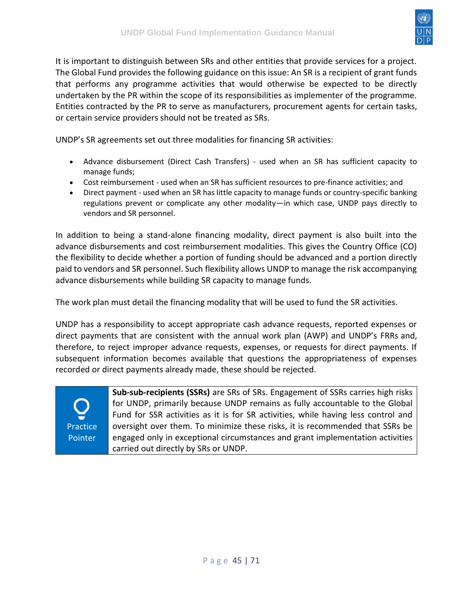

It is important to distinguish between SRs and other entities that provide services for a project. The Global Fund provides the following guidance on this issue: An SR is a recipient of grant funds that performs any programme activities that would otherwise be expected to be directly undertaken by the PR within the scope of its responsibilities as implementer of the programme. Entities contracted by the PR to serve as manufacturers, procurement agents for certain tasks, or certain service providers should not be treated as SRs.

UNDP's SR agreements set out three modalities for financing SR activities:

- Advance disbursement (Direct Cash Transfers) used when an SR has sufficient capacity to manage funds;
- Cost reimbursement used when an SR has sufficient resources to pre-finance activities; and
- Direct payment used when an SR has little capacity to manage funds or country-specific banking regulations prevent or complicate any other modality—in which case, UNDP pays directly to vendors and SR personnel.

In addition to being a stand-alone financing modality, direct payment is also built into the advance disbursements and cost reimbursement modalities. This gives the Country Office (CO) the flexibility to decide whether a portion of funding should be advanced and a portion directly paid to vendors and SR personnel. Such flexibility allows UNDP to manage the risk accompanying advance disbursements while building SR capacity to manage funds.

The work plan must detail the financing modality that will be used to fund the SR activities.

UNDP has a responsibility to accept appropriate cash advance requests, reported expenses or direct payments that are consistent with the annual work plan (AWP) and UNDP's FRRs and, therefore, to reject improper advance requests, expenses, or requests for direct payments. If subsequent information becomes available that questions the appropriateness of expenses recorded or direct payments already made, these should be rejected.

Practice **Pointer** 

**Sub-sub-recipients (SSRs)** are SRs of SRs. Engagement of SSRs carries high risks for UNDP, primarily because UNDP remains as fully accountable to the Global Fund for SSR activities as it is for SR activities, while having less control and oversight over them. To minimize these risks, it is recommended that SSRs be engaged only in exceptional circumstances and grant implementation activities carried out directly by SRs or UNDP.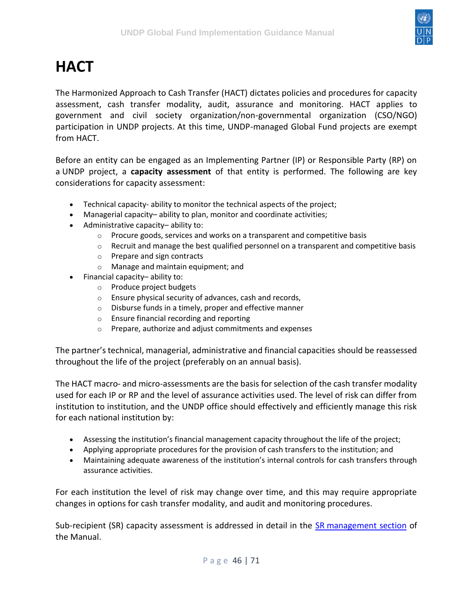

# <span id="page-45-0"></span>**HACT**

The Harmonized Approach to Cash Transfer (HACT) dictates policies and procedures for capacity assessment, cash transfer modality, audit, assurance and monitoring. HACT applies to government and civil society organization/non-governmental organization (CSO/NGO) participation in UNDP projects. At this time, UNDP-managed Global Fund projects are exempt from HACT.

Before an entity can be engaged as an Implementing Partner (IP) or Responsible Party (RP) on a UNDP project, a **capacity assessment** of that entity is performed. The following are key considerations for capacity assessment:

- Technical capacity- ability to monitor the technical aspects of the project;
- Managerial capacity– ability to plan, monitor and coordinate activities;
- Administrative capacity– ability to:
	- $\circ$  Procure goods, services and works on a transparent and competitive basis
	- $\circ$  Recruit and manage the best qualified personnel on a transparent and competitive basis
	- o Prepare and sign contracts
	- o Manage and maintain equipment; and
- Financial capacity– ability to:
	- o Produce project budgets
	- o Ensure physical security of advances, cash and records,
	- o Disburse funds in a timely, proper and effective manner
	- o Ensure financial recording and reporting
	- o Prepare, authorize and adjust commitments and expenses

The partner's technical, managerial, administrative and financial capacities should be reassessed throughout the life of the project (preferably on an annual basis).

The HACT macro- and micro-assessments are the basis for selection of the cash transfer modality used for each IP or RP and the level of assurance activities used. The level of risk can differ from institution to institution, and the UNDP office should effectively and efficiently manage this risk for each national institution by:

- Assessing the institution's financial management capacity throughout the life of the project;
- Applying appropriate procedures for the provision of cash transfers to the institution; and
- Maintaining adequate awareness of the institution's internal controls for cash transfers through assurance activities.

For each institution the level of risk may change over time, and this may require appropriate changes in options for cash transfer modality, and audit and monitoring procedures.

Sub-recipient (SR) capacity assessment is addressed in detail in the SR [management section](https://undphealthimplementation.org/functional-areas/sub-recipient-management/capacity-assessment-and-approval-process/assessing-sub-recipient-capacity/) of the Manual.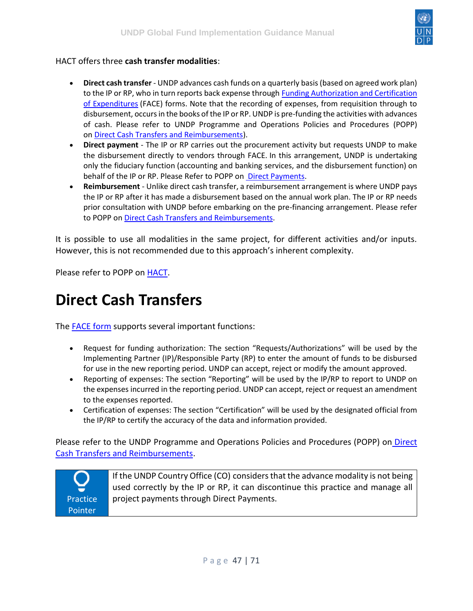

#### HACT offers three **cash transfer modalities**:

- **Direct cash transfer** UNDP advances cash funds on a quarterly basis (based on agreed work plan) to the IP or RP, who in turn reports back expense through Funding Authorization and Certification [of Expenditures](https://undg.org/document/revised-funding-authorization-and-certificate-of-expenditures-form/) (FACE) forms. Note that the recording of expenses, from requisition through to disbursement, occurs in the books of the IP or RP. UNDP is pre-funding the activities with advances of cash. Please refer to UNDP Programme and Operations Policies and Procedures (POPP) on [Direct Cash Transfers and Reimbursements\)](https://popp.undp.org/SitePages/POPPSubject.aspx?SBJID=156).
- **Direct payment** The IP or RP carries out the procurement activity but requests UNDP to make the disbursement directly to vendors through FACE. In this arrangement, UNDP is undertaking only the fiduciary function (accounting and banking services, and the disbursement function) on behalf of the IP or RP. Please Refer to POPP on [Direct Payments.](https://popp.undp.org/SitePages/POPPSubject.aspx?SBJID=13)
- **Reimbursement** Unlike direct cash transfer, a reimbursement arrangement is where UNDP pays the IP or RP after it has made a disbursement based on the annual work plan. The IP or RP needs prior consultation with UNDP before embarking on the pre-financing arrangement. Please refer to POPP on [Direct Cash Transfers and Reimbursements.](https://popp.undp.org/SitePages/POPPSubject.aspx?SBJID=156)

It is possible to use all modalities in the same project, for different activities and/or inputs. However, this is not recommended due to this approach's inherent complexity.

Please refer to POPP on [HACT.](https://popp.undp.org/UNDP_POPP_DOCUMENT_LIBRARY/Public/FRM_Financial%20Management%20and%20Implementation%20Modalities%20_Harmonized%20Approach%20to%20Cash%20Transfers%20(HACT).docx)

### <span id="page-46-0"></span>**Direct Cash Transfers**

The [FACE form](https://intranet.undp.org/unit/bpps/hhd/GFpartnership/UNDPasPR/Finance/FACE%20Form%20UNDP%20Global%20Fund%20Projects.xlsx) supports several important functions:

- Request for funding authorization: The section "Requests/Authorizations" will be used by the Implementing Partner (IP)/Responsible Party (RP) to enter the amount of funds to be disbursed for use in the new reporting period. UNDP can accept, reject or modify the amount approved.
- Reporting of expenses: The section "Reporting" will be used by the IP/RP to report to UNDP on the expenses incurred in the reporting period. UNDP can accept, reject or request an amendment to the expenses reported.
- Certification of expenses: The section "Certification" will be used by the designated official from the IP/RP to certify the accuracy of the data and information provided.

Please refer to the UNDP Programme and Operations Policies and Procedures (POPP) on [Direct](https://popp.undp.org/SitePages/POPPSubject.aspx?SBJID=156)  [Cash Transfers and Reimbursements.](https://popp.undp.org/SitePages/POPPSubject.aspx?SBJID=156)

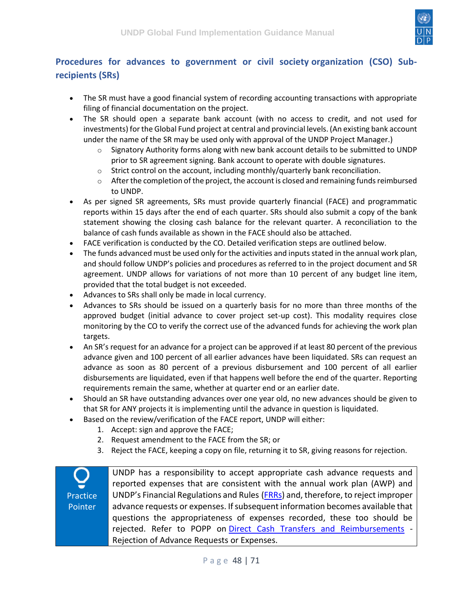

#### <span id="page-47-0"></span>**Procedures for advances to government or civil society organization (CSO) Subrecipients (SRs)**

- The SR must have a good financial system of recording accounting transactions with appropriate filing of financial documentation on the project.
- The SR should open a separate bank account (with no access to credit, and not used for investments) for the Global Fund project at central and provincial levels. (An existing bank account under the name of the SR may be used only with approval of the UNDP Project Manager.)
	- $\circ$  Signatory Authority forms along with new bank account details to be submitted to UNDP prior to SR agreement signing. Bank account to operate with double signatures.
	- $\circ$  Strict control on the account, including monthly/quarterly bank reconciliation.
	- $\circ$  After the completion of the project, the account is closed and remaining funds reimbursed to UNDP.
- As per signed SR agreements, SRs must provide quarterly financial (FACE) and programmatic reports within 15 days after the end of each quarter. SRs should also submit a copy of the bank statement showing the closing cash balance for the relevant quarter. A reconciliation to the balance of cash funds available as shown in the FACE should also be attached.
- FACE verification is conducted by the CO. Detailed verification steps are outlined below.
- The funds advanced must be used only for the activities and inputs stated in the annual work plan, and should follow UNDP's policies and procedures as referred to in the project document and SR agreement. UNDP allows for variations of not more than 10 percent of any budget line item, provided that the total budget is not exceeded.
- Advances to SRs shall only be made in local currency.
- Advances to SRs should be issued on a quarterly basis for no more than three months of the approved budget (initial advance to cover project set-up cost). This modality requires close monitoring by the CO to verify the correct use of the advanced funds for achieving the work plan targets.
- An SR's request for an advance for a project can be approved if at least 80 percent of the previous advance given and 100 percent of all earlier advances have been liquidated. SRs can request an advance as soon as 80 percent of a previous disbursement and 100 percent of all earlier disbursements are liquidated, even if that happens well before the end of the quarter. Reporting requirements remain the same, whether at quarter end or an earlier date.
- Should an SR have outstanding advances over one year old, no new advances should be given to that SR for ANY projects it is implementing until the advance in question is liquidated.
	- Based on the review/verification of the FACE report, UNDP will either:
		- 1. Accept: sign and approve the FACE;
		- 2. Request amendment to the FACE from the SR; or
		- 3. Reject the FACE, keeping a copy on file, returning it to SR, giving reasons for rejection.

**Practice** Pointer UNDP has a responsibility to accept appropriate cash advance requests and reported expenses that are consistent with the annual work plan (AWP) and UNDP's Financial Regulations and Rules [\(FRRs\)](https://intranet.undp.org/unit/ofrm/sitepages/Financial%20Regulations%20and%20Rules%20-%20POPP.aspx) and, therefore, to reject improper advance requests or expenses. If subsequent information becomes available that questions the appropriateness of expenses recorded, these too should be rejected. Refer to POPP on [Direct Cash Transfers and Reimbursements](https://popp.undp.org/SitePages/POPPSubject.aspx?SBJID=156) - Rejection of Advance Requests or Expenses.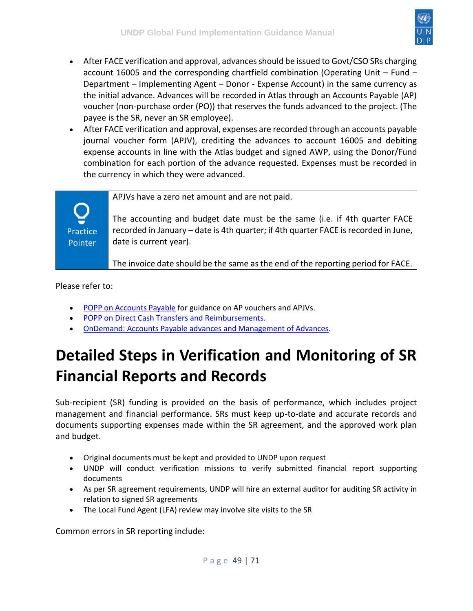

- After FACE verification and approval, advances should be issued to Govt/CSO SRs charging account 16005 and the corresponding chartfield combination (Operating Unit – Fund – Department – Implementing Agent – Donor - Expense Account) in the same currency as the initial advance. Advances will be recorded in Atlas through an Accounts Payable (AP) voucher (non-purchase order (PO)) that reserves the funds advanced to the project. (The payee is the SR, never an SR employee).
- After FACE verification and approval, expenses are recorded through an accounts payable journal voucher form (APJV), crediting the advances to account 16005 and debiting expense accounts in line with the Atlas budget and signed AWP, using the Donor/Fund combination for each portion of the advance requested. Expenses must be recorded in the currency in which they were advanced.

APJVs have a zero net amount and are not paid.

The accounting and budget date must be the same (i.e. if 4th quarter FACE recorded in January – date is 4th quarter; if 4th quarter FACE is recorded in June, date is current year).

The invoice date should be the same as the end of the reporting period for FACE.

Please refer to:

**Practice** Pointer

- [POPP on Accounts Payable](https://popp.undp.org/SitePages/POPPSubject.aspx?SBJID=39) for guidance on AP vouchers and APJVs.
- [POPP on Direct Cash Transfers and Reimbursements.](https://popp.undp.org/SitePages/POPPSubject.aspx?SBJID=156)
- [OnDemand: Accounts Payable advances and Management of Advances.](https://intranet.undp.org/unit/ohr/ondemand/SitePages/Finance%20Profile.aspx)

# <span id="page-48-0"></span>**Detailed Steps in Verification and Monitoring of SR Financial Reports and Records**

Sub-recipient (SR) funding is provided on the basis of performance, which includes project management and financial performance. SRs must keep up-to-date and accurate records and documents supporting expenses made within the SR agreement, and the approved work plan and budget.

- Original documents must be kept and provided to UNDP upon request
- UNDP will conduct verification missions to verify submitted financial report supporting documents
- As per SR agreement requirements, UNDP will hire an external auditor for auditing SR activity in relation to signed SR agreements
- The Local Fund Agent (LFA) review may involve site visits to the SR

Common errors in SR reporting include: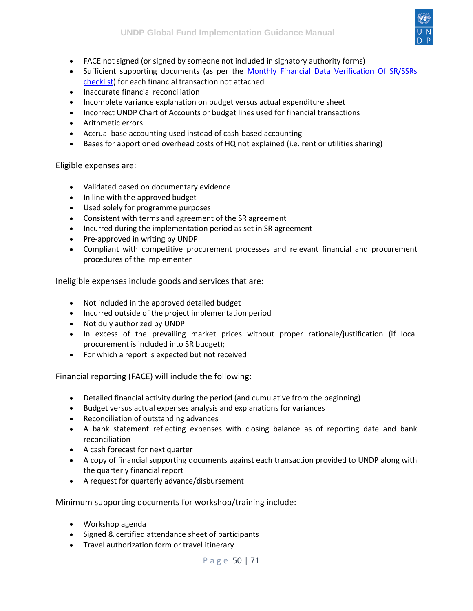

- FACE not signed (or signed by someone not included in signatory authority forms)
- Sufficient supporting documents (as per the Monthly Financial Data Verification Of SR/SSRs [checklist\)](https://intranet.undp.org/unit/bpps/hhd/GFpartnership/UNDPasPR/Finance/MONTHLY%20FINANCIAL%20DATA%20VERIFICATION%20OF%20SR.docx) for each financial transaction not attached
- Inaccurate financial reconciliation
- Incomplete variance explanation on budget versus actual expenditure sheet
- Incorrect UNDP Chart of Accounts or budget lines used for financial transactions
- Arithmetic errors
- Accrual base accounting used instead of cash-based accounting
- Bases for apportioned overhead costs of HQ not explained (i.e. rent or utilities sharing)

Eligible expenses are:

- Validated based on documentary evidence
- In line with the approved budget
- Used solely for programme purposes
- Consistent with terms and agreement of the SR agreement
- Incurred during the implementation period as set in SR agreement
- Pre-approved in writing by UNDP
- Compliant with competitive procurement processes and relevant financial and procurement procedures of the implementer

Ineligible expenses include goods and services that are:

- Not included in the approved detailed budget
- Incurred outside of the project implementation period
- Not duly authorized by UNDP
- In excess of the prevailing market prices without proper rationale/justification (if local procurement is included into SR budget);
- For which a report is expected but not received

Financial reporting (FACE) will include the following:

- Detailed financial activity during the period (and cumulative from the beginning)
- Budget versus actual expenses analysis and explanations for variances
- Reconciliation of outstanding advances
- A bank statement reflecting expenses with closing balance as of reporting date and bank reconciliation
- A cash forecast for next quarter
- A copy of financial supporting documents against each transaction provided to UNDP along with the quarterly financial report
- A request for quarterly advance/disbursement

Minimum supporting documents for workshop/training include:

- Workshop agenda
- Signed & certified attendance sheet of participants
- Travel authorization form or travel itinerary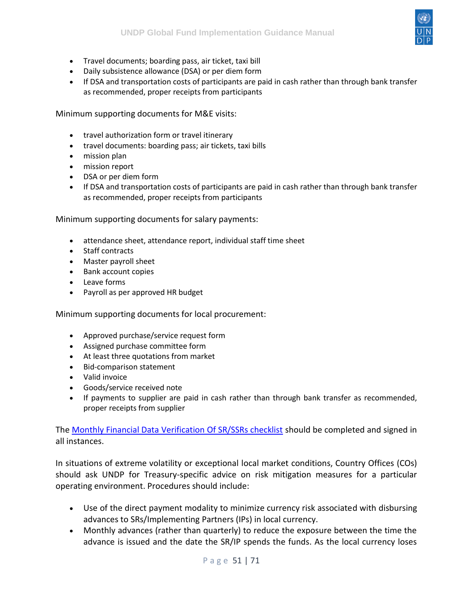

- Travel documents; boarding pass, air ticket, taxi bill
- Daily subsistence allowance (DSA) or per diem form
- If DSA and transportation costs of participants are paid in cash rather than through bank transfer as recommended, proper receipts from participants

Minimum supporting documents for M&E visits:

- travel authorization form or travel itinerary
- travel documents: boarding pass; air tickets, taxi bills
- mission plan
- mission report
- DSA or per diem form
- If DSA and transportation costs of participants are paid in cash rather than through bank transfer as recommended, proper receipts from participants

Minimum supporting documents for salary payments:

- attendance sheet, attendance report, individual staff time sheet
- Staff contracts
- Master payroll sheet
- Bank account copies
- Leave forms
- Payroll as per approved HR budget

Minimum supporting documents for local procurement:

- Approved purchase/service request form
- Assigned purchase committee form
- At least three quotations from market
- Bid-comparison statement
- Valid invoice
- Goods/service received note
- If payments to supplier are paid in cash rather than through bank transfer as recommended, proper receipts from supplier

The [Monthly Financial Data Verification Of SR/SSRs checklist](https://intranet.undp.org/unit/bpps/hhd/GFpartnership/UNDPasPR/Finance/MONTHLY%20FINANCIAL%20DATA%20VERIFICATION%20OF%20SR.docx) should be completed and signed in all instances.

In situations of extreme volatility or exceptional local market conditions, Country Offices (COs) should ask UNDP for Treasury-specific advice on risk mitigation measures for a particular operating environment. Procedures should include:

- Use of the direct payment modality to minimize currency risk associated with disbursing advances to SRs/Implementing Partners (IPs) in local currency.
- Monthly advances (rather than quarterly) to reduce the exposure between the time the advance is issued and the date the SR/IP spends the funds. As the local currency loses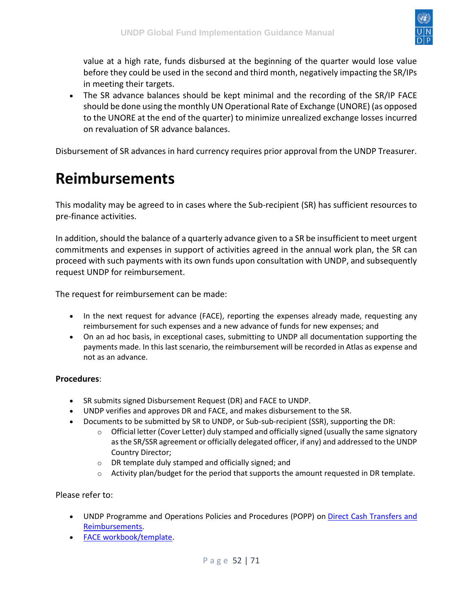

value at a high rate, funds disbursed at the beginning of the quarter would lose value before they could be used in the second and third month, negatively impacting the SR/IPs in meeting their targets.

• The SR advance balances should be kept minimal and the recording of the SR/IP FACE should be done using the monthly UN Operational Rate of Exchange (UNORE) (as opposed to the UNORE at the end of the quarter) to minimize unrealized exchange losses incurred on revaluation of SR advance balances.

Disbursement of SR advances in hard currency requires prior approval from the UNDP Treasurer.

### <span id="page-51-0"></span>**Reimbursements**

This modality may be agreed to in cases where the Sub-recipient (SR) has sufficient resources to pre-finance activities.

In addition, should the balance of a quarterly advance given to a SR be insufficient to meet urgent commitments and expenses in support of activities agreed in the annual work plan, the SR can proceed with such payments with its own funds upon consultation with UNDP, and subsequently request UNDP for reimbursement.

The request for reimbursement can be made:

- In the next request for advance (FACE), reporting the expenses already made, requesting any reimbursement for such expenses and a new advance of funds for new expenses; and
- On an ad hoc basis, in exceptional cases, submitting to UNDP all documentation supporting the payments made. In this last scenario, the reimbursement will be recorded in Atlas as expense and not as an advance.

#### **Procedures**:

- SR submits signed Disbursement Request (DR) and FACE to UNDP.
- UNDP verifies and approves DR and FACE, and makes disbursement to the SR.
- Documents to be submitted by SR to UNDP, or Sub-sub-recipient (SSR), supporting the DR:
	- $\circ$  Official letter (Cover Letter) duly stamped and officially signed (usually the same signatory as the SR/SSR agreement or officially delegated officer, if any) and addressed to the UNDP Country Director;
	- o DR template duly stamped and officially signed; and
	- $\circ$  Activity plan/budget for the period that supports the amount requested in DR template.

#### Please refer to:

- UNDP Programme and Operations Policies and Procedures (POPP) on [Direct Cash Transfers and](https://popp.undp.org/SitePages/POPPSubject.aspx?SBJID=156)  [Reimbursements.](https://popp.undp.org/SitePages/POPPSubject.aspx?SBJID=156)
- [FACE workbook/template.](https://intranet.undp.org/unit/bpps/hhd/GFpartnership/UNDPasPR/Finance/FACE%20Form%20UNDP%20Global%20Fund%20Projects.xlsx)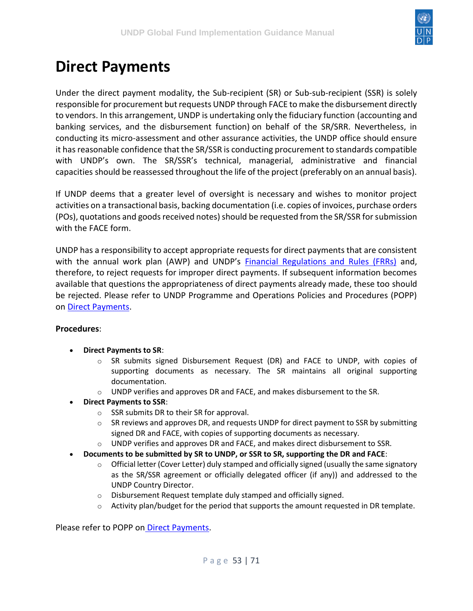

## <span id="page-52-0"></span>**Direct Payments**

Under the direct payment modality, the Sub-recipient (SR) or Sub-sub-recipient (SSR) is solely responsible for procurement but requests UNDP through FACE to make the disbursement directly to vendors. In this arrangement, UNDP is undertaking only the fiduciary function (accounting and banking services, and the disbursement function) on behalf of the SR/SRR. Nevertheless, in conducting its micro-assessment and other assurance activities, the UNDP office should ensure it has reasonable confidence that the SR/SSR is conducting procurement to standards compatible with UNDP's own. The SR/SSR's technical, managerial, administrative and financial capacities should be reassessed throughout the life of the project (preferably on an annual basis).

If UNDP deems that a greater level of oversight is necessary and wishes to monitor project activities on a transactional basis, backing documentation (i.e. copies of invoices, purchase orders (POs), quotations and goods received notes) should be requested from the SR/SSR for submission with the FACE form.

UNDP has a responsibility to accept appropriate requests for direct payments that are consistent with the annual work plan (AWP) and UNDP's **[Financial Regulations and Rules \(FRRs\)](https://intranet.undp.org/unit/ofrm/sitepages/Financial%20Regulations%20and%20Rules%20-%20POPP.aspx)** and, therefore, to reject requests for improper direct payments. If subsequent information becomes available that questions the appropriateness of direct payments already made, these too should be rejected. Please refer to UNDP Programme and Operations Policies and Procedures (POPP) on [Direct Payments.](https://popp.undp.org/SitePages/POPPSubject.aspx?SBJID=13)

#### **Procedures**:

- **Direct Payments to SR**:
	- o SR submits signed Disbursement Request (DR) and FACE to UNDP, with copies of supporting documents as necessary. The SR maintains all original supporting documentation.
	- o UNDP verifies and approves DR and FACE, and makes disbursement to the SR.
- **Direct Payments to SSR**:
	- o SSR submits DR to their SR for approval.
	- $\circ$  SR reviews and approves DR, and requests UNDP for direct payment to SSR by submitting signed DR and FACE, with copies of supporting documents as necessary.
	- $\circ$  UNDP verifies and approves DR and FACE, and makes direct disbursement to SSR.
- **Documents to be submitted by SR to UNDP, or SSR to SR, supporting the DR and FACE**:
	- $\circ$  Official letter (Cover Letter) duly stamped and officially signed (usually the same signatory as the SR/SSR agreement or officially delegated officer (if any)) and addressed to the UNDP Country Director.
	- o Disbursement Request template duly stamped and officially signed.
	- $\circ$  Activity plan/budget for the period that supports the amount requested in DR template.

Please refer to POPP on [Direct Payments.](https://popp.undp.org/SitePages/POPPSubject.aspx?SBJID=13)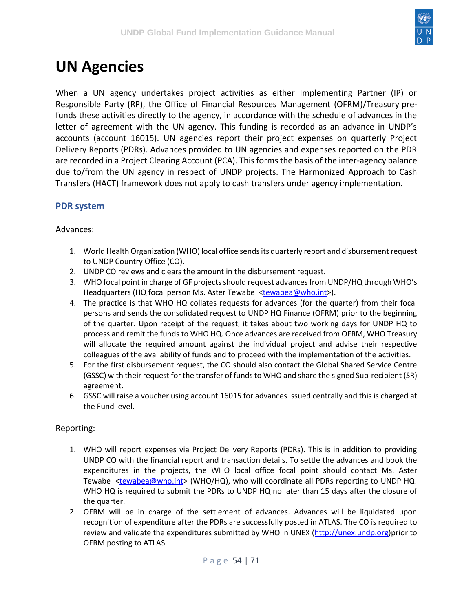

### <span id="page-53-0"></span>**UN Agencies**

When a UN agency undertakes project activities as either Implementing Partner (IP) or Responsible Party (RP), the Office of Financial Resources Management (OFRM)/Treasury prefunds these activities directly to the agency, in accordance with the schedule of advances in the letter of agreement with the UN agency. This funding is recorded as an advance in UNDP's accounts (account 16015). UN agencies report their project expenses on quarterly Project Delivery Reports (PDRs). Advances provided to UN agencies and expenses reported on the PDR are recorded in a Project Clearing Account (PCA). This forms the basis of the inter-agency balance due to/from the UN agency in respect of UNDP projects. The Harmonized Approach to Cash Transfers (HACT) framework does not apply to cash transfers under agency implementation.

#### <span id="page-53-1"></span>**PDR system**

#### Advances:

- 1. World Health Organization (WHO) local office sends its quarterly report and disbursement request to UNDP Country Office (CO).
- 2. UNDP CO reviews and clears the amount in the disbursement request.
- 3. WHO focal point in charge of GF projects should request advances from UNDP/HQ through WHO's Headquarters (HQ focal person Ms. Aster Tewabe [<tewabea@who.int>](mailto:tewabea@who.int)).
- 4. The practice is that WHO HQ collates requests for advances (for the quarter) from their focal persons and sends the consolidated request to UNDP HQ Finance (OFRM) prior to the beginning of the quarter. Upon receipt of the request, it takes about two working days for UNDP HQ to process and remit the funds to WHO HQ. Once advances are received from OFRM, WHO Treasury will allocate the required amount against the individual project and advise their respective colleagues of the availability of funds and to proceed with the implementation of the activities.
- 5. For the first disbursement request, the CO should also contact the Global Shared Service Centre (GSSC) with their request for the transfer of funds to WHO and share the signed Sub-recipient (SR) agreement.
- 6. GSSC will raise a voucher using account 16015 for advances issued centrally and this is charged at the Fund level.

#### Reporting:

- 1. WHO will report expenses via Project Delivery Reports (PDRs). This is in addition to providing UNDP CO with the financial report and transaction details. To settle the advances and book the expenditures in the projects, the WHO local office focal point should contact Ms. Aster Tewabe [<tewabea@who.int>](mailto:tewabea@who.int) (WHO/HQ), who will coordinate all PDRs reporting to UNDP HQ. WHO HQ is required to submit the PDRs to UNDP HQ no later than 15 days after the closure of the quarter.
- 2. OFRM will be in charge of the settlement of advances. Advances will be liquidated upon recognition of expenditure after the PDRs are successfully posted in ATLAS. The CO is required to review and validate the expenditures submitted by WHO in UNEX [\(http://unex.undp.org\)](http://unex.undp.org/)prior to OFRM posting to ATLAS.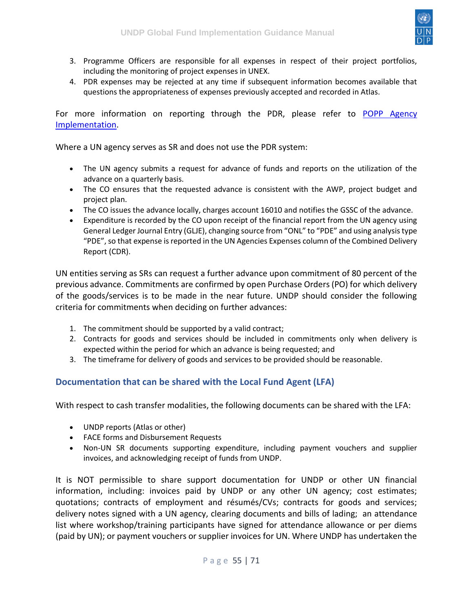

- 3. Programme Officers are responsible for all expenses in respect of their project portfolios, including the monitoring of project expenses in UNEX.
- 4. PDR expenses may be rejected at any time if subsequent information becomes available that questions the appropriateness of expenses previously accepted and recorded in Atlas.

For more information on reporting through the PDR, please refer to POPP Agency [Implementation.](https://popp.undp.org/SitePages/POPPSubject.aspx?SBJID=11)

Where a UN agency serves as SR and does not use the PDR system:

- The UN agency submits a request for advance of funds and reports on the utilization of the advance on a quarterly basis.
- The CO ensures that the requested advance is consistent with the AWP, project budget and project plan.
- The CO issues the advance locally, charges account 16010 and notifies the GSSC of the advance.
- Expenditure is recorded by the CO upon receipt of the financial report from the UN agency using General Ledger Journal Entry (GLJE), changing source from "ONL" to "PDE" and using analysis type "PDE", so that expense is reported in the UN Agencies Expenses column of the Combined Delivery Report (CDR).

UN entities serving as SRs can request a further advance upon commitment of 80 percent of the previous advance. Commitments are confirmed by open Purchase Orders (PO) for which delivery of the goods/services is to be made in the near future. UNDP should consider the following criteria for commitments when deciding on further advances:

- 1. The commitment should be supported by a valid contract;
- 2. Contracts for goods and services should be included in commitments only when delivery is expected within the period for which an advance is being requested; and
- 3. The timeframe for delivery of goods and services to be provided should be reasonable.

#### <span id="page-54-0"></span>**Documentation that can be shared with the Local Fund Agent (LFA)**

With respect to cash transfer modalities, the following documents can be shared with the LFA:

- UNDP reports (Atlas or other)
- FACE forms and Disbursement Requests
- Non-UN SR documents supporting expenditure, including payment vouchers and supplier invoices, and acknowledging receipt of funds from UNDP.

It is NOT permissible to share support documentation for UNDP or other UN financial information, including: invoices paid by UNDP or any other UN agency; cost estimates; quotations; contracts of employment and résumés/CVs; contracts for goods and services; delivery notes signed with a UN agency, clearing documents and bills of lading; an attendance list where workshop/training participants have signed for attendance allowance or per diems (paid by UN); or payment vouchers or supplier invoices for UN. Where UNDP has undertaken the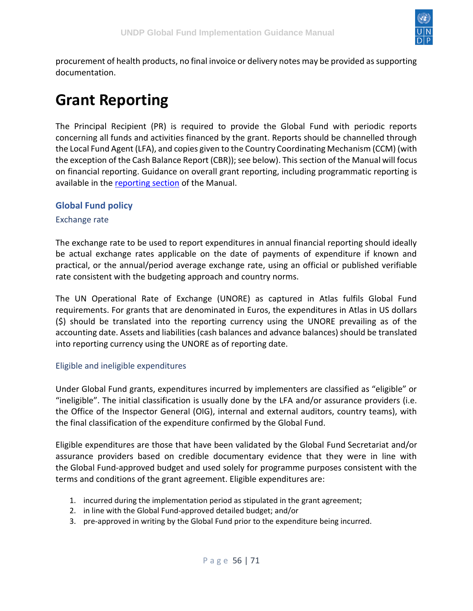

procurement of health products, no final invoice or delivery notes may be provided as supporting documentation.

## <span id="page-55-0"></span>**Grant Reporting**

The Principal Recipient (PR) is required to provide the Global Fund with periodic reports concerning all funds and activities financed by the grant. Reports should be channelled through the Local Fund Agent (LFA), and copies given to the Country Coordinating Mechanism (CCM) (with the exception of the Cash Balance Report (CBR)); see below). This section of the Manual will focus on financial reporting. Guidance on overall grant reporting, including programmatic reporting is available in the [reporting section](https://undphealthimplementation.org/functional-areas/reporting/overview/) of the Manual.

#### <span id="page-55-1"></span>**Global Fund policy**

#### <span id="page-55-2"></span>Exchange rate

The exchange rate to be used to report expenditures in annual financial reporting should ideally be actual exchange rates applicable on the date of payments of expenditure if known and practical, or the annual/period average exchange rate, using an official or published verifiable rate consistent with the budgeting approach and country norms.

The UN Operational Rate of Exchange (UNORE) as captured in Atlas fulfils Global Fund requirements. For grants that are denominated in Euros, the expenditures in Atlas in US dollars (\$) should be translated into the reporting currency using the UNORE prevailing as of the accounting date. Assets and liabilities (cash balances and advance balances) should be translated into reporting currency using the UNORE as of reporting date.

#### <span id="page-55-3"></span>Eligible and ineligible expenditures

Under Global Fund grants, expenditures incurred by implementers are classified as "eligible" or "ineligible". The initial classification is usually done by the LFA and/or assurance providers (i.e. the Office of the Inspector General (OIG), internal and external auditors, country teams), with the final classification of the expenditure confirmed by the Global Fund.

Eligible expenditures are those that have been validated by the Global Fund Secretariat and/or assurance providers based on credible documentary evidence that they were in line with the Global Fund-approved budget and used solely for programme purposes consistent with the terms and conditions of the grant agreement. Eligible expenditures are:

- 1. incurred during the implementation period as stipulated in the grant agreement;
- 2. in line with the Global Fund-approved detailed budget; and/or
- 3. pre-approved in writing by the Global Fund prior to the expenditure being incurred.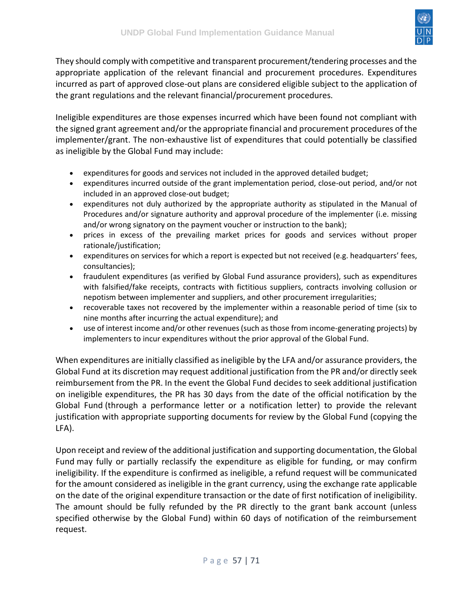

They should comply with competitive and transparent procurement/tendering processes and the appropriate application of the relevant financial and procurement procedures. Expenditures incurred as part of approved close-out plans are considered eligible subject to the application of the grant regulations and the relevant financial/procurement procedures.

Ineligible expenditures are those expenses incurred which have been found not compliant with the signed grant agreement and/or the appropriate financial and procurement procedures of the implementer/grant. The non-exhaustive list of expenditures that could potentially be classified as ineligible by the Global Fund may include:

- expenditures for goods and services not included in the approved detailed budget;
- expenditures incurred outside of the grant implementation period, close-out period, and/or not included in an approved close-out budget;
- expenditures not duly authorized by the appropriate authority as stipulated in the Manual of Procedures and/or signature authority and approval procedure of the implementer (i.e. missing and/or wrong signatory on the payment voucher or instruction to the bank);
- prices in excess of the prevailing market prices for goods and services without proper rationale/justification;
- expenditures on services for which a report is expected but not received (e.g. headquarters' fees, consultancies);
- fraudulent expenditures (as verified by Global Fund assurance providers), such as expenditures with falsified/fake receipts, contracts with fictitious suppliers, contracts involving collusion or nepotism between implementer and suppliers, and other procurement irregularities;
- recoverable taxes not recovered by the implementer within a reasonable period of time (six to nine months after incurring the actual expenditure); and
- use of interest income and/or other revenues (such as those from income-generating projects) by implementers to incur expenditures without the prior approval of the Global Fund.

When expenditures are initially classified as ineligible by the LFA and/or assurance providers, the Global Fund at its discretion may request additional justification from the PR and/or directly seek reimbursement from the PR. In the event the Global Fund decides to seek additional justification on ineligible expenditures, the PR has 30 days from the date of the official notification by the Global Fund (through a performance letter or a notification letter) to provide the relevant justification with appropriate supporting documents for review by the Global Fund (copying the LFA).

Upon receipt and review of the additional justification and supporting documentation, the Global Fund may fully or partially reclassify the expenditure as eligible for funding, or may confirm ineligibility. If the expenditure is confirmed as ineligible, a refund request will be communicated for the amount considered as ineligible in the grant currency, using the exchange rate applicable on the date of the original expenditure transaction or the date of first notification of ineligibility. The amount should be fully refunded by the PR directly to the grant bank account (unless specified otherwise by the Global Fund) within 60 days of notification of the reimbursement request.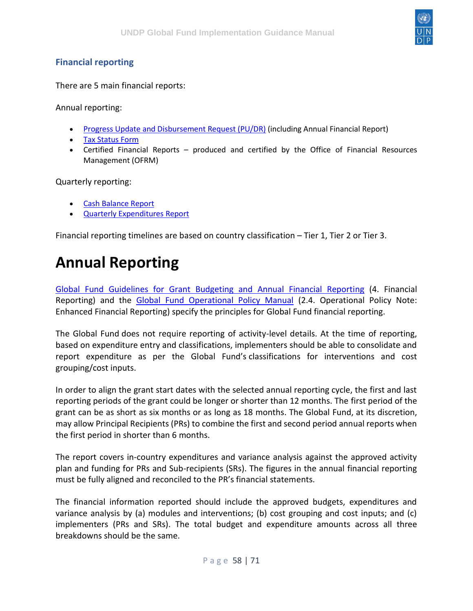

#### <span id="page-57-0"></span>**Financial reporting**

There are 5 main financial reports:

Annual reporting:

- [Progress Update and Disbursement Request \(PU/DR\)](https://undphealthimplementation.org/functional-areas/financial-management/grant-reporting/progress-updatedisbursement-request/) (including Annual Financial Report)
- [Tax Status Form](https://undphealthimplementation.org/functional-areas/financial-management/grant-reporting/tax-status-form/)
- Certified Financial Reports produced and certified by the Office of Financial Resources Management (OFRM)

Quarterly reporting:

- [Cash Balance Report](https://undphealthimplementation.org/functional-areas/financial-management/grant-reporting/cash-balance-report/)
- [Quarterly Expenditures Report](https://undphealthimplementation.org/functional-areas/financial-management/grant-reporting/quarterly-expenditure-report/)

Financial reporting timelines are based on country classification – Tier 1, Tier 2 or Tier 3.

### <span id="page-57-1"></span>**Annual Reporting**

[Global Fund Guidelines for Grant Budgeting and Annual Financial Reporting](https://www.theglobalfund.org/media/3261/core_budgetinginglobalfundgrants_guideline_en.pdf) (4. Financial Reporting) and the [Global Fund Operational Policy Manual](https://www.theglobalfund.org/media/3266/core_operationalpolicy_manual_en.pdf) (2.4. Operational Policy Note: Enhanced Financial Reporting) specify the principles for Global Fund financial reporting.

The Global Fund does not require reporting of activity-level details. At the time of reporting, based on expenditure entry and classifications, implementers should be able to consolidate and report expenditure as per the Global Fund's classifications for interventions and cost grouping/cost inputs.

In order to align the grant start dates with the selected annual reporting cycle, the first and last reporting periods of the grant could be longer or shorter than 12 months. The first period of the grant can be as short as six months or as long as 18 months. The Global Fund, at its discretion, may allow Principal Recipients (PRs) to combine the first and second period annual reports when the first period in shorter than 6 months.

The report covers in-country expenditures and variance analysis against the approved activity plan and funding for PRs and Sub-recipients (SRs). The figures in the annual financial reporting must be fully aligned and reconciled to the PR's financial statements.

The financial information reported should include the approved budgets, expenditures and variance analysis by (a) modules and interventions; (b) cost grouping and cost inputs; and (c) implementers (PRs and SRs). The total budget and expenditure amounts across all three breakdowns should be the same.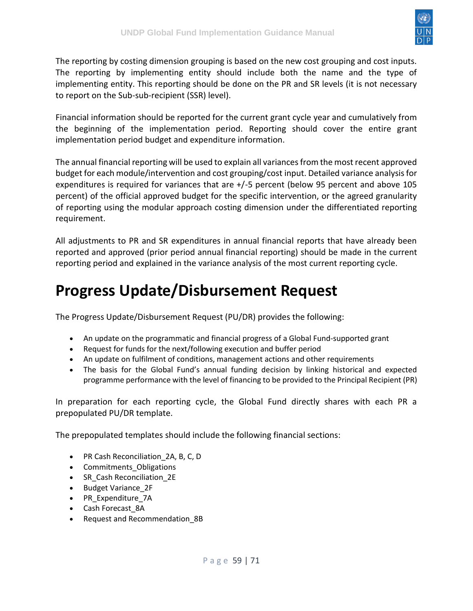

The reporting by costing dimension grouping is based on the new cost grouping and cost inputs. The reporting by implementing entity should include both the name and the type of implementing entity. This reporting should be done on the PR and SR levels (it is not necessary to report on the Sub-sub-recipient (SSR) level).

Financial information should be reported for the current grant cycle year and cumulatively from the beginning of the implementation period. Reporting should cover the entire grant implementation period budget and expenditure information.

The annual financial reporting will be used to explain all variances from the most recent approved budget for each module/intervention and cost grouping/cost input. Detailed variance analysis for expenditures is required for variances that are +/-5 percent (below 95 percent and above 105 percent) of the official approved budget for the specific intervention, or the agreed granularity of reporting using the modular approach costing dimension under the differentiated reporting requirement.

All adjustments to PR and SR expenditures in annual financial reports that have already been reported and approved (prior period annual financial reporting) should be made in the current reporting period and explained in the variance analysis of the most current reporting cycle.

## <span id="page-58-0"></span>**Progress Update/Disbursement Request**

The Progress Update/Disbursement Request (PU/DR) provides the following:

- An update on the programmatic and financial progress of a Global Fund-supported grant
- Request for funds for the next/following execution and buffer period
- An update on fulfilment of conditions, management actions and other requirements
- The basis for the Global Fund's annual funding decision by linking historical and expected programme performance with the level of financing to be provided to the Principal Recipient (PR)

In preparation for each reporting cycle, the Global Fund directly shares with each PR a prepopulated PU/DR template.

The prepopulated templates should include the following financial sections:

- PR Cash Reconciliation\_2A, B, C, D
- Commitments\_Obligations
- SR\_Cash Reconciliation\_2E
- Budget Variance\_2F
- PR\_Expenditure\_7A
- Cash Forecast\_8A
- Request and Recommendation\_8B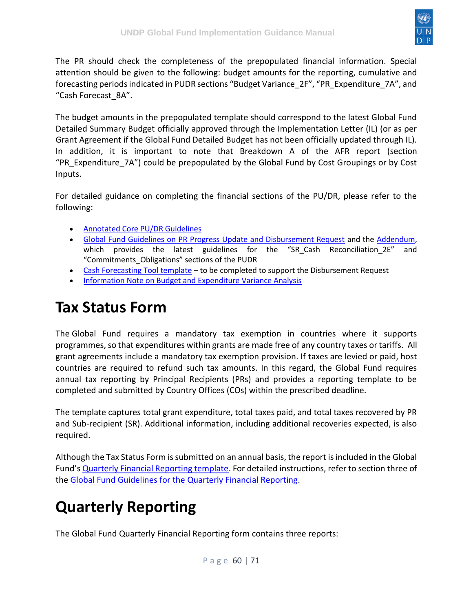

The PR should check the completeness of the prepopulated financial information. Special attention should be given to the following: budget amounts for the reporting, cumulative and forecasting periods indicated in PUDR sections "Budget Variance\_2F", "PR\_Expenditure\_7A", and "Cash Forecast\_8A".

The budget amounts in the prepopulated template should correspond to the latest Global Fund Detailed Summary Budget officially approved through the Implementation Letter (IL) (or as per Grant Agreement if the Global Fund Detailed Budget has not been officially updated through IL). In addition, it is important to note that Breakdown A of the AFR report (section "PR\_Expenditure\_7A") could be prepopulated by the Global Fund by Cost Groupings or by Cost Inputs.

For detailed guidance on completing the financial sections of the PU/DR, please refer to the following:

- [Annotated Core PU/DR Guidelines](https://intranet.undp.org/unit/bpps/hhd/GFpartnership/UNDPasPR/Finance/Annotated_Core_PUDR_Guidelines_31%20March%202016.docx)
- [Global Fund Guidelines on PR Progress Update and Disbursement Request](https://www.theglobalfund.org/media/6156/core_pudr_guidelines_en.pdf) and the [Addendum,](https://intranet.undp.org/unit/bpps/hhd/GFpartnership/UNDPasPR/Finance/PUDR%20Guidelines%20Addendum.docx) which provides the latest guidelines for the "SR\_Cash Reconciliation\_2E" and "Commitments\_Obligations" sections of the PUDR
- [Cash Forecasting Tool template](https://intranet.undp.org/unit/bpps/hhd/GFpartnership/UNDPasPR/Finance/PUDR%20Guidelines%20Addendum.docx) to be completed to support the Disbursement Request
- [Information Note on Budget and Expenditure Variance Analysis](https://intranet.undp.org/unit/bpps/hhd/GFpartnership/UNDPasPR/Grant%20Reporting/Information%20Note%20on%20Budget%20and%20Expenditure%20Variance%20Analysis%20-%20Finance%20Clinic%2010.pdf)

## <span id="page-59-0"></span>**Tax Status Form**

The Global Fund requires a mandatory tax exemption in countries where it supports programmes, so that expenditures within grants are made free of any country taxes or tariffs. All grant agreements include a mandatory tax exemption provision. If taxes are levied or paid, host countries are required to refund such tax amounts. In this regard, the Global Fund requires annual tax reporting by Principal Recipients (PRs) and provides a reporting template to be completed and submitted by Country Offices (COs) within the prescribed deadline.

The template captures total grant expenditure, total taxes paid, and total taxes recovered by PR and Sub-recipient (SR). Additional information, including additional recoveries expected, is also required.

Although the Tax Status Form is submitted on an annual basis, the report is included in the Global Fund's [Quarterly Financial Reporting template.](https://intranet.undp.org/unit/bpps/hhd/GFpartnership/UNDPasPR/Finance/Quarterly%20Financial%20report%20Template.xlsm) For detailed instructions, refer to section three of the [Global Fund Guidelines for the Quarterly Financial Reporting.](https://intranet.undp.org/unit/bpps/hhd/GFpartnership/UNDPasPR/Finance/Global%20Fund%20Guidelines%20for%20the%20Quarterly%20Financial%20Reporting.pdf)

# <span id="page-59-1"></span>**Quarterly Reporting**

The Global Fund Quarterly Financial Reporting form contains three reports: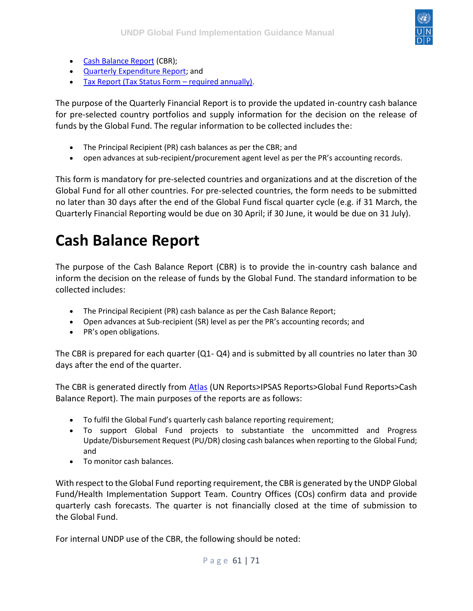

- [Cash Balance Report](https://undphealthimplementation.org/functional-areas/financial-management/grant-reporting/cash-balance-report/) (CBR);
- [Quarterly Expenditure Report;](https://undphealthimplementation.org/functional-areas/financial-management/grant-reporting/quarterly-expenditure-report/) and
- [Tax Report \(Tax Status Form](https://undphealthimplementation.org/functional-areas/financial-management/grant-reporting/tax-status-form/)  required annually).

The purpose of the Quarterly Financial Report is to provide the updated in-country cash balance for pre-selected country portfolios and supply information for the decision on the release of funds by the Global Fund. The regular information to be collected includes the:

- The Principal Recipient (PR) cash balances as per the CBR; and
- open advances at sub-recipient/procurement agent level as per the PR's accounting records.

This form is mandatory for pre-selected countries and organizations and at the discretion of the Global Fund for all other countries. For pre-selected countries, the form needs to be submitted no later than 30 days after the end of the Global Fund fiscal quarter cycle (e.g. if 31 March, the Quarterly Financial Reporting would be due on 30 April; if 30 June, it would be due on 31 July).

### <span id="page-60-0"></span>**Cash Balance Report**

The purpose of the Cash Balance Report (CBR) is to provide the in-country cash balance and inform the decision on the release of funds by the Global Fund. The standard information to be collected includes:

- The Principal Recipient (PR) cash balance as per the Cash Balance Report;
- Open advances at Sub-recipient (SR) level as per the PR's accounting records; and
- PR's open obligations.

The CBR is prepared for each quarter (Q1- Q4) and is submitted by all countries no later than 30 days after the end of the quarter.

The CBR is generated directly from [Atlas](https://finance.partneragencies.org/psp/UNDPP1FS/EMPLOYEE/ERP/c/UN_REPORTS.UN_RUN_CDR_GF.GBL?PORTALPARAM_PTCNAV=UN_RUN_CDR_GF_GBL&EOPP.SCNode=ERP&EOPP.SCPortal=EMPLOYEE&EOPP.SCName=UN_REPORTS&EOPP.SCLabel=Global%20Fund%20Reports&EOPP.SCFName=GLOBAL_FUND_REPORTS&EOPP.SCSecondary=true&EOPP.SCPTfname=GLOBAL_FUND_REPORTS&FolderPath=PORTAL_ROOT_OBJECT.UN_REPORTS.IPSAS_REPORTS.GLOBAL_FUND_REPORTS.UN_RUN_CDR_GF_GBL&IsFolder=false) (UN Reports>IPSAS Reports>Global Fund Reports>Cash Balance Report). The main purposes of the reports are as follows:

- To fulfil the Global Fund's quarterly cash balance reporting requirement;
- To support Global Fund projects to substantiate the uncommitted and Progress Update/Disbursement Request (PU/DR) closing cash balances when reporting to the Global Fund; and
- To monitor cash balances.

With respect to the Global Fund reporting requirement, the CBR is generated by the UNDP Global Fund/Health Implementation Support Team. Country Offices (COs) confirm data and provide quarterly cash forecasts. The quarter is not financially closed at the time of submission to the Global Fund.

For internal UNDP use of the CBR, the following should be noted: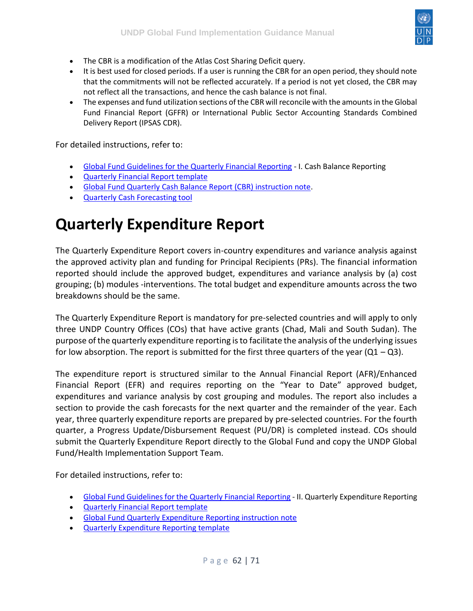

- The CBR is a modification of the Atlas Cost Sharing Deficit query.
- It is best used for closed periods. If a user is running the CBR for an open period, they should note that the commitments will not be reflected accurately. If a period is not yet closed, the CBR may not reflect all the transactions, and hence the cash balance is not final.
- The expenses and fund utilization sections of the CBR will reconcile with the amounts in the Global Fund Financial Report (GFFR) or International Public Sector Accounting Standards Combined Delivery Report (IPSAS CDR).

For detailed instructions, refer to:

- [Global Fund Guidelines for the Quarterly Financial Reporting](https://intranet.undp.org/unit/bpps/hhd/GFpartnership/UNDPasPR/Finance/Global%20Fund%20Guidelines%20for%20the%20Quarterly%20Financial%20Reporting.pdf) I. Cash Balance Reporting
- [Quarterly Financial Report template](https://intranet.undp.org/unit/bpps/hhd/GFpartnership/UNDPasPR/Finance/Quarterly%20Financial%20report%20Template.xlsm)
- [Global Fund Quarterly Cash Balance Report \(CBR\) instruction note.](https://intranet.undp.org/unit/bpps/hhd/GFpartnership/UNDPasPR/Finance/Quarterly%20Cash%20Balance%20Reporting%20for%20GF.pdf)
- [Quarterly Cash Forecasting tool](https://intranet.undp.org/unit/bpps/hhd/GFpartnership/UNDPasPR/Finance/Forecasting%20tool%20template_March%202016.xlsx)

### <span id="page-61-0"></span>**Quarterly Expenditure Report**

The Quarterly Expenditure Report covers in-country expenditures and variance analysis against the approved activity plan and funding for Principal Recipients (PRs). The financial information reported should include the approved budget, expenditures and variance analysis by (a) cost grouping; (b) modules -interventions. The total budget and expenditure amounts across the two breakdowns should be the same.

The Quarterly Expenditure Report is mandatory for pre-selected countries and will apply to only three UNDP Country Offices (COs) that have active grants (Chad, Mali and South Sudan). The purpose of the quarterly expenditure reporting is to facilitate the analysis of the underlying issues for low absorption. The report is submitted for the first three quarters of the year  $(Q1 - Q3)$ .

The expenditure report is structured similar to the Annual Financial Report (AFR)/Enhanced Financial Report (EFR) and requires reporting on the "Year to Date" approved budget, expenditures and variance analysis by cost grouping and modules. The report also includes a section to provide the cash forecasts for the next quarter and the remainder of the year. Each year, three quarterly expenditure reports are prepared by pre-selected countries. For the fourth quarter, a Progress Update/Disbursement Request (PU/DR) is completed instead. COs should submit the Quarterly Expenditure Report directly to the Global Fund and copy the UNDP Global Fund/Health Implementation Support Team.

For detailed instructions, refer to:

- [Global Fund Guidelines for the Quarterly Financial Reporting](http://theglobalfund.org/en/search/?q=Global+Fund+Guidelines+for+the+Quarterly+Financial+Reporting) II. Quarterly Expenditure Reporting
- [Quarterly Financial Report template](https://intranet.undp.org/unit/bpps/hhd/GFpartnership/UNDPasPR/Finance/Quarterly%20Financial%20report%20Template.xlsm)
- [Global Fund Quarterly Expenditure Reporting instruction note](https://intranet.undp.org/unit/bpps/hhd/GFpartnership/UNDPasPR/Finance/GF%20Quarterly%20Expenditure%20Reporting%20Instruction%20Note.pdf)
- [Quarterly Expenditure Reporting template](https://intranet.undp.org/unit/bpps/hhd/GFpartnership/UNDPasPR/Finance/Quarterly%20Financial%20report%20Template.xlsm)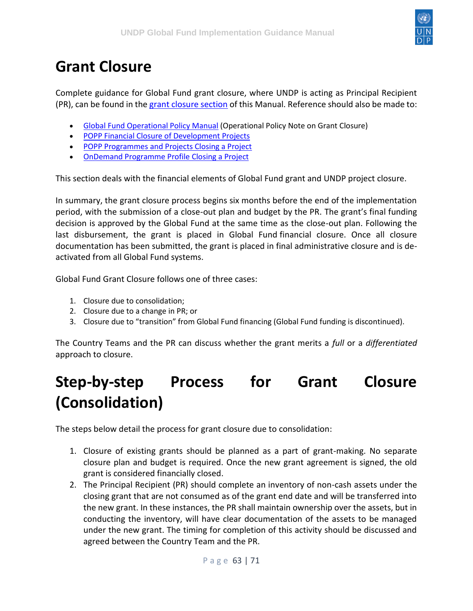

## <span id="page-62-0"></span>**Grant Closure**

Complete guidance for Global Fund grant closure, where UNDP is acting as Principal Recipient (PR), can be found in the [grant closure section](https://undphealthimplementation.org/functional-areas/grant-closure/overview/) of this Manual. Reference should also be made to:

- [Global Fund Operational Policy Manual](https://www.theglobalfund.org/media/3266/core_operationalpolicy_manual_en.pdf) (Operational Policy Note on Grant Closure)
- [POPP Financial Closure of Development Projects](https://popp.undp.org/SitePages/POPPSubject.aspx?SBJID=125)
- [POPP Programmes and Projects Closing a Project](https://popp.undp.org/SitePages/POPPSubject.aspx?SBJID=248)
- [OnDemand Programme Profile Closing a Project](https://intranet.undp.org/unit/ohr/ondemand/SitePages/Programme%20Profile.aspx)

This section deals with the financial elements of Global Fund grant and UNDP project closure.

In summary, the grant closure process begins six months before the end of the implementation period, with the submission of a close-out plan and budget by the PR. The grant's final funding decision is approved by the Global Fund at the same time as the close-out plan. Following the last disbursement, the grant is placed in Global Fund financial closure. Once all closure documentation has been submitted, the grant is placed in final administrative closure and is deactivated from all Global Fund systems.

Global Fund Grant Closure follows one of three cases:

- 1. Closure due to consolidation;
- 2. Closure due to a change in PR; or
- 3. Closure due to "transition" from Global Fund financing (Global Fund funding is discontinued).

The Country Teams and the PR can discuss whether the grant merits a *full* or a *differentiated* approach to closure.

## <span id="page-62-1"></span>**Step-by-step Process for Grant Closure (Consolidation)**

The steps below detail the process for grant closure due to consolidation:

- 1. Closure of existing grants should be planned as a part of grant-making. No separate closure plan and budget is required. Once the new grant agreement is signed, the old grant is considered financially closed.
- 2. The Principal Recipient (PR) should complete an inventory of non-cash assets under the closing grant that are not consumed as of the grant end date and will be transferred into the new grant. In these instances, the PR shall maintain ownership over the assets, but in conducting the inventory, will have clear documentation of the assets to be managed under the new grant. The timing for completion of this activity should be discussed and agreed between the Country Team and the PR.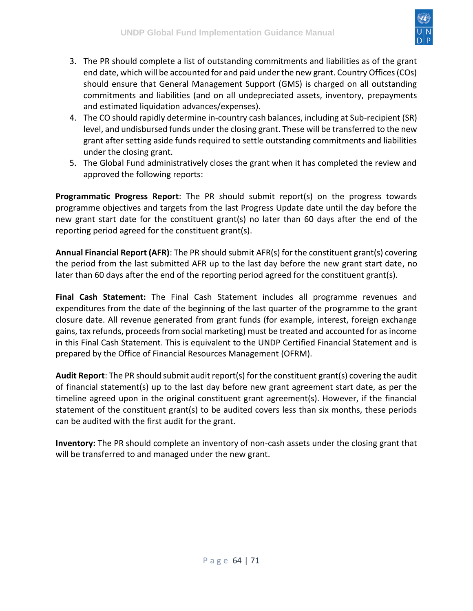

- 3. The PR should complete a list of outstanding commitments and liabilities as of the grant end date, which will be accounted for and paid under the new grant. Country Offices (COs) should ensure that General Management Support (GMS) is charged on all outstanding commitments and liabilities (and on all undepreciated assets, inventory, prepayments and estimated liquidation advances/expenses).
- 4. The CO should rapidly determine in-country cash balances, including at Sub-recipient (SR) level, and undisbursed funds under the closing grant. These will be transferred to the new grant after setting aside funds required to settle outstanding commitments and liabilities under the closing grant.
- 5. The Global Fund administratively closes the grant when it has completed the review and approved the following reports:

**Programmatic Progress Report**: The PR should submit report(s) on the progress towards programme objectives and targets from the last Progress Update date until the day before the new grant start date for the constituent grant(s) no later than 60 days after the end of the reporting period agreed for the constituent grant(s).

**Annual Financial Report (AFR)**: The PR should submit AFR(s) for the constituent grant(s) covering the period from the last submitted AFR up to the last day before the new grant start date, no later than 60 days after the end of the reporting period agreed for the constituent grant(s).

**Final Cash Statement:** The Final Cash Statement includes all programme revenues and expenditures from the date of the beginning of the last quarter of the programme to the grant closure date. All revenue generated from grant funds (for example, interest, foreign exchange gains, tax refunds, proceeds from social marketing) must be treated and accounted for as income in this Final Cash Statement. This is equivalent to the UNDP Certified Financial Statement and is prepared by the Office of Financial Resources Management (OFRM).

**Audit Report**: The PR should submit audit report(s) for the constituent grant(s) covering the audit of financial statement(s) up to the last day before new grant agreement start date, as per the timeline agreed upon in the original constituent grant agreement(s). However, if the financial statement of the constituent grant(s) to be audited covers less than six months, these periods can be audited with the first audit for the grant.

**Inventory:** The PR should complete an inventory of non-cash assets under the closing grant that will be transferred to and managed under the new grant.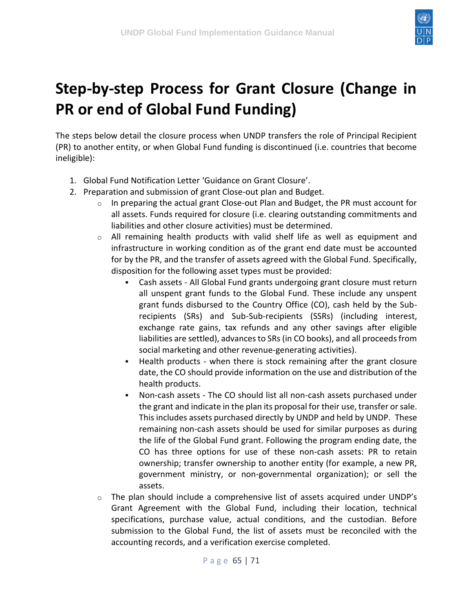

# <span id="page-64-0"></span>**Step-by-step Process for Grant Closure (Change in PR or end of Global Fund Funding)**

The steps below detail the closure process when UNDP transfers the role of Principal Recipient (PR) to another entity, or when Global Fund funding is discontinued (i.e. countries that become ineligible):

- 1. Global Fund Notification Letter 'Guidance on Grant Closure'.
- 2. Preparation and submission of grant Close-out plan and Budget.
	- $\circ$  In preparing the actual grant Close-out Plan and Budget, the PR must account for all assets. Funds required for closure (i.e. clearing outstanding commitments and liabilities and other closure activities) must be determined.
	- $\circ$  All remaining health products with valid shelf life as well as equipment and infrastructure in working condition as of the grant end date must be accounted for by the PR, and the transfer of assets agreed with the Global Fund. Specifically, disposition for the following asset types must be provided:
		- Cash assets All Global Fund grants undergoing grant closure must return all unspent grant funds to the Global Fund. These include any unspent grant funds disbursed to the Country Office (CO), cash held by the Subrecipients (SRs) and Sub-Sub-recipients (SSRs) (including interest, exchange rate gains, tax refunds and any other savings after eligible liabilities are settled), advances to SRs (in CO books), and all proceeds from social marketing and other revenue-generating activities).
		- Health products when there is stock remaining after the grant closure date, the CO should provide information on the use and distribution of the health products.
		- Non-cash assets The CO should list all non-cash assets purchased under the grant and indicate in the plan its proposal for their use, transfer or sale. This includes assets purchased directly by UNDP and held by UNDP. These remaining non-cash assets should be used for similar purposes as during the life of the Global Fund grant. Following the program ending date, the CO has three options for use of these non-cash assets: PR to retain ownership; transfer ownership to another entity (for example, a new PR, government ministry, or non-governmental organization); or sell the assets.
	- $\circ$  The plan should include a comprehensive list of assets acquired under UNDP's Grant Agreement with the Global Fund, including their location, technical specifications, purchase value, actual conditions, and the custodian. Before submission to the Global Fund, the list of assets must be reconciled with the accounting records, and a verification exercise completed.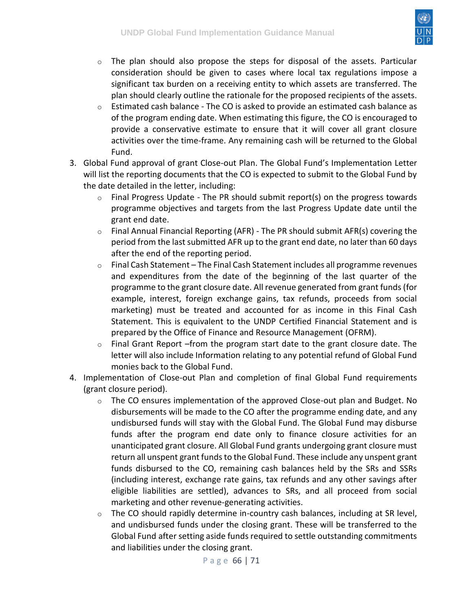

- $\circ$  The plan should also propose the steps for disposal of the assets. Particular consideration should be given to cases where local tax regulations impose a significant tax burden on a receiving entity to which assets are transferred. The plan should clearly outline the rationale for the proposed recipients of the assets.
- o Estimated cash balance The CO is asked to provide an estimated cash balance as of the program ending date. When estimating this figure, the CO is encouraged to provide a conservative estimate to ensure that it will cover all grant closure activities over the time-frame. Any remaining cash will be returned to the Global Fund.
- 3. Global Fund approval of grant Close-out Plan. The Global Fund's Implementation Letter will list the reporting documents that the CO is expected to submit to the Global Fund by the date detailed in the letter, including:
	- $\circ$  Final Progress Update The PR should submit report(s) on the progress towards programme objectives and targets from the last Progress Update date until the grant end date.
	- o Final Annual Financial Reporting (AFR) The PR should submit AFR(s) covering the period from the last submitted AFR up to the grant end date, no later than 60 days after the end of the reporting period.
	- $\circ$  Final Cash Statement The Final Cash Statement includes all programme revenues and expenditures from the date of the beginning of the last quarter of the programme to the grant closure date. All revenue generated from grant funds (for example, interest, foreign exchange gains, tax refunds, proceeds from social marketing) must be treated and accounted for as income in this Final Cash Statement. This is equivalent to the UNDP Certified Financial Statement and is prepared by the Office of Finance and Resource Management (OFRM).
	- $\circ$  Final Grant Report –from the program start date to the grant closure date. The letter will also include Information relating to any potential refund of Global Fund monies back to the Global Fund.
- 4. Implementation of Close-out Plan and completion of final Global Fund requirements (grant closure period).
	- $\circ$  The CO ensures implementation of the approved Close-out plan and Budget. No disbursements will be made to the CO after the programme ending date, and any undisbursed funds will stay with the Global Fund. The Global Fund may disburse funds after the program end date only to finance closure activities for an unanticipated grant closure. All Global Fund grants undergoing grant closure must return all unspent grant funds to the Global Fund. These include any unspent grant funds disbursed to the CO, remaining cash balances held by the SRs and SSRs (including interest, exchange rate gains, tax refunds and any other savings after eligible liabilities are settled), advances to SRs, and all proceed from social marketing and other revenue-generating activities.
	- $\circ$  The CO should rapidly determine in-country cash balances, including at SR level, and undisbursed funds under the closing grant. These will be transferred to the Global Fund after setting aside funds required to settle outstanding commitments and liabilities under the closing grant.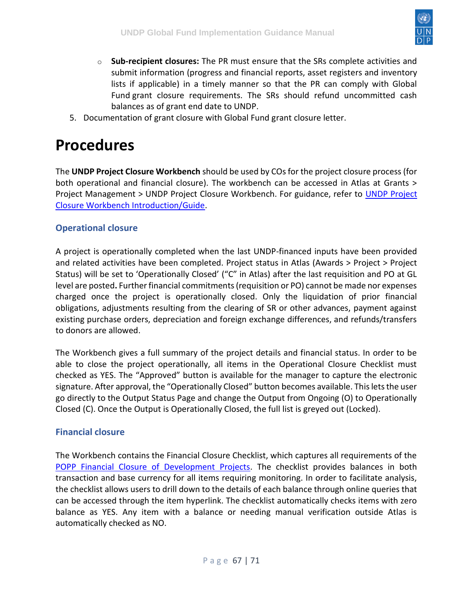

- o **Sub-recipient closures:** The PR must ensure that the SRs complete activities and submit information (progress and financial reports, asset registers and inventory lists if applicable) in a timely manner so that the PR can comply with Global Fund grant closure requirements. The SRs should refund uncommitted cash balances as of grant end date to UNDP.
- 5. Documentation of grant closure with Global Fund grant closure letter.

### <span id="page-66-0"></span>**Procedures**

The **UNDP Project Closure Workbench** should be used by COs for the project closure process (for both operational and financial closure). The workbench can be accessed in Atlas at Grants > Project Management > [UNDP Project](https://intranet.undp.org/country/rbas/tn/intra/Programme/PMSU/Shared%20Documents/Sessions%20d%27information%20et%20de%20formation/Projects%20closure%20workbench_12112015/UNDP_Project_Closure_Workbench%20-%20Introduction%20(Guide).pdf) Closure Workbench. For guidance, refer to UNDP Project [Closure Workbench Introduction/Guide.](https://intranet.undp.org/country/rbas/tn/intra/Programme/PMSU/Shared%20Documents/Sessions%20d%27information%20et%20de%20formation/Projects%20closure%20workbench_12112015/UNDP_Project_Closure_Workbench%20-%20Introduction%20(Guide).pdf)

#### <span id="page-66-1"></span>**Operational closure**

A project is operationally completed when the last UNDP-financed inputs have been provided and related activities have been completed. Project status in Atlas (Awards > Project > Project Status) will be set to 'Operationally Closed' ("C" in Atlas) after the last requisition and PO at GL level are posted**.** Further financial commitments (requisition or PO) cannot be made nor expenses charged once the project is operationally closed. Only the liquidation of prior financial obligations, adjustments resulting from the clearing of SR or other advances, payment against existing purchase orders, depreciation and foreign exchange differences, and refunds/transfers to donors are allowed.

The Workbench gives a full summary of the project details and financial status. In order to be able to close the project operationally, all items in the Operational Closure Checklist must checked as YES. The "Approved" button is available for the manager to capture the electronic signature. After approval, the "Operationally Closed" button becomes available. This lets the user go directly to the Output Status Page and change the Output from Ongoing (O) to Operationally Closed (C). Once the Output is Operationally Closed, the full list is greyed out (Locked).

#### <span id="page-66-2"></span>**Financial closure**

The Workbench contains the Financial Closure Checklist, which captures all requirements of the [POPP Financial Closure of Development Projects.](https://popp.undp.org/SitePages/POPPSubject.aspx?SBJID=125) The checklist provides balances in both transaction and base currency for all items requiring monitoring. In order to facilitate analysis, the checklist allows users to drill down to the details of each balance through online queries that can be accessed through the item hyperlink. The checklist automatically checks items with zero balance as YES. Any item with a balance or needing manual verification outside Atlas is automatically checked as NO.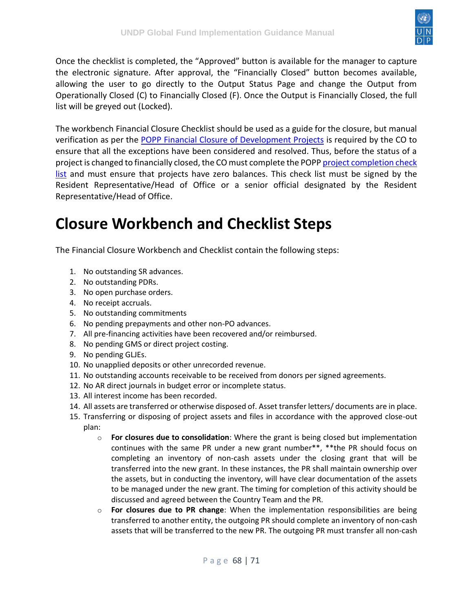

Once the checklist is completed, the "Approved" button is available for the manager to capture the electronic signature. After approval, the "Financially Closed" button becomes available, allowing the user to go directly to the Output Status Page and change the Output from Operationally Closed (C) to Financially Closed (F). Once the Output is Financially Closed, the full list will be greyed out (Locked).

The workbench Financial Closure Checklist should be used as a guide for the closure, but manual verification as per the [POPP Financial Closure of Development Projects](https://popp.undp.org/SitePages/POPPSubject.aspx?SBJID=125) is required by the CO to ensure that all the exceptions have been considered and resolved. Thus, before the status of a project is changed to financially closed, the CO must complete the POPP project completion check [list](https://popp.undp.org/UNDP_POPP_DOCUMENT_LIBRARY/Public/FRM_Financial%20Closure_Project%20Completion%20Check%20List.pdf) and must ensure that projects have zero balances. This check list must be signed by the Resident Representative/Head of Office or a senior official designated by the Resident Representative/Head of Office.

### <span id="page-67-0"></span>**Closure Workbench and Checklist Steps**

The Financial Closure Workbench and Checklist contain the following steps:

- 1. No outstanding SR advances.
- 2. No outstanding PDRs.
- 3. No open purchase orders.
- 4. No receipt accruals.
- 5. No outstanding commitments
- 6. No pending prepayments and other non-PO advances.
- 7. All pre-financing activities have been recovered and/or reimbursed.
- 8. No pending GMS or direct project costing.
- 9. No pending GLJEs.
- 10. No unapplied deposits or other unrecorded revenue.
- 11. No outstanding accounts receivable to be received from donors per signed agreements.
- 12. No AR direct journals in budget error or incomplete status.
- 13. All interest income has been recorded.
- 14. All assets are transferred or otherwise disposed of. Asset transfer letters/ documents are in place.
- 15. Transferring or disposing of project assets and files in accordance with the approved close-out plan:
	- o **For closures due to consolidation**: Where the grant is being closed but implementation continues with the same PR under a new grant number\*\*, \*\*the PR should focus on completing an inventory of non-cash assets under the closing grant that will be transferred into the new grant. In these instances, the PR shall maintain ownership over the assets, but in conducting the inventory, will have clear documentation of the assets to be managed under the new grant. The timing for completion of this activity should be discussed and agreed between the Country Team and the PR.
	- o **For closures due to PR change**: When the implementation responsibilities are being transferred to another entity, the outgoing PR should complete an inventory of non-cash assets that will be transferred to the new PR. The outgoing PR must transfer all non-cash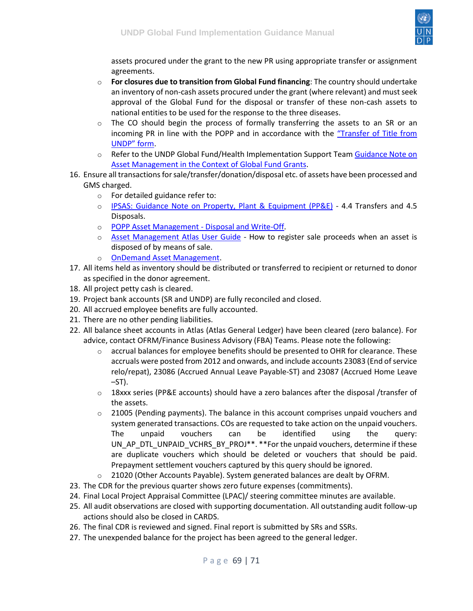

assets procured under the grant to the new PR using appropriate transfer or assignment agreements.

- o **For closures due to transition from Global Fund financing**: The country should undertake an inventory of non-cash assets procured under the grant (where relevant) and must seek approval of the Global Fund for the disposal or transfer of these non-cash assets to national entities to be used for the response to the three diseases.
- $\circ$  The CO should begin the process of formally transferring the assets to an SR or an incoming PR in line with the POPP and in accordance with the "Tra[nsfer of Title from](https://intranet.undp.org/unit/bpps/hhd/GFpartnership/UNDPasPR/Grant%20Closure/Notification%20Letter%20GF%20to%20UNDP_Guidance%20on%20Grant%20Closure.docx)  [UNDP" form](https://intranet.undp.org/unit/bpps/hhd/GFpartnership/UNDPasPR/Grant%20Closure/Notification%20Letter%20GF%20to%20UNDP_Guidance%20on%20Grant%20Closure.docx).
- $\circ$  Refer to the UNDP Global Fund/Health Implementation Support Team Guidance Note on [Asset Management in the Context of Global Fund Grants.](https://intranet.undp.org/unit/bpps/hhd/GFpartnership/UNDPasPR/_layouts/WopiFrame.aspx?sourcedoc=/unit/bpps/hhd/GFpartnership/UNDPasPR/Finance/Asset%20Management%20in%20the%20Context%20of%20Global%20Fund%20Grants_Guidance%20(UNDP,%202013).pdf&action=default&Source=https%3A%2F%2Fintranet%2Eundp%2Eorg%2Funit%2Fbpps%2Fhhd%2FGFpartnership%2FUNDPasPR%2FFinance%2FForms%2FAllItems%2Easpx%3FInitialTabId%3DRibbon%2ELibrary%26VisibilityContext%3DWSSListAndLibrary%26GroupString%3D%253B%2523Grant%2520Reporting%253B%2523%26IsGroupRender%3DTRUE&DefaultItemOpen=1)
- 16. Ensure all transactions for sale/transfer/donation/disposal etc. of assets have been processed and GMS charged.
	- o For detailed guidance refer to:
	- o [IPSAS: Guidance Note on Property, Plant & Equipment \(PP&E\)](https://popp.undp.org/SitePages/POPPSubject.aspx?SBJID=254) 4.4 Transfers and 4.5 Disposals.
	- o [POPP Asset Management -](https://popp.undp.org/SitePages/POPPChapter.aspx?TermID=1587edf6-1e40-45b8-b967-1d3af5e4a716) Disposal and Write-Off.
	- o [Asset Management Atlas User Guide](https://intranet.undp.org/global/documents/asm/ATLAS-Asset-Management-User-Guide.docx) How to register sale proceeds when an asset is disposed of by means of sale.
	- o [OnDemand Asset Management.](https://intranet.undp.org/unit/ohr/ondemand/SitePages/Procurement%20Profile.aspx)
- 17. All items held as inventory should be distributed or transferred to recipient or returned to donor as specified in the donor agreement.
- 18. All project petty cash is cleared.
- 19. Project bank accounts (SR and UNDP) are fully reconciled and closed.
- 20. All accrued employee benefits are fully accounted.
- 21. There are no other pending liabilities.
- 22. All balance sheet accounts in Atlas (Atlas General Ledger) have been cleared (zero balance). For advice, contact OFRM/Finance Business Advisory (FBA) Teams. Please note the following:
	- $\circ$  accrual balances for employee benefits should be presented to OHR for clearance. These accruals were posted from 2012 and onwards, and include accounts 23083 (End of service relo/repat), 23086 (Accrued Annual Leave Payable-ST) and 23087 (Accrued Home Leave  $-ST$ ).
	- $\circ$  18xxx series (PP&E accounts) should have a zero balances after the disposal /transfer of the assets.
	- $\circ$  21005 (Pending payments). The balance in this account comprises unpaid vouchers and system generated transactions. COs are requested to take action on the unpaid vouchers. The unpaid vouchers can be identified using the query: UN\_AP\_DTL\_UNPAID\_VCHRS\_BY\_PROJ\*\*. \*\*For the unpaid vouchers, determine if these are duplicate vouchers which should be deleted or vouchers that should be paid. Prepayment settlement vouchers captured by this query should be ignored.
	- o 21020 (Other Accounts Payable). System generated balances are dealt by OFRM.
- 23. The CDR for the previous quarter shows zero future expenses (commitments).
- 24. Final Local Project Appraisal Committee (LPAC)/ steering committee minutes are available.
- 25. All audit observations are closed with supporting documentation. All outstanding audit follow-up actions should also be closed in CARDS.
- 26. The final CDR is reviewed and signed. Final report is submitted by SRs and SSRs.
- 27. The unexpended balance for the project has been agreed to the general ledger.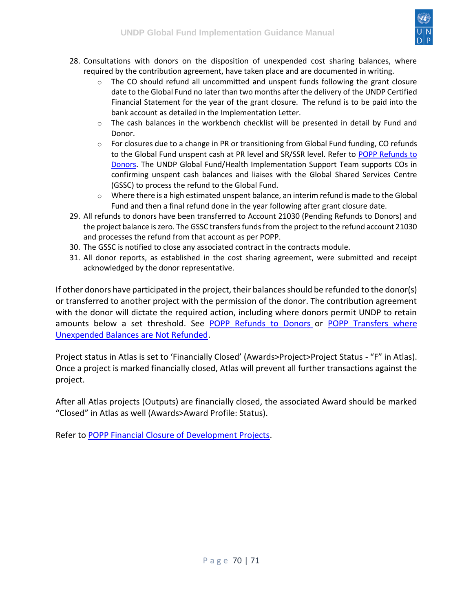

- 28. Consultations with donors on the disposition of unexpended cost sharing balances, where required by the contribution agreement, have taken place and are documented in writing.
	- $\circ$  The CO should refund all uncommitted and unspent funds following the grant closure date to the Global Fund no later than two months after the delivery of the UNDP Certified Financial Statement for the year of the grant closure. The refund is to be paid into the bank account as detailed in the Implementation Letter.
	- $\circ$  The cash balances in the workbench checklist will be presented in detail by Fund and Donor.
	- o For closures due to a change in PR or transitioning from Global Fund funding, CO refunds to the Global Fund unspent cash at PR level and SR/SSR level. Refer to [POPP Refunds to](https://popp.undp.org/SitePages/POPPSubject.aspx?SBJID=127)  [Donors.](https://popp.undp.org/SitePages/POPPSubject.aspx?SBJID=127) The UNDP Global Fund/Health Implementation Support Team supports COs in confirming unspent cash balances and liaises with the Global Shared Services Centre (GSSC) to process the refund to the Global Fund.
	- $\circ$  Where there is a high estimated unspent balance, an interim refund is made to the Global Fund and then a final refund done in the year following after grant closure date.
- 29. All refunds to donors have been transferred to Account 21030 (Pending Refunds to Donors) and the project balance is zero. The GSSC transfers funds from the project to the refund account 21030 and processes the refund from that account as per POPP.
- 30. The GSSC is notified to close any associated contract in the contracts module.
- 31. All donor reports, as established in the cost sharing agreement, were submitted and receipt acknowledged by the donor representative.

If other donors have participated in the project, their balances should be refunded to the donor(s) or transferred to another project with the permission of the donor. The contribution agreement with the donor will dictate the required action, including where donors permit UNDP to retain amounts below a set threshold. See [POPP Refunds to Donors](https://popp.undp.org/SitePages/POPPSubject.aspx?SBJID=127) or [POPP Transfers where](https://popp.undp.org/SitePages/POPPSubject.aspx?SBJID=128)  [Unexpended Balances are Not Refunded.](https://popp.undp.org/SitePages/POPPSubject.aspx?SBJID=128)

Project status in Atlas is set to 'Financially Closed' (Awards>Project>Project Status - "F" in Atlas). Once a project is marked financially closed, Atlas will prevent all further transactions against the project.

After all Atlas projects (Outputs) are financially closed, the associated Award should be marked "Closed" in Atlas as well (Awards>Award Profile: Status).

Refer to [POPP Financial Closure of Development Projects.](https://popp.undp.org/SitePages/POPPSubject.aspx?SBJID=125)